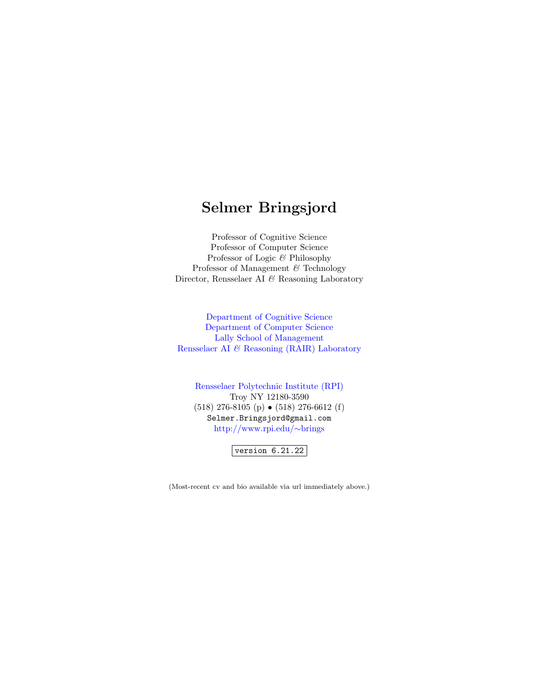## <span id="page-0-0"></span>Selmer Bringsjord

Professor of Cognitive Science Professor of Computer Science Professor of Logic & Philosophy Professor of Management & Technology Director, Rensselaer AI $\mathcal C$ Reasoning Laboratory

[Department of Cognitive Science](http://www.cogsci.rpi.edu) [Department of Computer Science](http://www.cs.rpi.edu) [Lally School of Management](http://www.lallyschool.rpi.edu) Rensselaer AI & [Reasoning \(RAIR\) Laboratory](http://www.cogsci.rpi.edu/research/rair/index.php)

[Rensselaer Polytechnic Institute \(RPI\)](http://www.rpi.edu) Troy NY 12180-3590 (518) 276-8105 (p) • (518) 276-6612 (f) Selmer.Bringsjord@gmail.com [http://www.rpi.edu/](http://www.rpi.edu/~brings)∼brings

 $vert$ version 6.21.22

(Most-recent cv and bio available via url immediately above.)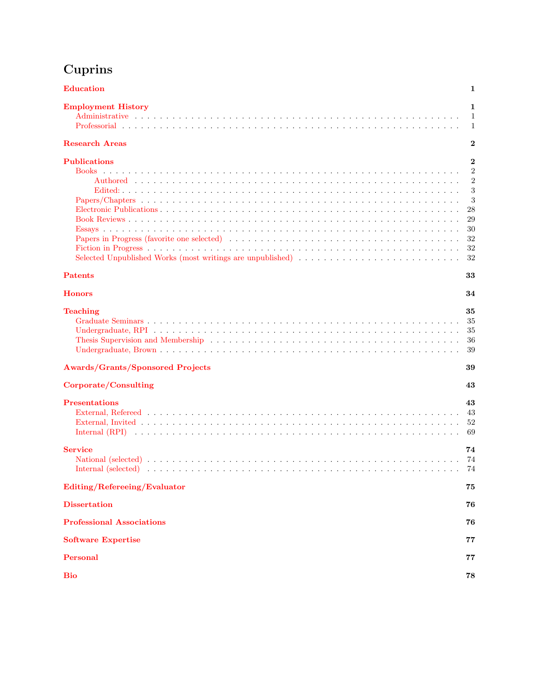# <span id="page-1-0"></span>Cuprins

| <b>Education</b>                                                                                                                                                                                                                                | 1                                                                                          |
|-------------------------------------------------------------------------------------------------------------------------------------------------------------------------------------------------------------------------------------------------|--------------------------------------------------------------------------------------------|
| <b>Employment History</b>                                                                                                                                                                                                                       | 1<br>1<br>1                                                                                |
| <b>Research Areas</b>                                                                                                                                                                                                                           | $\bf{2}$                                                                                   |
| <b>Publications</b>                                                                                                                                                                                                                             | $\bf{2}$<br>$\overline{2}$<br>$\overline{2}$<br>3<br>3<br>28<br>29<br>30<br>32<br>32<br>32 |
| <b>Patents</b>                                                                                                                                                                                                                                  | 33                                                                                         |
| <b>Honors</b>                                                                                                                                                                                                                                   | 34                                                                                         |
| <b>Teaching</b>                                                                                                                                                                                                                                 | 35<br>35<br>35<br>36<br>39                                                                 |
| <b>Awards/Grants/Sponsored Projects</b>                                                                                                                                                                                                         | 39                                                                                         |
| Corporate/Consulting                                                                                                                                                                                                                            | 43                                                                                         |
| <b>Presentations</b>                                                                                                                                                                                                                            | 43<br>43<br>52<br>69                                                                       |
| <b>Service</b><br>Internal (selected) and account to the selection of the selection of the selection of the selection of the selection of the selection of the selection of the selection of the selection of the selection of the selection of | 74<br>74<br>74                                                                             |
| Editing/Refereeing/Evaluator                                                                                                                                                                                                                    | 75                                                                                         |
| <b>Dissertation</b>                                                                                                                                                                                                                             | 76                                                                                         |
| <b>Professional Associations</b>                                                                                                                                                                                                                | 76                                                                                         |
| <b>Software Expertise</b>                                                                                                                                                                                                                       | 77                                                                                         |
| Personal                                                                                                                                                                                                                                        | 77                                                                                         |
| <b>Bio</b>                                                                                                                                                                                                                                      | 78                                                                                         |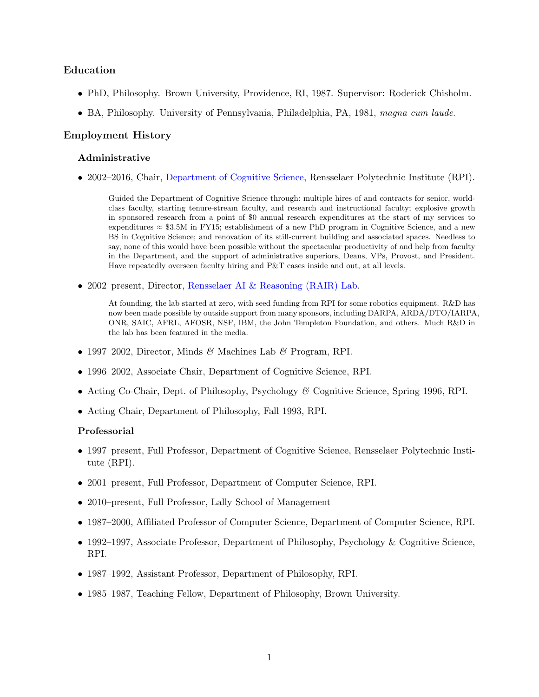### Education

- PhD, Philosophy. Brown University, Providence, RI, 1987. Supervisor: Roderick Chisholm.
- BA, Philosophy. University of Pennsylvania, Philadelphia, PA, 1981, magna cum laude.

### Employment History

#### Administrative

• 2002–2016, Chair, [Department of Cognitive Science,](http://www.cogsci.rpi.edu) Rensselaer Polytechnic Institute (RPI).

<span id="page-2-0"></span>Guided the Department of Cognitive Science through: multiple hires of and contracts for senior, worldclass faculty, starting tenure-stream faculty, and research and instructional faculty; explosive growth in sponsored research from a point of \$0 annual research expenditures at the start of my services to expenditures  $\approx$  \$3.5M in FY15; establishment of a new PhD program in Cognitive Science, and a new BS in Cognitive Science; and renovation of its still-current building and associated spaces. Needless to say, none of this would have been possible without the spectacular productivity of and help from faculty in the Department, and the support of administrative superiors, Deans, VPs, Provost, and President. Have repeatedly overseen faculty hiring and P&T cases inside and out, at all levels.

• 2002–present, Director, [Rensselaer AI & Reasoning \(RAIR\) Lab.](http://rair.cogsci.rpi.edu)

At founding, the lab started at zero, with seed funding from RPI for some robotics equipment. R&D has now been made possible by outside support from many sponsors, including DARPA, ARDA/DTO/IARPA, ONR, SAIC, AFRL, AFOSR, NSF, IBM, the John Templeton Foundation, and others. Much R&D in the lab has been featured in the media.

- 1997–2002, Director, Minds & Machines Lab & Program, RPI.
- 1996–2002, Associate Chair, Department of Cognitive Science, RPI.
- Acting Co-Chair, Dept. of Philosophy, Psychology & Cognitive Science, Spring 1996, RPI.
- Acting Chair, Department of Philosophy, Fall 1993, RPI.

#### Professorial

- 1997–present, Full Professor, Department of Cognitive Science, Rensselaer Polytechnic Institute (RPI).
- 2001–present, Full Professor, Department of Computer Science, RPI.
- 2010–present, Full Professor, Lally School of Management
- 1987–2000, Affiliated Professor of Computer Science, Department of Computer Science, RPI.
- 1992–1997, Associate Professor, Department of Philosophy, Psychology & Cognitive Science, RPI.
- 1987–1992, Assistant Professor, Department of Philosophy, RPI.
- 1985–1987, Teaching Fellow, Department of Philosophy, Brown University.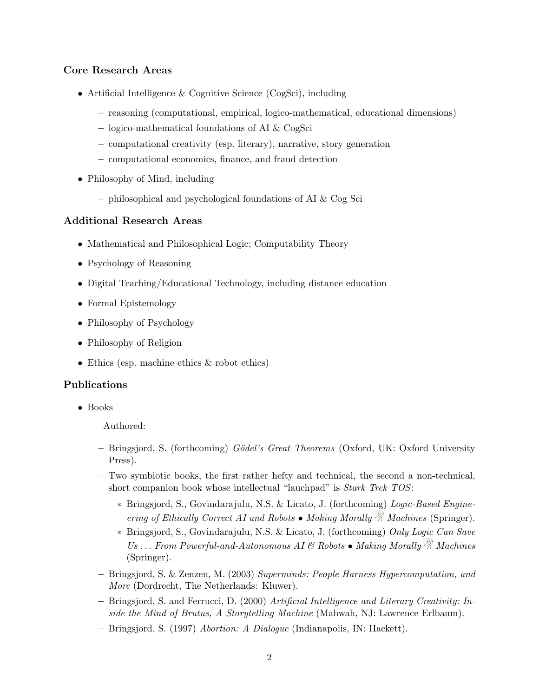## Core Research Areas

- Artificial Intelligence & Cognitive Science (CogSci), including
	- reasoning (computational, empirical, logico-mathematical, educational dimensions)
	- logico-mathematical foundations of AI & CogSci
	- computational creativity (esp. literary), narrative, story generation
	- computational economics, finance, and fraud detection
- Philosophy of Mind, including
	- philosophical and psychological foundations of AI & Cog Sci

#### Additional Research Areas

- Mathematical and Philosophical Logic; Computability Theory
- Psychology of Reasoning
- Digital Teaching/Educational Technology, including distance education
- Formal Epistemology
- Philosophy of Psychology
- Philosophy of Religion
- Ethics (esp. machine ethics  $\&$  robot ethics)

#### Publications

• Books

<span id="page-3-2"></span><span id="page-3-1"></span><span id="page-3-0"></span>Authored:

- $-$  Bringsjord, S. (forthcoming) Gödel's Great Theorems (Oxford, UK: Oxford University Press).
- Two symbiotic books, the first rather hefty and technical, the second a non-technical, short companion book whose intellectual "lauchpad" is Stark Trek TOS:
	- ∗ Bringsjord, S., Govindarajulu, N.S. & Licato, J. (forthcoming) Logic-Based Engineering of Ethically Correct AI and Robots • Making Morally  $\mathbb{N}$  Machines (Springer).
	- ∗ Bringsjord, S., Govindarajulu, N.S. & Licato, J. (forthcoming) Only Logic Can Save Us ... From Powerful-and-Autonomous AI & Robots • Making Morally  $\mathbb{R}^3$  Machines (Springer).
- Bringsjord, S. & Zenzen, M. (2003) Superminds: People Harness Hypercomputation, and More (Dordrecht, The Netherlands: Kluwer).
- Bringsjord, S. and Ferrucci, D. (2000) Artificial Intelligence and Literary Creativity: Inside the Mind of Brutus, A Storytelling Machine (Mahwah, NJ: Lawrence Erlbaum).
- Bringsjord, S. (1997) Abortion: A Dialogue (Indianapolis, IN: Hackett).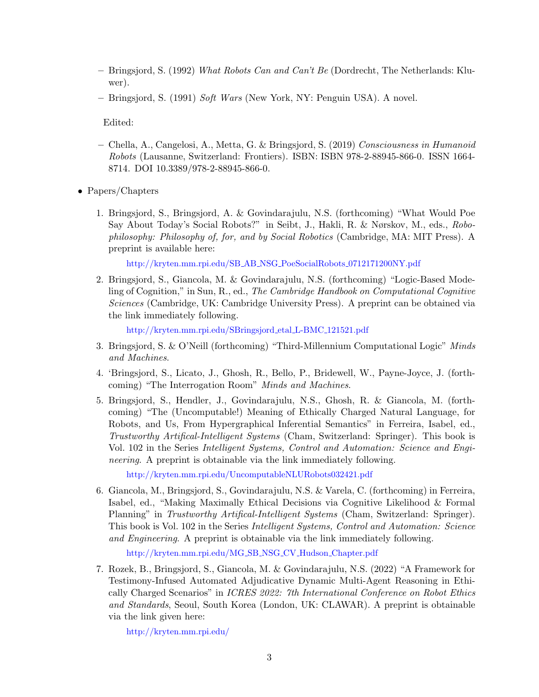- Bringsjord, S. (1992) What Robots Can and Can't Be (Dordrecht, The Netherlands: Kluwer).
- Bringsjord, S. (1991) Soft Wars (New York, NY: Penguin USA). A novel.

<span id="page-4-0"></span>Edited:

- <span id="page-4-1"></span>– Chella, A., Cangelosi, A., Metta, G. & Bringsjord, S. (2019) Consciousness in Humanoid Robots (Lausanne, Switzerland: Frontiers). ISBN: ISBN 978-2-88945-866-0. ISSN 1664- 8714. DOI 10.3389/978-2-88945-866-0.
- Papers/Chapters
	- 1. Bringsjord, S., Bringsjord, A. & Govindarajulu, N.S. (forthcoming) "What Would Poe Say About Today's Social Robots?" in Seibt, J., Hakli, R. & Nørskov, M., eds., Robophilosophy: Philosophy of, for, and by Social Robotics (Cambridge, MA: MIT Press). A preprint is available here:

[http://kryten.mm.rpi.edu/SB](http://kryten.mm.rpi.edu/SB_AB_NSG_PoeSocialRobots_0712171200NY.pdf) AB NSG PoeSocialRobots 0712171200NY.pdf

2. Bringsjord, S., Giancola, M. & Govindarajulu, N.S. (forthcoming) "Logic-Based Modeling of Cognition," in Sun, R., ed., The Cambridge Handbook on Computational Cognitive Sciences (Cambridge, UK: Cambridge University Press). A preprint can be obtained via the link immediately following.

```
http://kryten.mm.rpi.edu/SBringsjord etal L-BMC 121521.pdf
```
- 3. Bringsjord, S. & O'Neill (forthcoming) "Third-Millennium Computational Logic" Minds and Machines.
- 4. 'Bringsjord, S., Licato, J., Ghosh, R., Bello, P., Bridewell, W., Payne-Joyce, J. (forthcoming) "The Interrogation Room" Minds and Machines.
- 5. Bringsjord, S., Hendler, J., Govindarajulu, N.S., Ghosh, R. & Giancola, M. (forthcoming) "The (Uncomputable!) Meaning of Ethically Charged Natural Language, for Robots, and Us, From Hypergraphical Inferential Semantics" in Ferreira, Isabel, ed., Trustworthy Artifical-Intelligent Systems (Cham, Switzerland: Springer). This book is Vol. 102 in the Series Intelligent Systems, Control and Automation: Science and Engineering. A preprint is obtainable via the link immediately following.

<http://kryten.mm.rpi.edu/UncomputableNLURobots032421.pdf>

6. Giancola, M., Bringsjord, S., Govindarajulu, N.S. & Varela, C. (forthcoming) in Ferreira, Isabel, ed., "Making Maximally Ethical Decisions via Cognitive Likelihood & Formal Planning" in Trustworthy Artifical-Intelligent Systems (Cham, Switzerland: Springer). This book is Vol. 102 in the Series Intelligent Systems, Control and Automation: Science and Engineering. A preprint is obtainable via the link immediately following.

[http://kryten.mm.rpi.edu/MG](http://kryten.mm.rpi.edu/MG_SB_NSG_CV_Hudson_Chapter.pdf) SB NSG CV Hudson Chapter.pdf

7. Rozek, B., Bringsjord, S., Giancola, M. & Govindarajulu, N.S. (2022) "A Framework for Testimony-Infused Automated Adjudicative Dynamic Multi-Agent Reasoning in Ethically Charged Scenarios" in ICRES 2022: 7th International Conference on Robot Ethics and Standards, Seoul, South Korea (London, UK: CLAWAR). A preprint is obtainable via the link given here:

<http://kryten.mm.rpi.edu/>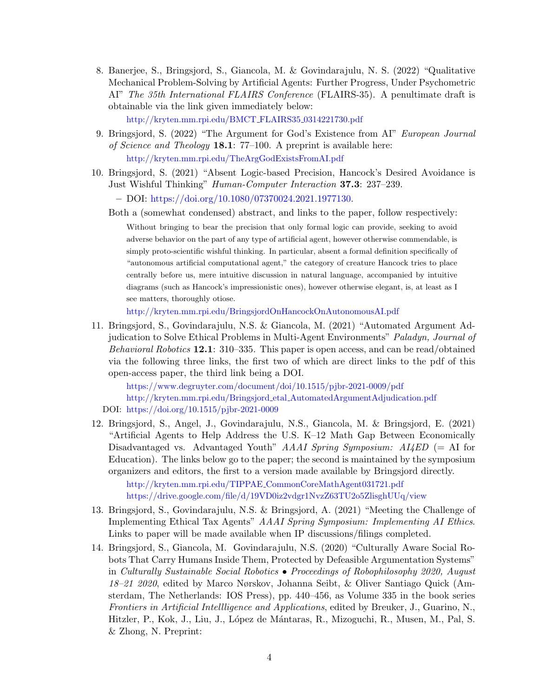8. Banerjee, S., Bringsjord, S., Giancola, M. & Govindarajulu, N. S. (2022) "Qualitative Mechanical Problem-Solving by Artificial Agents: Further Progress, Under Psychometric AI" The 35th International FLAIRS Conference (FLAIRS-35). A penultimate draft is obtainable via the link given immediately below:

[http://kryten.mm.rpi.edu/BMCT](http://kryten.mm.rpi.edu/BMCT_FLAIRS35_0314221730.pdf) FLAIRS35 0314221730.pdf

- 9. Bringsjord, S. (2022) "The Argument for God's Existence from AI" European Journal of Science and Theology 18.1: 77–100. A preprint is available here: <http://kryten.mm.rpi.edu/TheArgGodExistsFromAI.pdf>
- 10. Bringsjord, S. (2021) "Absent Logic-based Precision, Hancock's Desired Avoidance is Just Wishful Thinking" Human-Computer Interaction 37.3: 237–239.

– DOI: [https://doi.org/10.1080/07370024.2021.1977130.](https://doi.org/10.1080/07370024.2021.1977130)

Both a (somewhat condensed) abstract, and links to the paper, follow respectively:

Without bringing to bear the precision that only formal logic can provide, seeking to avoid adverse behavior on the part of any type of artificial agent, however otherwise commendable, is simply proto-scientific wishful thinking. In particular, absent a formal definition specifically of "autonomous artificial computational agent," the category of creature Hancock tries to place centrally before us, mere intuitive discussion in natural language, accompanied by intuitive diagrams (such as Hancock's impressionistic ones), however otherwise elegant, is, at least as I see matters, thoroughly otiose.

<http://kryten.mm.rpi.edu/BringsjordOnHancockOnAutonomousAI.pdf>

11. Bringsjord, S., Govindarajulu, N.S. & Giancola, M. (2021) "Automated Argument Adjudication to Solve Ethical Problems in Multi-Agent Environments" Paladyn, Journal of Behavioral Robotics 12.1: 310–335. This paper is open access, and can be read/obtained via the following three links, the first two of which are direct links to the pdf of this open-access paper, the third link being a DOI.

<https://www.degruyter.com/document/doi/10.1515/pjbr-2021-0009/pdf> http://kryten.mm.rpi.edu/Bringsjord etal [AutomatedArgumentAdjudication.pdf](http://kryten.mm.rpi.edu/Bringsjord_etal_AutomatedArgumentAdjudication.pdf) DOI: <https://doi.org/10.1515/pjbr-2021-0009>

12. Bringsjord, S., Angel, J., Govindarajulu, N.S., Giancola, M. & Bringsjord, E. (2021) "Artificial Agents to Help Address the U.S. K–12 Math Gap Between Economically Disadvantaged vs. Advantaged Youth"  $A A A I$  Spring Symposium:  $A I 4 E D$  (= AI for Education). The links below go to the paper; the second is maintained by the symposium organizers and editors, the first to a version made available by Bringsjord directly.

http://kryten.mm.rpi.edu/TIPPAE [CommonCoreMathAgent031721.pdf](http://kryten.mm.rpi.edu/TIPPAE_CommonCoreMathAgent031721.pdf) <https://drive.google.com/file/d/19VD0iz2vdgr1NvzZ63TU2o5ZlisghUUq/view>

- 13. Bringsjord, S., Govindarajulu, N.S. & Bringsjord, A. (2021) "Meeting the Challenge of Implementing Ethical Tax Agents" AAAI Spring Symposium: Implementing AI Ethics. Links to paper will be made available when IP discussions/filings completed.
- 14. Bringsjord, S., Giancola, M. Govindarajulu, N.S. (2020) "Culturally Aware Social Robots That Carry Humans Inside Them, Protected by Defeasible Argumentation Systems" in Culturally Sustainable Social Robotics • Proceedings of Robophilosophy 2020, August 18–21 2020, edited by Marco Nørskov, Johanna Seibt, & Oliver Santiago Quick (Amsterdam, The Netherlands: IOS Press), pp. 440–456, as Volume 335 in the book series Frontiers in Artificial Intellligence and Applications, edited by Breuker, J., Guarino, N., Hitzler, P., Kok, J., Liu, J., López de Mántaras, R., Mizoguchi, R., Musen, M., Pal, S. & Zhong, N. Preprint: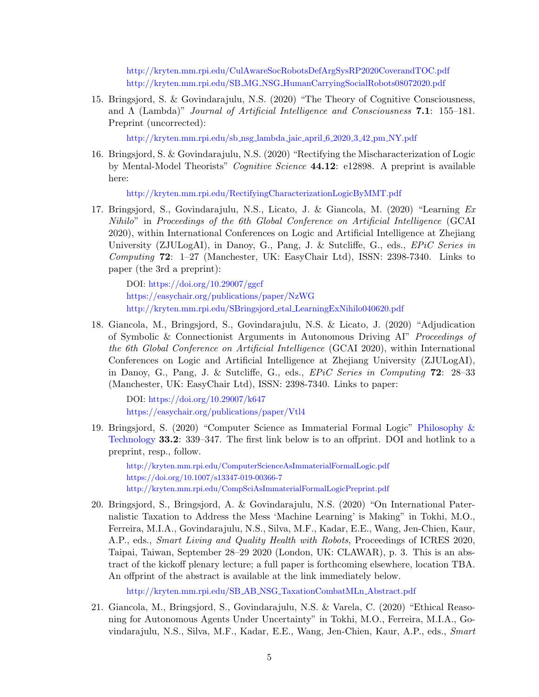<http://kryten.mm.rpi.edu/CulAwareSocRobotsDefArgSysRP2020CoverandTOC.pdf> http://kryten.mm.rpi.edu/SB MG NSG [HumanCarryingSocialRobots08072020.pdf](http://kryten.mm.rpi.edu/SB_MG_NSG_HumanCarryingSocialRobots08072020.pdf)

15. Bringsjord, S. & Govindarajulu, N.S. (2020) "The Theory of Cognitive Consciousness, and  $\Lambda$  (Lambda)" Journal of Artificial Intelligence and Consciousness 7.1: 155–181. Preprint (uncorrected):

[http://kryten.mm.rpi.edu/sb](http://kryten.mm.rpi.edu/sb_nsg_lambda_jaic_april_6_2020_3_42_pm_NY.pdf) nsg lambda jaic april 6 2020 3 42 pm NY.pdf

16. Bringsjord, S. & Govindarajulu, N.S. (2020) "Rectifying the Mischaracterization of Logic by Mental-Model Theorists" Cognitive Science 44.12: e12898. A preprint is available here:

<http://kryten.mm.rpi.edu/RectifyingCharacterizationLogicByMMT.pdf>

17. Bringsjord, S., Govindarajulu, N.S., Licato, J. & Giancola, M. (2020) "Learning Ex Nihilo" in Proceedings of the 6th Global Conference on Artificial Intelligence (GCAI 2020), within International Conferences on Logic and Artificial Intelligence at Zhejiang University (ZJULogAI), in Danoy, G., Pang, J. & Sutcliffe, G., eds., EPiC Series in Computing  $72: 1-27$  (Manchester, UK: EasyChair Ltd), ISSN: 2398-7340. Links to paper (the 3rd a preprint):

DOI: <https://doi.org/10.29007/ggcf> <https://easychair.org/publications/paper/NzWG> [http://kryten.mm.rpi.edu/SBringsjord](http://kryten.mm.rpi.edu/SBringsjord_etal_LearningExNihilo040620.pdf) etal LearningExNihilo040620.pdf

18. Giancola, M., Bringsjord, S., Govindarajulu, N.S. & Licato, J. (2020) "Adjudication of Symbolic & Connectionist Arguments in Autonomous Driving AI" Proceedings of the 6th Global Conference on Artificial Intelligence (GCAI 2020), within International Conferences on Logic and Artificial Intelligence at Zhejiang University (ZJULogAI), in Danoy, G., Pang, J. & Sutcliffe, G., eds., EPiC Series in Computing 72: 28–33 (Manchester, UK: EasyChair Ltd), ISSN: 2398-7340. Links to paper:

DOI: <https://doi.org/10.29007/k647> <https://easychair.org/publications/paper/Vtl4>

19. Bringsjord, S. (2020) "Computer Science as Immaterial Formal Logic" [Philosophy &](https://www.springer.com/journal/13347) [Technology](https://www.springer.com/journal/13347) 33.2: 339–347. The first link below is to an offprint. DOI and hotlink to a preprint, resp., follow.

<http://kryten.mm.rpi.edu/ComputerScienceAsImmaterialFormalLogic.pdf> <https://doi.org/10.1007/s13347-019-00366-7> <http://kryten.mm.rpi.edu/CompSciAsImmaterialFormalLogicPreprint.pdf>

20. Bringsjord, S., Bringsjord, A. & Govindarajulu, N.S. (2020) "On International Paternalistic Taxation to Address the Mess 'Machine Learning' is Making" in Tokhi, M.O., Ferreira, M.I.A., Govindarajulu, N.S., Silva, M.F., Kadar, E.E., Wang, Jen-Chien, Kaur, A.P., eds., Smart Living and Quality Health with Robots, Proceedings of ICRES 2020, Taipai, Taiwan, September 28–29 2020 (London, UK: CLAWAR), p. 3. This is an abstract of the kickoff plenary lecture; a full paper is forthcoming elsewhere, location TBA. An offprint of the abstract is available at the link immediately below.

[http://kryten.mm.rpi.edu/SB](http://kryten.mm.rpi.edu/SB_AB_NSG_TaxationCombatMLn_Abstract.pdf) AB NSG TaxationCombatMLn Abstract.pdf

21. Giancola, M., Bringsjord, S., Govindarajulu, N.S. & Varela, C. (2020) "Ethical Reasoning for Autonomous Agents Under Uncertainty" in Tokhi, M.O., Ferreira, M.I.A., Govindarajulu, N.S., Silva, M.F., Kadar, E.E., Wang, Jen-Chien, Kaur, A.P., eds., Smart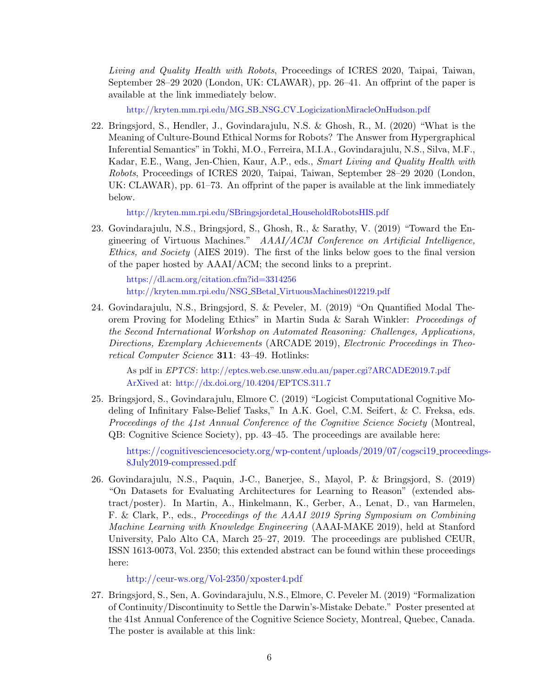Living and Quality Health with Robots, Proceedings of ICRES 2020, Taipai, Taiwan, September 28–29 2020 (London, UK: CLAWAR), pp. 26–41. An offprint of the paper is available at the link immediately below.

http://kryten.mm.rpi.edu/MG SB NSG CV [LogicizationMiracleOnHudson.pdf](http://kryten.mm.rpi.edu/MG_SB_NSG_CV_LogicizationMiracleOnHudson.pdf)

22. Bringsjord, S., Hendler, J., Govindarajulu, N.S. & Ghosh, R., M. (2020) "What is the Meaning of Culture-Bound Ethical Norms for Robots? The Answer from Hypergraphical Inferential Semantics" in Tokhi, M.O., Ferreira, M.I.A., Govindarajulu, N.S., Silva, M.F., Kadar, E.E., Wang, Jen-Chien, Kaur, A.P., eds., Smart Living and Quality Health with Robots, Proceedings of ICRES 2020, Taipai, Taiwan, September 28–29 2020 (London, UK: CLAWAR), pp. 61–73. An offprint of the paper is available at the link immediately below.

[http://kryten.mm.rpi.edu/SBringsjordetal](http://kryten.mm.rpi.edu/SBringsjordetal_HouseholdRobotsHIS.pdf) HouseholdRobotsHIS.pdf

23. Govindarajulu, N.S., Bringsjord, S., Ghosh, R., & Sarathy, V. (2019) "Toward the Engineering of Virtuous Machines." AAAI/ACM Conference on Artificial Intelligence, Ethics, and Society (AIES 2019). The first of the links below goes to the final version of the paper hosted by AAAI/ACM; the second links to a preprint.

<https://dl.acm.org/citation.cfm?id=3314256> [http://kryten.mm.rpi.edu/NSG](http://kryten.mm.rpi.edu/NSG_SBetal_VirtuousMachines012219.pdf) SBetal VirtuousMachines012219.pdf

24. Govindarajulu, N.S., Bringsjord, S. & Peveler, M. (2019) "On Quantified Modal Theorem Proving for Modeling Ethics" in Martin Suda & Sarah Winkler: Proceedings of the Second International Workshop on Automated Reasoning: Challenges, Applications, Directions, Exemplary Achievements (ARCADE 2019), Electronic Proceedings in Theoretical Computer Science 311: 43–49. Hotlinks:

As pdf in EPTCS: <http://eptcs.web.cse.unsw.edu.au/paper.cgi?ARCADE2019.7.pdf> [ArXived](https://arxiv.org/abs/1912.12959) at: <http://dx.doi.org/10.4204/EPTCS.311.7>

25. Bringsjord, S., Govindarajulu, Elmore C. (2019) "Logicist Computational Cognitive Modeling of Infinitary False-Belief Tasks," In A.K. Goel, C.M. Seifert, & C. Freksa, eds. Proceedings of the 41st Annual Conference of the Cognitive Science Society (Montreal, QB: Cognitive Science Society), pp. 43–45. The proceedings are available here:

[https://cognitivesciencesociety.org/wp-content/uploads/2019/07/cogsci19](https://cognitivesciencesociety.org/wp-content/uploads/2019/07/cogsci19_proceedings-8July2019-compressed.pdf) proceedings-[8July2019-compressed.pdf](https://cognitivesciencesociety.org/wp-content/uploads/2019/07/cogsci19_proceedings-8July2019-compressed.pdf)

26. Govindarajulu, N.S., Paquin, J-C., Banerjee, S., Mayol, P. & Bringsjord, S. (2019) "On Datasets for Evaluating Architectures for Learning to Reason" (extended abstract/poster). In Martin, A., Hinkelmann, K., Gerber, A., Lenat, D., van Harmelen, F. & Clark, P., eds., Proceedings of the AAAI 2019 Spring Symposium on Combining Machine Learning with Knowledge Engineering (AAAI-MAKE 2019), held at Stanford University, Palo Alto CA, March 25–27, 2019. The proceedings are published CEUR, ISSN 1613-0073, Vol. 2350; this extended abstract can be found within these proceedings here:

<http://ceur-ws.org/Vol-2350/xposter4.pdf>

27. Bringsjord, S., Sen, A. Govindarajulu, N.S., Elmore, C. Peveler M. (2019) "Formalization of Continuity/Discontinuity to Settle the Darwin's-Mistake Debate." Poster presented at the 41st Annual Conference of the Cognitive Science Society, Montreal, Quebec, Canada. The poster is available at this link: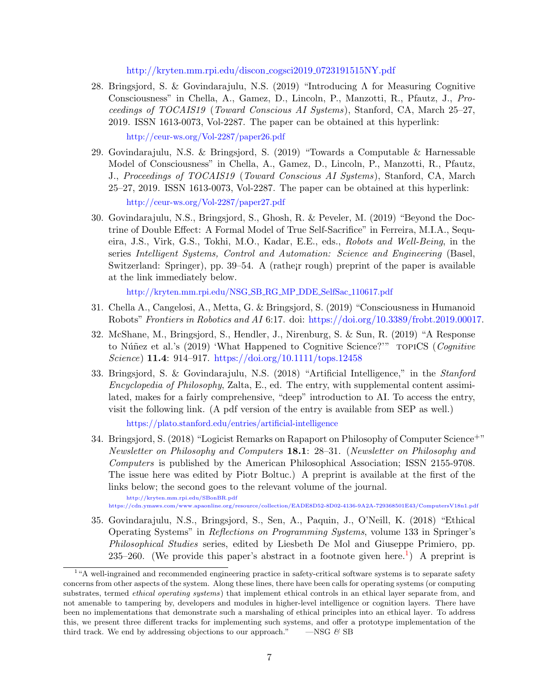[http://kryten.mm.rpi.edu/discon](http://kryten.mm.rpi.edu/discon_cogsci2019_0723191515NY.pdf) cogsci2019 0723191515NY.pdf

28. Bringsjord, S. & Govindarajulu, N.S. (2019) "Introducing Λ for Measuring Cognitive Consciousness" in Chella, A., Gamez, D., Lincoln, P., Manzotti, R., Pfautz, J., Proceedings of TOCAIS19 (Toward Conscious AI Systems), Stanford, CA, March 25–27, 2019. ISSN 1613-0073, Vol-2287. The paper can be obtained at this hyperlink:

<http://ceur-ws.org/Vol-2287/paper26.pdf>

- 29. Govindarajulu, N.S. & Bringsjord, S. (2019) "Towards a Computable & Harnessable Model of Consciousness" in Chella, A., Gamez, D., Lincoln, P., Manzotti, R., Pfautz, J., Proceedings of TOCAIS19 (Toward Conscious AI Systems), Stanford, CA, March 25–27, 2019. ISSN 1613-0073, Vol-2287. The paper can be obtained at this hyperlink: <http://ceur-ws.org/Vol-2287/paper27.pdf>
- 30. Govindarajulu, N.S., Bringsjord, S., Ghosh, R. & Peveler, M. (2019) "Beyond the Doctrine of Double Effect: A Formal Model of True Self-Sacrifice" in Ferreira, M.I.A., Sequeira, J.S., Virk, G.S., Tokhi, M.O., Kadar, E.E., eds., Robots and Well-Being, in the series Intelligent Systems, Control and Automation: Science and Engineering (Basel, Switzerland: Springer), pp. 39–54. A (rathe¡r rough) preprint of the paper is available at the link immediately below.

[http://kryten.mm.rpi.edu/NSG](http://kryten.mm.rpi.edu/NSG_SB_RG_MP_DDE_SelfSac_110617.pdf) SB RG MP DDE SelfSac 110617.pdf

- 31. Chella A., Cangelosi, A., Metta, G. & Bringsjord, S. (2019) "Consciousness in Humanoid Robots" Frontiers in Robotics and AI 6:17. doi: [https://doi.org/10.3389/frobt.2019.00017.](https://doi.org/10.3389/frobt.2019.00017)
- 32. McShane, M., Bringsjord, S., Hendler, J., Nirenburg, S. & Sun, R. (2019) "A Response to Núñez et al.'s (2019) 'What Happened to Cognitive Science?'" TOPICS (Cognitive Science) 11.4: 914–917. [https://doi.org/10.1111/tops.12458](https://doi.org/10.1111/tops.12458 )
- 33. Bringsjord, S. & Govindarajulu, N.S. (2018) "Artificial Intelligence," in the Stanford Encyclopedia of Philosophy, Zalta, E., ed. The entry, with supplemental content assimilated, makes for a fairly comprehensive, "deep" introduction to AI. To access the entry, visit the following link. (A pdf version of the entry is available from SEP as well.) <https://plato.stanford.edu/entries/artificial-intelligence>
- 34. Bringsjord, S. (2018) "Logicist Remarks on Rapaport on Philosophy of Computer Science+" Newsletter on Philosophy and Computers 18.1: 28–31. (Newsletter on Philosophy and Computers is published by the American Philosophical Association; ISSN 2155-9708. The issue here was edited by Piotr Boltuc.) A preprint is available at the first of the links below; the second goes to the relevant volume of the journal.

<http://kryten.mm.rpi.edu/SBonBR.pdf> <https://cdn.ymaws.com/www.apaonline.org/resource/collection/EADE8D52-8D02-4136-9A2A-729368501E43/ComputersV18n1.pdf>

35. Govindarajulu, N.S., Bringsjord, S., Sen, A., Paquin, J., O'Neill, K. (2018) "Ethical Operating Systems" in Reflections on Programming Systems, volume 133 in Springer's Philosophical Studies series, edited by Liesbeth De Mol and Giuseppe Primiero, pp. 235–260. (We provide this paper's abstract in a footnote given here.<sup>[1](#page-8-0)</sup>) A preprint is

<span id="page-8-0"></span><sup>&</sup>lt;sup>1</sup>"A well-ingrained and recommended engineering practice in safety-critical software systems is to separate safety concerns from other aspects of the system. Along these lines, there have been calls for operating systems (or computing substrates, termed *ethical operating systems*) that implement ethical controls in an ethical layer separate from, and not amenable to tampering by, developers and modules in higher-level intelligence or cognition layers. There have been no implementations that demonstrate such a marshaling of ethical principles into an ethical layer. To address this, we present three different tracks for implementing such systems, and offer a prototype implementation of the third track. We end by addressing objections to our approach." —NSG  $\mathcal{C}$  SB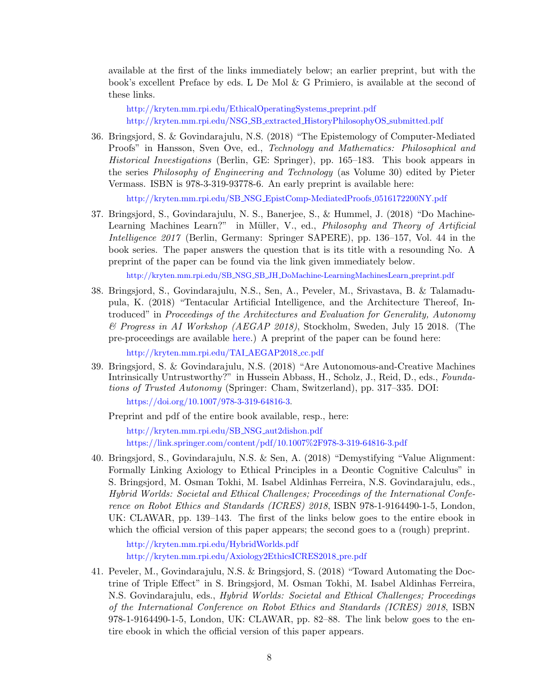available at the first of the links immediately below; an earlier preprint, but with the book's excellent Preface by eds. L De Mol & G Primiero, is available at the second of these links.

[http://kryten.mm.rpi.edu/EthicalOperatingSystems](http://kryten.mm.rpi.edu/EthicalOperatingSystems_preprint.pdf)\_preprint.pdf [http://kryten.mm.rpi.edu/NSG](http://kryten.mm.rpi.edu/NSG_SB_extracted_HistoryPhilosophyOS_submitted.pdf) SB extracted HistoryPhilosophyOS submitted.pdf

36. Bringsjord, S. & Govindarajulu, N.S. (2018) "The Epistemology of Computer-Mediated Proofs" in Hansson, Sven Ove, ed., Technology and Mathematics: Philosophical and Historical Investigations (Berlin, GE: Springer), pp. 165–183. This book appears in the series Philosophy of Engineering and Technology (as Volume 30) edited by Pieter Vermass. ISBN is 978-3-319-93778-6. An early preprint is available here:

[http://kryten.mm.rpi.edu/SB](http://kryten.mm.rpi.edu/SB_NSG_EpistComp-MediatedProofs_0516172200NY.pdf) NSG EpistComp-MediatedProofs 0516172200NY.pdf

37. Bringsjord, S., Govindarajulu, N. S., Banerjee, S., & Hummel, J. (2018) "Do Machine-Learning Machines Learn?" in Müller, V., ed., Philosophy and Theory of Artificial Intelligence 2017 (Berlin, Germany: Springer SAPERE), pp. 136–157, Vol. 44 in the book series. The paper answers the question that is its title with a resounding No. A preprint of the paper can be found via the link given immediately below.

http://kryten.mm.rpi.edu/SB NSG SB JH [DoMachine-LearningMachinesLearn](http://kryten.mm.rpi.edu/SB_NSG_SB_JH_DoMachine-LearningMachinesLearn_preprint.pdf) preprint.pdf

38. Bringsjord, S., Govindarajulu, N.S., Sen, A., Peveler, M., Srivastava, B. & Talamadupula, K. (2018) "Tentacular Artificial Intelligence, and the Architecture Thereof, Introduced" in Proceedings of the Architectures and Evaluation for Generality, Autonomy & Progress in AI Workshop (AEGAP 2018), Stockholm, Sweden, July 15 2018. (The pre-proceedings are available [here.](http://cadia.ru.is/workshops/aegap2018)) A preprint of the paper can be found here:

[http://kryten.mm.rpi.edu/TAI](http://kryten.mm.rpi.edu/TAI_AEGAP2018_cc.pdf) AEGAP2018 cc.pdf

39. Bringsjord, S. & Govindarajulu, N.S. (2018) "Are Autonomous-and-Creative Machines Intrinsically Untrustworthy?" in Hussein Abbass, H., Scholz, J., Reid, D., eds., Foundations of Trusted Autonomy (Springer: Cham, Switzerland), pp. 317–335. DOI:

[https://doi.org/10.1007/978-3-319-64816-3.](https://doi.org/10.1007/978-3-319-64816-3)

Preprint and pdf of the entire book available, resp., here:

[http://kryten.mm.rpi.edu/SB](http://kryten.mm.rpi.edu/SB_NSG_aut2dishon.pdf) NSG aut2dishon.pdf <https://link.springer.com/content/pdf/10.1007%2F978-3-319-64816-3.pdf>

40. Bringsjord, S., Govindarajulu, N.S. & Sen, A. (2018) "Demystifying "Value Alignment: Formally Linking Axiology to Ethical Principles in a Deontic Cognitive Calculus" in S. Bringsjord, M. Osman Tokhi, M. Isabel Aldinhas Ferreira, N.S. Govindarajulu, eds., Hybrid Worlds: Societal and Ethical Challenges; Proceedings of the International Conference on Robot Ethics and Standards (ICRES) 2018, ISBN 978-1-9164490-1-5, London, UK: CLAWAR, pp. 139–143. The first of the links below goes to the entire ebook in which the official version of this paper appears; the second goes to a (rough) preprint.

<http://kryten.mm.rpi.edu/HybridWorlds.pdf> [http://kryten.mm.rpi.edu/Axiology2EthicsICRES2018](http://kryten.mm.rpi.edu/Axiology2EthicsICRES2018_pre.pdf) pre.pdf

41. Peveler, M., Govindarajulu, N.S. & Bringsjord, S. (2018) "Toward Automating the Doctrine of Triple Effect" in S. Bringsjord, M. Osman Tokhi, M. Isabel Aldinhas Ferreira, N.S. Govindarajulu, eds., Hybrid Worlds: Societal and Ethical Challenges; Proceedings of the International Conference on Robot Ethics and Standards (ICRES) 2018, ISBN 978-1-9164490-1-5, London, UK: CLAWAR, pp. 82–88. The link below goes to the entire ebook in which the official version of this paper appears.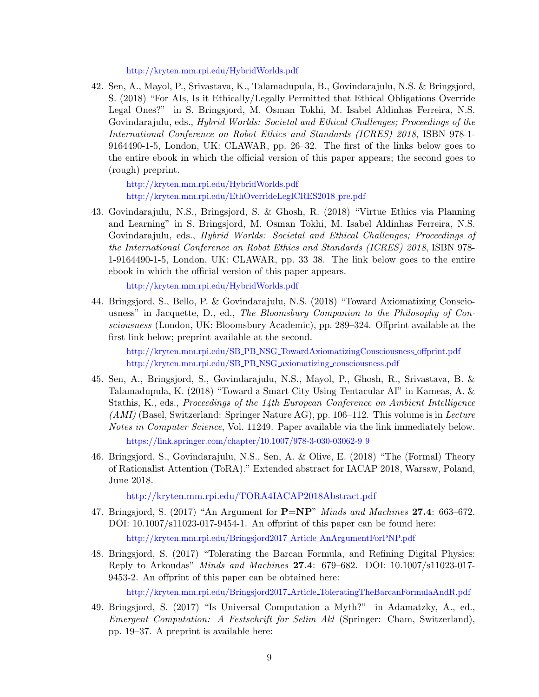#### <http://kryten.mm.rpi.edu/HybridWorlds.pdf>

42. Sen, A., Mayol, P., Srivastava, K., Talamadupula, B., Govindarajulu, N.S. & Bringsjord, S. (2018) "For AIs, Is it Ethically/Legally Permitted that Ethical Obligations Override Legal Ones?" in S. Bringsjord, M. Osman Tokhi, M. Isabel Aldinhas Ferreira, N.S. Govindarajulu, eds., Hybrid Worlds: Societal and Ethical Challenges; Proceedings of the International Conference on Robot Ethics and Standards (ICRES) 2018, ISBN 978-1- 9164490-1-5, London, UK: CLAWAR, pp. 26–32. The first of the links below goes to the entire ebook in which the official version of this paper appears; the second goes to (rough) preprint.

<http://kryten.mm.rpi.edu/HybridWorlds.pdf> [http://kryten.mm.rpi.edu/EthOverrideLegICRES2018](http://kryten.mm.rpi.edu/EthOverrideLegICRES2018_pre.pdf)\_pre.pdf

43. Govindarajulu, N.S., Bringsjord, S. & Ghosh, R. (2018) "Virtue Ethics via Planning and Learning" in S. Bringsjord, M. Osman Tokhi, M. Isabel Aldinhas Ferreira, N.S. Govindarajulu, eds., Hybrid Worlds: Societal and Ethical Challenges; Proceedings of the International Conference on Robot Ethics and Standards (ICRES) 2018, ISBN 978- 1-9164490-1-5, London, UK: CLAWAR, pp. 33–38. The link below goes to the entire ebook in which the official version of this paper appears.

<http://kryten.mm.rpi.edu/HybridWorlds.pdf>

44. Bringsjord, S., Bello, P. & Govindarajulu, N.S. (2018) "Toward Axiomatizing Consciousness" in Jacquette, D., ed., The Bloomsbury Companion to the Philosophy of Consciousness (London, UK: Bloomsbury Academic), pp. 289–324. Offprint available at the first link below; preprint available at the second.

http://kryten.mm.rpi.edu/SB PB NSG [TowardAxiomatizingConsciousness](http://kryten.mm.rpi.edu/SB_PB_NSG_TowardAxiomatizingConsciousness_offprint.pdf) offprint.pdf [http://kryten.mm.rpi.edu/SB](http://kryten.mm.rpi.edu/SB_PB_NSG_axiomatizing_consciousness.pdf) PB NSG axiomatizing consciousness.pdf

- 45. Sen, A., Bringsjord, S., Govindarajulu, N.S., Mayol, P., Ghosh, R., Srivastava, B. & Talamadupula, K. (2018) "Toward a Smart City Using Tentacular AI" in Kameas, A. & Stathis, K., eds., Proceedings of the 14th European Conference on Ambient Intelligence  $(AMI)$  (Basel, Switzerland: Springer Nature AG), pp. 106–112. This volume is in Lecture Notes in Computer Science, Vol. 11249. Paper available via the link immediately below. [https://link.springer.com/chapter/10.1007/978-3-030-03062-9](https://link.springer.com/chapter/10.1007/978-3-030-03062-9_9) 9
- 46. Bringsjord, S., Govindarajulu, N.S., Sen, A. & Olive, E. (2018) "The (Formal) Theory of Rationalist Attention (ToRA)." Extended abstract for IACAP 2018, Warsaw, Poland, June 2018.

<http://kryten.mm.rpi.edu/TORA4IACAP2018Abstract.pdf>

47. Bringsjord, S. (2017) "An Argument for  $P=NP$ " *Minds and Machines* 27.4: 663–672. DOI: 10.1007/s11023-017-9454-1. An offprint of this paper can be found here:

[http://kryten.mm.rpi.edu/Bringsjord2017](http://kryten.mm.rpi.edu/Bringsjord2017_Article_AnArgumentForPNP.pdf) Article AnArgumentForPNP.pdf

48. Bringsjord, S. (2017) "Tolerating the Barcan Formula, and Refining Digital Physics: Reply to Arkoudas" Minds and Machines 27.4: 679–682. DOI: 10.1007/s11023-017- 9453-2. An offprint of this paper can be obtained here:

[http://kryten.mm.rpi.edu/Bringsjord2017](http://kryten.mm.rpi.edu/Bringsjord2017_Article_ToleratingTheBarcanFormulaAndR.pdf) Article ToleratingTheBarcanFormulaAndR.pdf

49. Bringsjord, S. (2017) "Is Universal Computation a Myth?" in Adamatzky, A., ed., Emergent Computation: A Festschrift for Selim Akl (Springer: Cham, Switzerland), pp. 19–37. A preprint is available here: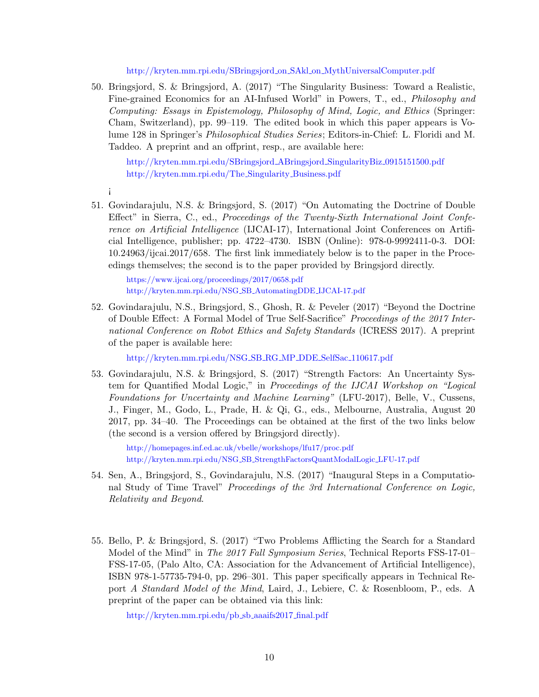[http://kryten.mm.rpi.edu/SBringsjord](http://kryten.mm.rpi.edu/SBringsjord_on_SAkl_on_MythUniversalComputer.pdf) on SAkl on MythUniversalComputer.pdf

50. Bringsjord, S. & Bringsjord, A. (2017) "The Singularity Business: Toward a Realistic, Fine-grained Economics for an AI-Infused World" in Powers, T., ed., Philosophy and Computing: Essays in Epistemology, Philosophy of Mind, Logic, and Ethics (Springer: Cham, Switzerland), pp. 99–119. The edited book in which this paper appears is Volume 128 in Springer's Philosophical Studies Series; Editors-in-Chief: L. Floridi and M. Taddeo. A preprint and an offprint, resp., are available here:

[http://kryten.mm.rpi.edu/SBringsjord](http://kryten.mm.rpi.edu/SBringsjord_ABringsjord_SingularityBiz_0915151500.pdf) ABringsjord SingularityBiz 0915151500.pdf [http://kryten.mm.rpi.edu/The](http://kryten.mm.rpi.edu/The_Singularity_Business.pdf) Singularity Business.pdf

- ¡
- 51. Govindarajulu, N.S. & Bringsjord, S. (2017) "On Automating the Doctrine of Double Effect" in Sierra, C., ed., Proceedings of the Twenty-Sixth International Joint Conference on Artificial Intelligence (IJCAI-17), International Joint Conferences on Artificial Intelligence, publisher; pp. 4722–4730. ISBN (Online): 978-0-9992411-0-3. DOI: 10.24963/ijcai.2017/658. The first link immediately below is to the paper in the Proceedings themselves; the second is to the paper provided by Bringsjord directly.

<https://www.ijcai.org/proceedings/2017/0658.pdf> [http://kryten.mm.rpi.edu/NSG](http://kryten.mm.rpi.edu/NSG_SB_AutomatingDDE_IJCAI-17.pdf) SB AutomatingDDE IJCAI-17.pdf

52. Govindarajulu, N.S., Bringsjord, S., Ghosh, R. & Peveler (2017) "Beyond the Doctrine of Double Effect: A Formal Model of True Self-Sacrifice" Proceedings of the 2017 International Conference on Robot Ethics and Safety Standards (ICRESS 2017). A preprint of the paper is available here:

[http://kryten.mm.rpi.edu/NSG](http://kryten.mm.rpi.edu/NSG_SB_RG_MP_DDE_SelfSac_110617.pdf) SB RG MP DDE SelfSac 110617.pdf

53. Govindarajulu, N.S. & Bringsjord, S. (2017) "Strength Factors: An Uncertainty System for Quantified Modal Logic," in Proceedings of the IJCAI Workshop on "Logical Foundations for Uncertainty and Machine Learning" (LFU-2017), Belle, V., Cussens, J., Finger, M., Godo, L., Prade, H. & Qi, G., eds., Melbourne, Australia, August 20 2017, pp. 34–40. The Proceedings can be obtained at the first of the two links below (the second is a version offered by Bringsjord directly).

<http://homepages.inf.ed.ac.uk/vbelle/workshops/lfu17/proc.pdf> http://kryten.mm.rpi.edu/NSG SB [StrengthFactorsQuantModalLogic](http://kryten.mm.rpi.edu/NSG_SB_StrengthFactorsQuantModalLogic_LFU-17.pdf) LFU-17.pdf

- 54. Sen, A., Bringsjord, S., Govindarajulu, N.S. (2017) "Inaugural Steps in a Computational Study of Time Travel" Proceedings of the 3rd International Conference on Logic, Relativity and Beyond.
- 55. Bello, P. & Bringsjord, S. (2017) "Two Problems Afflicting the Search for a Standard Model of the Mind" in *The 2017 Fall Symposium Series*, Technical Reports FSS-17-01-FSS-17-05, (Palo Alto, CA: Association for the Advancement of Artificial Intelligence), ISBN 978-1-57735-794-0, pp. 296–301. This paper specifically appears in Technical Report A Standard Model of the Mind, Laird, J., Lebiere, C. & Rosenbloom, P., eds. A preprint of the paper can be obtained via this link:

[http://kryten.mm.rpi.edu/pb](http://kryten.mm.rpi.edu/pb_sb_aaaifs2017_final.pdf) sb aaaifs2017 final.pdf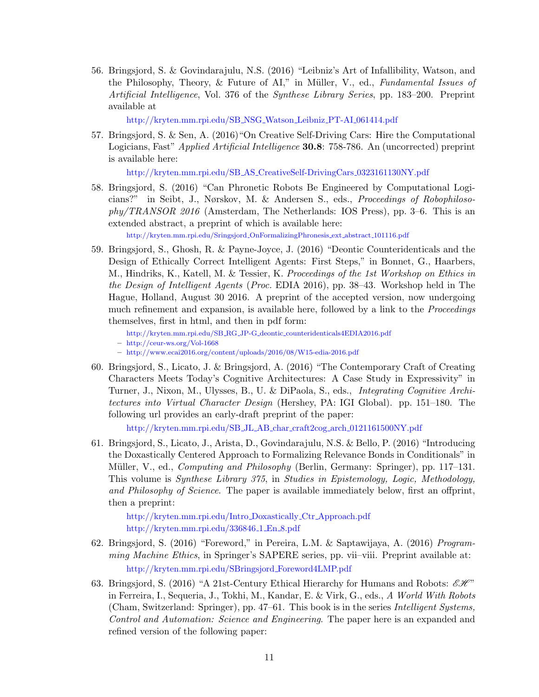56. Bringsjord, S. & Govindarajulu, N.S. (2016) "Leibniz's Art of Infallibility, Watson, and the Philosophy, Theory, & Future of AI," in Müller, V., ed., Fundamental Issues of Artificial Intelligence, Vol. 376 of the Synthese Library Series, pp. 183–200. Preprint available at

[http://kryten.mm.rpi.edu/SB](http://kryten.mm.rpi.edu/SB_NSG_Watson_Leibniz_PT-AI_061414.pdf) NSG Watson Leibniz PT-AI 061414.pdf

57. Bringsjord, S. & Sen, A. (2016)"On Creative Self-Driving Cars: Hire the Computational Logicians, Fast" Applied Artificial Intelligence **30.8**: 758-786. An (uncorrected) preprint is available here:

[http://kryten.mm.rpi.edu/SB](http://kryten.mm.rpi.edu/SB_AS_CreativeSelf-DrivingCars_0323161130NY.pdf) AS CreativeSelf-DrivingCars 0323161130NY.pdf

58. Bringsjord, S. (2016) "Can Phronetic Robots Be Engineered by Computational Logicians?" in Seibt, J., Nørskov, M. & Andersen S., eds., Proceedings of Robophilosophy/TRANSOR 2016 (Amsterdam, The Netherlands: IOS Press), pp. 3–6. This is an extended abstract, a preprint of which is available here:

[http://kryten.mm.rpi.edu/Sringsjord](http://kryten.mm.rpi.edu/Sringsjord_OnFormalizingPhronesis_ext_abstract_101116.pdf) OnFormalizingPhronesis ext abstract 101116.pdf

- 59. Bringsjord, S., Ghosh, R. & Payne-Joyce, J. (2016) "Deontic Counteridenticals and the Design of Ethically Correct Intelligent Agents: First Steps," in Bonnet, G., Haarbers, M., Hindriks, K., Katell, M. & Tessier, K. Proceedings of the 1st Workshop on Ethics in the Design of Intelligent Agents (Proc. EDIA 2016), pp. 38–43. Workshop held in The Hague, Holland, August 30 2016. A preprint of the accepted version, now undergoing much refinement and expansion, is available here, followed by a link to the *Proceedings* themselves, first in html, and then in pdf form:
	- http://kryten.mm.rpi.edu/SB RG JP-G deontic [counteridenticals4EDIA2016.pdf](http://kryten.mm.rpi.edu/SB_RG_JP-G_deontic_counteridenticals4EDIA2016.pdf)

- <http://www.ecai2016.org/content/uploads/2016/08/W15-edia-2016.pdf>
- 60. Bringsjord, S., Licato, J. & Bringsjord, A. (2016) "The Contemporary Craft of Creating Characters Meets Today's Cognitive Architectures: A Case Study in Expressivity" in Turner, J., Nixon, M., Ulysses, B., U. & DiPaola, S., eds., Integrating Cognitive Architectures into Virtual Character Design (Hershey, PA: IGI Global). pp. 151–180. The following url provides an early-draft preprint of the paper:

[http://kryten.mm.rpi.edu/SB](http://kryten.mm.rpi.edu/SB_JL_AB_char_craft2cog_arch_0121161500NY.pdf) JL AB char craft2cog arch 0121161500NY.pdf

61. Bringsjord, S., Licato, J., Arista, D., Govindarajulu, N.S. & Bello, P. (2016) "Introducing the Doxastically Centered Approach to Formalizing Relevance Bonds in Conditionals" in Müller, V., ed., *Computing and Philosophy* (Berlin, Germany: Springer), pp. 117–131. This volume is Synthese Library 375, in Studies in Epistemology, Logic, Methodology, and Philosophy of Science. The paper is available immediately below, first an offprint, then a preprint:

[http://kryten.mm.rpi.edu/Intro](http://kryten.mm.rpi.edu/Intro_Doxastically_Ctr_Approach.pdf) Doxastically Ctr Approach.pdf [http://kryten.mm.rpi.edu/336846](http://kryten.mm.rpi.edu/336846_1_En_8.pdf) 1 En 8.pdf

- 62. Bringsjord, S. (2016) "Foreword," in Pereira, L.M. & Saptawijaya, A. (2016) Programming Machine Ethics, in Springer's SAPERE series, pp. vii–viii. Preprint available at: [http://kryten.mm.rpi.edu/SBringsjord](http://kryten.mm.rpi.edu/SBringsjord_Foreword4LMP.pdf) Foreword4LMP.pdf
- 63. Bringsjord, S. (2016) "A 21st-Century Ethical Hierarchy for Humans and Robots:  $\mathscr{E} \mathscr{H}$ " in Ferreira, I., Sequeria, J., Tokhi, M., Kandar, E. & Virk, G., eds., A World With Robots (Cham, Switzerland: Springer), pp. 47–61. This book is in the series Intelligent Systems, Control and Automation: Science and Engineering. The paper here is an expanded and refined version of the following paper:

<sup>–</sup> <http://ceur-ws.org/Vol-1668>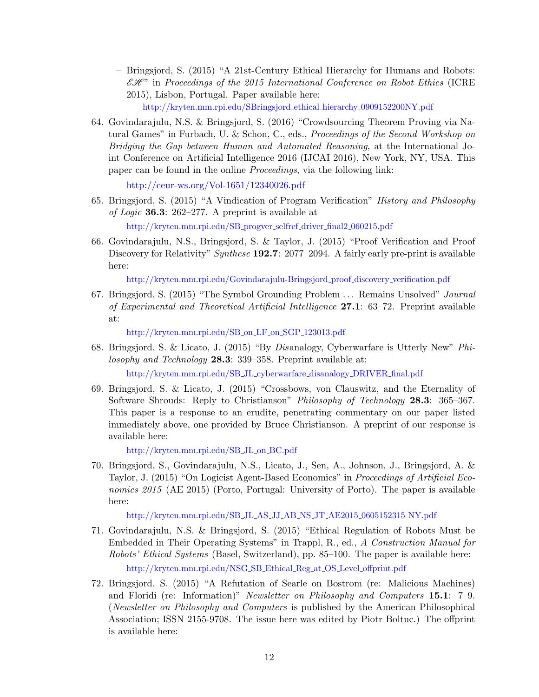– Bringsjord, S. (2015) "A 21st-Century Ethical Hierarchy for Humans and Robots:  $\mathscr{EH}$ " in Proceedings of the 2015 International Conference on Robot Ethics (ICRE) 2015), Lisbon, Portugal. Paper available here:

[http://kryten.mm.rpi.edu/SBringsjord](http://kryten.mm.rpi.edu/SBringsjord_ethical_hierarchy_0909152200NY.pdf) ethical hierarchy 0909152200NY.pdf

64. Govindarajulu, N.S. & Bringsjord, S. (2016) "Crowdsourcing Theorem Proving via Natural Games" in Furbach, U. & Schon, C., eds., Proceedings of the Second Workshop on Bridging the Gap between Human and Automated Reasoning, at the International Joint Conference on Artificial Intelligence 2016 (IJCAI 2016), New York, NY, USA. This paper can be found in the online Proceedings, via the following link:

<http://ceur-ws.org/Vol-1651/12340026.pdf>

- 65. Bringsjord, S. (2015) "A Vindication of Program Verification" History and Philosophy of Logic 36.3: 262–277. A preprint is available at [http://kryten.mm.rpi.edu/SB](http://kryten.mm.rpi.edu/SB_progver_selfref_driver_final2_060215.pdf) progver selfref driver final2 060215.pdf
- 66. Govindarajulu, N.S., Bringsjord, S. & Taylor, J. (2015) "Proof Verification and Proof Discovery for Relativity" Synthese 192.7: 2077–2094. A fairly early pre-print is available here:

[http://kryten.mm.rpi.edu/Govindarajulu-Bringsjord](http://kryten.mm.rpi.edu/Govindarajulu-Bringsjord_proof_discovery_verification.pdf) proof discovery verification.pdf

67. Bringsjord, S. (2015) "The Symbol Grounding Problem ... Remains Unsolved" Journal of Experimental and Theoretical Artificial Intelligence 27.1: 63–72. Preprint available at:

[http://kryten.mm.rpi.edu/SB](http://kryten.mm.rpi.edu/SB_on_LF_on_SGP_123013.pdf) on LF on SGP 123013.pdf

68. Bringsjord, S. & Licato, J. (2015) "By Disanalogy, Cyberwarfare is Utterly New" Philosophy and Technology 28.3: 339–358. Preprint available at:

[http://kryten.mm.rpi.edu/SB](http://kryten.mm.rpi.edu/SB_JL_cyberwarfare_disanalogy_DRIVER_final.pdf) JL cyberwarfare disanalogy DRIVER final.pdf

69. Bringsjord, S. & Licato, J. (2015) "Crossbows, von Clauswitz, and the Eternality of Software Shrouds: Reply to Christianson" Philosophy of Technology 28.3: 365–367. This paper is a response to an erudite, penetrating commentary on our paper listed immediately above, one provided by Bruce Christianson. A preprint of our response is available here:

[http://kryten.mm.rpi.edu/SB](http://kryten.mm.rpi.edu/SB_JL_on_BC.pdf) JL on BC.pdf

70. Bringsjord, S., Govindarajulu, N.S., Licato, J., Sen, A., Johnson, J., Bringsjord, A. & Taylor, J. (2015) "On Logicist Agent-Based Economics" in Proceedings of Artificial Economics 2015 (AE 2015) (Porto, Portugal: University of Porto). The paper is available here:

[http://kryten.mm.rpi.edu/SB](http://kryten.mm.rpi.edu/SB_JL_AS_JJ_AB_NS_JT_AE2015_0605152315NY.pdf) JL AS JJ AB NS JT AE2015 0605152315 NY.pdf

- 71. Govindarajulu, N.S. & Bringsjord, S. (2015) "Ethical Regulation of Robots Must be Embedded in Their Operating Systems" in Trappl, R., ed., A Construction Manual for Robots' Ethical Systems (Basel, Switzerland), pp. 85–100. The paper is available here: [http://kryten.mm.rpi.edu/NSG](http://kryten.mm.rpi.edu/NSG_SB_Ethical_Reg_at_OS_Level_offprint.pdf) SB Ethical Reg at OS Level offprint.pdf
- 72. Bringsjord, S. (2015) "A Refutation of Searle on Bostrom (re: Malicious Machines) and Floridi (re: Information)" Newsletter on Philosophy and Computers 15.1: 7–9. (Newsletter on Philosophy and Computers is published by the American Philosophical Association; ISSN 2155-9708. The issue here was edited by Piotr Boltuc.) The offprint is available here: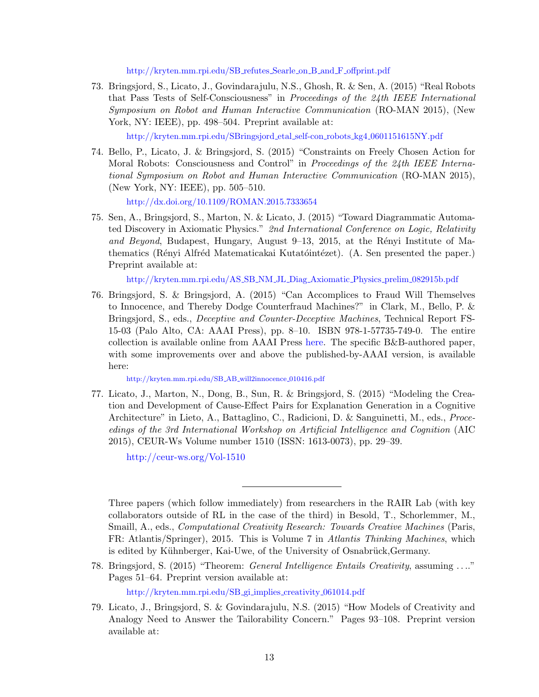[http://kryten.mm.rpi.edu/SB](http://kryten.mm.rpi.edu/SB_refutes_Searle_on_B_and_F_offprint.pdf) refutes Searle on B and F offprint.pdf

73. Bringsjord, S., Licato, J., Govindarajulu, N.S., Ghosh, R. & Sen, A. (2015) "Real Robots that Pass Tests of Self-Consciousness" in Proceedings of the 24th IEEE International Symposium on Robot and Human Interactive Communication (RO-MAN 2015), (New York, NY: IEEE), pp. 498–504. Preprint available at:

[http://kryten.mm.rpi.edu/SBringsjord](http://kryten.mm.rpi.edu/SBringsjord_etal_self-con_robots_kg4_0601151615NY.pdf) etal self-con robots kg4 0601151615NY.pdf

74. Bello, P., Licato, J. & Bringsjord, S. (2015) "Constraints on Freely Chosen Action for Moral Robots: Consciousness and Control" in Proceedings of the 24th IEEE International Symposium on Robot and Human Interactive Communication (RO-MAN 2015), (New York, NY: IEEE), pp. 505–510.

<http://dx.doi.org/10.1109/ROMAN.2015.7333654>

75. Sen, A., Bringsjord, S., Marton, N. & Licato, J. (2015) "Toward Diagrammatic Automated Discovery in Axiomatic Physics." 2nd International Conference on Logic, Relativity and Beyond, Budapest, Hungary, August 9-13, 2015, at the Rényi Institute of Mathematics (Rényi Alfréd Matematicakai Kutatóintézet). (A. Sen presented the paper.) Preprint available at:

[http://kryten.mm.rpi.edu/AS](http://kryten.mm.rpi.edu/AS_SB_NM_JL_Diag_Axiomatic_Physics_prelim_082915b.pdf) SB NM JL Diag Axiomatic Physics prelim 082915b.pdf

76. Bringsjord, S. & Bringsjord, A. (2015) "Can Accomplices to Fraud Will Themselves to Innocence, and Thereby Dodge Counterfraud Machines?" in Clark, M., Bello, P. & Bringsjord, S., eds., Deceptive and Counter-Deceptive Machines, Technical Report FS-15-03 (Palo Alto, CA: AAAI Press), pp. 8–10. ISBN 978-1-57735-749-0. The entire collection is available online from AAAI Press [here.](http://www.aaai.org/Press/Reports/Symposia/Fall/fall-reports.php#FS15) The specific B&B-authored paper, with some improvements over and above the published-by-AAAI version, is available here:

[http://kryten.mm.rpi.edu/SB](http://kryten.mm.rpi.edu/SB_AB_will2innocence_010416.pdf)\_AB\_will2innocence\_010416.pdf

77. Licato, J., Marton, N., Dong, B., Sun, R. & Bringsjord, S. (2015) "Modeling the Creation and Development of Cause-Effect Pairs for Explanation Generation in a Cognitive Architecture" in Lieto, A., Battaglino, C., Radicioni, D. & Sanguinetti, M., eds., Proceedings of the 3rd International Workshop on Artificial Intelligence and Cognition (AIC 2015), CEUR-Ws Volume number 1510 (ISSN: 1613-0073), pp. 29–39.

<http://ceur-ws.org/Vol-1510>

Three papers (which follow immediately) from researchers in the RAIR Lab (with key collaborators outside of RL in the case of the third) in Besold, T., Schorlemmer, M., Smaill, A., eds., *Computational Creativity Research: Towards Creative Machines* (Paris, FR: Atlantis/Springer), 2015. This is Volume 7 in Atlantis Thinking Machines, which is edited by Kühnberger, Kai-Uwe, of the University of Osnabrück,Germany.

78. Bringsjord, S. (2015) "Theorem: *General Intelligence Entails Creativity*, assuming ...." Pages 51–64. Preprint version available at:

[http://kryten.mm.rpi.edu/SB](http://kryten.mm.rpi.edu/SB_gi_implies_creativity_061014.pdf) gi implies creativity 061014.pdf

<sup>79.</sup> Licato, J., Bringsjord, S. & Govindarajulu, N.S. (2015) "How Models of Creativity and Analogy Need to Answer the Tailorability Concern." Pages 93–108. Preprint version available at: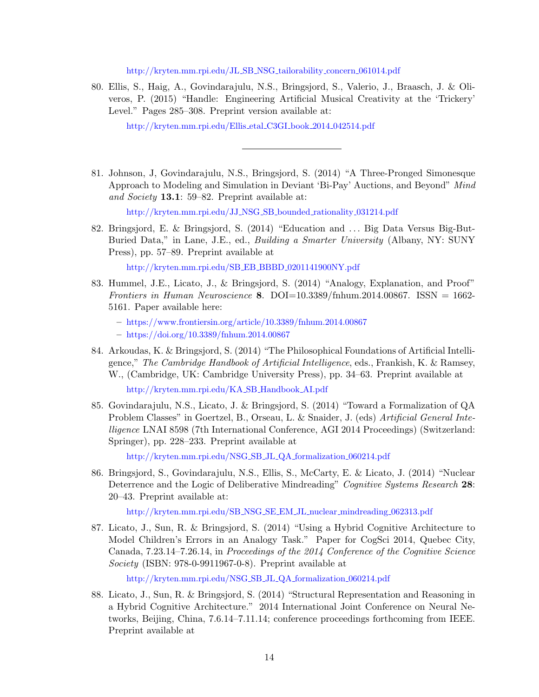[http://kryten.mm.rpi.edu/JL](http://kryten.mm.rpi.edu/JL_SB_NSG_tailorability_concern_061014.pdf) SB NSG tailorability concern 061014.pdf

80. Ellis, S., Haig, A., Govindarajulu, N.S., Bringsjord, S., Valerio, J., Braasch, J. & Oliveros, P. (2015) "Handle: Engineering Artificial Musical Creativity at the 'Trickery' Level." Pages 285–308. Preprint version available at:

[http://kryten.mm.rpi.edu/Ellis](http://kryten.mm.rpi.edu/Ellis_etal_C3GI_book_2014_042514.pdf) etal C3GI book 2014 042514.pdf

81. Johnson, J, Govindarajulu, N.S., Bringsjord, S. (2014) "A Three-Pronged Simonesque Approach to Modeling and Simulation in Deviant 'Bi-Pay' Auctions, and Beyond" Mind and Society 13.1: 59–82. Preprint available at:

[http://kryten.mm.rpi.edu/JJ](http://kryten.mm.rpi.edu/JJ_NSG_SB_bounded_rationality_031214.pdf) NSG SB bounded rationality 031214.pdf

82. Bringsjord, E. & Bringsjord, S. (2014) "Education and . . . Big Data Versus Big-But-Buried Data," in Lane, J.E., ed., *Building a Smarter University* (Albany, NY: SUNY Press), pp. 57–89. Preprint available at

[http://kryten.mm.rpi.edu/SB](http://kryten.mm.rpi.edu/SB_EB_BBBD_0201141900NY.pdf)\_EB\_BBBD\_0201141900NY.pdf

83. Hummel, J.E., Licato, J., & Bringsjord, S. (2014) "Analogy, Explanation, and Proof" Frontiers in Human Neuroscience 8. DOI=10.3389/fnhum.2014.00867. ISSN = 1662-5161. Paper available here:

– <https://www.frontiersin.org/article/10.3389/fnhum.2014.00867>

- <https://doi.org/10.3389/fnhum.2014.00867>
- 84. Arkoudas, K. & Bringsjord, S. (2014) "The Philosophical Foundations of Artificial Intelligence," The Cambridge Handbook of Artificial Intelligence, eds., Frankish, K. & Ramsey, W., (Cambridge, UK: Cambridge University Press), pp. 34–63. Preprint available at

[http://kryten.mm.rpi.edu/KA](http://kryten.mm.rpi.edu/KA_SB_Handbook_AI.pdf) SB Handbook AI.pdf

85. Govindarajulu, N.S., Licato, J. & Bringsjord, S. (2014) "Toward a Formalization of QA Problem Classes" in Goertzel, B., Orseau, L. & Snaider, J. (eds) Artificial General Intelligence LNAI 8598 (7th International Conference, AGI 2014 Proceedings) (Switzerland: Springer), pp. 228–233. Preprint available at

[http://kryten.mm.rpi.edu/NSG](http://kryten.mm.rpi.edu/NSG_SB_JL_QA_formalization_060214.pdf) SB JL QA formalization 060214.pdf

86. Bringsjord, S., Govindarajulu, N.S., Ellis, S., McCarty, E. & Licato, J. (2014) "Nuclear Deterrence and the Logic of Deliberative Mindreading" Cognitive Systems Research 28: 20–43. Preprint available at:

[http://kryten.mm.rpi.edu/SB](http://kryten.mm.rpi.edu/SB_NSG_SE_EM_JL_nuclear_mindreading_062313.pdf) NSG SE EM JL nuclear mindreading 062313.pdf

87. Licato, J., Sun, R. & Bringsjord, S. (2014) "Using a Hybrid Cognitive Architecture to Model Children's Errors in an Analogy Task." Paper for CogSci 2014, Quebec City, Canada, 7.23.14–7.26.14, in Proceedings of the 2014 Conference of the Cognitive Science Society (ISBN: 978-0-9911967-0-8). Preprint available at

[http://kryten.mm.rpi.edu/NSG](http://kryten.mm.rpi.edu/NSG_SB_JL_QA_formalization_060214.pdf) SB JL QA formalization 060214.pdf

88. Licato, J., Sun, R. & Bringsjord, S. (2014) "Structural Representation and Reasoning in a Hybrid Cognitive Architecture." 2014 International Joint Conference on Neural Networks, Beijing, China, 7.6.14–7.11.14; conference proceedings forthcoming from IEEE. Preprint available at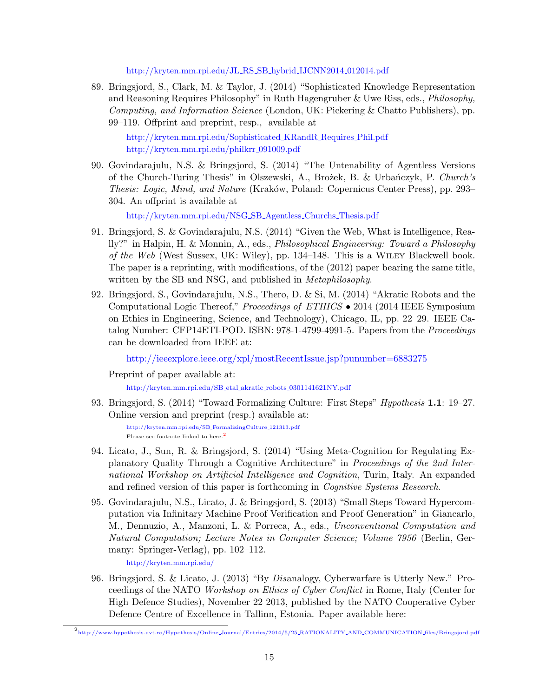[http://kryten.mm.rpi.edu/JL](http://kryten.mm.rpi.edu/JL_RS_SB_hybrid_IJCNN2014_012014.pdf)\_RS\_SB\_hybrid\_IJCNN2014\_012014.pdf

89. Bringsjord, S., Clark, M. & Taylor, J. (2014) "Sophisticated Knowledge Representation and Reasoning Requires Philosophy" in Ruth Hagengruber & Uwe Riss, eds., Philosophy, Computing, and Information Science (London, UK: Pickering & Chatto Publishers), pp. 99–119. Offprint and preprint, resp., available at

[http://kryten.mm.rpi.edu/Sophisticated](http://kryten.mm.rpi.edu/Sophisticated_KRandR_Requires_Phil.pdf) KRandR Requires Phil.pdf [http://kryten.mm.rpi.edu/philkrr](http://kryten.mm.rpi.edu/philkrr_091009.pdf)\_091009.pdf

90. Govindarajulu, N.S. & Bringsjord, S. (2014) "The Untenability of Agentless Versions of the Church-Turing Thesis" in Olszewski, A., Brożek, B. & Urbańczyk, P. Church's Thesis: Logic, Mind, and Nature (Kraków, Poland: Copernicus Center Press), pp. 293– 304. An offprint is available at

[http://kryten.mm.rpi.edu/NSG](http://kryten.mm.rpi.edu/NSG_SB_Agentless_Churchs_Thesis.pdf) SB Agentless Churchs Thesis.pdf

- 91. Bringsjord, S. & Govindarajulu, N.S. (2014) "Given the Web, What is Intelligence, Really?" in Halpin, H. & Monnin, A., eds., Philosophical Engineering: Toward a Philosophy of the Web (West Sussex, UK: Wiley), pp. 134–148. This is a Wiley Blackwell book. The paper is a reprinting, with modifications, of the (2012) paper bearing the same title, written by the SB and NSG, and published in *Metaphilosophy*.
- 92. Bringsjord, S., Govindarajulu, N.S., Thero, D. & Si, M. (2014) "Akratic Robots and the Computational Logic Thereof," Proceedings of ETHICS • 2014 (2014 IEEE Symposium on Ethics in Engineering, Science, and Technology), Chicago, IL, pp. 22–29. IEEE Catalog Number: CFP14ETI-POD. ISBN: 978-1-4799-4991-5. Papers from the Proceedings can be downloaded from IEEE at:

<http://ieeexplore.ieee.org/xpl/mostRecentIssue.jsp?punumber=6883275>

Preprint of paper available at:

[http://kryten.mm.rpi.edu/SB](http://kryten.mm.rpi.edu/SB_etal_akratic_robots_0301141621NY.pdf) etal akratic robots 0301141621NY.pdf

93. Bringsjord, S. (2014) "Toward Formalizing Culture: First Steps" *Hypothesis* 1.1: 19–27. Online version and preprint (resp.) available at:

[http://kryten.mm.rpi.edu/SB](http://kryten.mm.rpi.edu/SB_FormalizingCulture_121313.pdf) FormalizingCulture 121313.pdf Please see footnote linked to here.<sup>[2](#page-16-0)</sup>

- 94. Licato, J., Sun, R. & Bringsjord, S. (2014) "Using Meta-Cognition for Regulating Explanatory Quality Through a Cognitive Architecture" in Proceedings of the 2nd International Workshop on Artificial Intelligence and Cognition, Turin, Italy. An expanded and refined version of this paper is forthcoming in Cognitive Systems Research.
- 95. Govindarajulu, N.S., Licato, J. & Bringsjord, S. (2013) "Small Steps Toward Hypercomputation via Infinitary Machine Proof Verification and Proof Generation" in Giancarlo, M., Dennuzio, A., Manzoni, L. & Porreca, A., eds., Unconventional Computation and Natural Computation; Lecture Notes in Computer Science; Volume 7956 (Berlin, Germany: Springer-Verlag), pp. 102–112.

<http://kryten.mm.rpi.edu/>

96. Bringsjord, S. & Licato, J. (2013) "By Disanalogy, Cyberwarfare is Utterly New." Proceedings of the NATO Workshop on Ethics of Cyber Conflict in Rome, Italy (Center for High Defence Studies), November 22 2013, published by the NATO Cooperative Cyber Defence Centre of Excellence in Tallinn, Estonia. Paper available here:

<span id="page-16-0"></span> $^2$ [http://www.hypothesis.uvt.ro/Hypothesis/Online](http://www.hypothesis.uvt.ro/Hypothesis/Online_Journal/Entries/2014/5/25_RATIONALITY_AND_COMMUNICATION_files/Bringsjord.pdf)\_Journal/Entries/2014/5/25\_RATIONALITY\_AND\_COMMUNICATION\_files/Bringsjord.pdf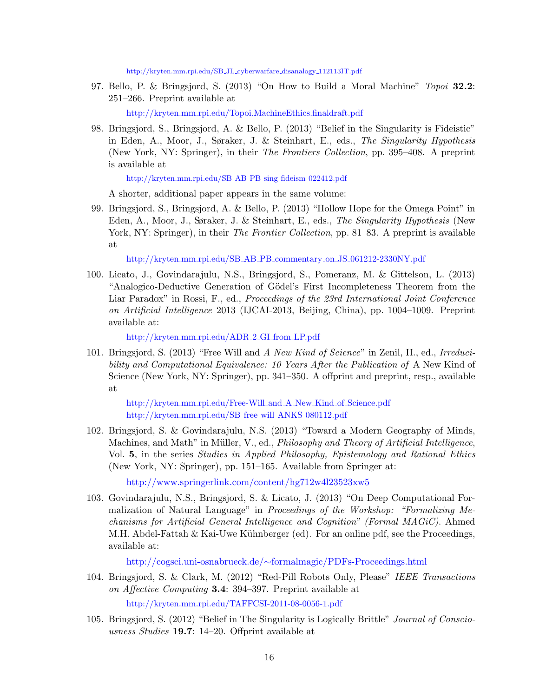[http://kryten.mm.rpi.edu/SB](http://kryten.mm.rpi.edu/SB_JL_cyberwarfare_disanalogy_112113IT.pdf) JL cyberwarfare disanalogy 112113IT.pdf

97. Bello, P. & Bringsjord, S. (2013) "On How to Build a Moral Machine" Topoi 32.2: 251–266. Preprint available at

<http://kryten.mm.rpi.edu/Topoi.MachineEthics.finaldraft.pdf>

98. Bringsjord, S., Bringsjord, A. & Bello, P. (2013) "Belief in the Singularity is Fideistic" in Eden, A., Moor, J., Søraker, J. & Steinhart, E., eds., The Singularity Hypothesis (New York, NY: Springer), in their The Frontiers Collection, pp. 395–408. A preprint is available at

[http://kryten.mm.rpi.edu/SB](http://kryten.mm.rpi.edu/SB_AB_PB_sing_fideism_022412.pdf) AB PB sing fideism 022412.pdf

A shorter, additional paper appears in the same volume:

99. Bringsjord, S., Bringsjord, A. & Bello, P. (2013) "Hollow Hope for the Omega Point" in Eden, A., Moor, J., Søraker, J. & Steinhart, E., eds., The Singularity Hypothesis (New York, NY: Springer), in their *The Frontier Collection*, pp. 81–83. A preprint is available at

[http://kryten.mm.rpi.edu/SB](http://kryten.mm.rpi.edu/SB_AB_PB_commentary_on_JS_061212-2330NY.pdf) AB PB commentary on JS 061212-2330NY.pdf

100. Licato, J., Govindarajulu, N.S., Bringsjord, S., Pomeranz, M. & Gittelson, L. (2013) "Analogico-Deductive Generation of Gödel's First Incompleteness Theorem from the Liar Paradox" in Rossi, F., ed., *Proceedings of the 23rd International Joint Conference* on Artificial Intelligence 2013 (IJCAI-2013, Beijing, China), pp. 1004–1009. Preprint available at:

[http://kryten.mm.rpi.edu/ADR](http://kryten.mm.rpi.edu/ADR_2_GI_from_LP.pdf) 2 GI from LP.pdf

101. Bringsjord, S. (2013) "Free Will and A New Kind of Science" in Zenil, H., ed., Irreducibility and Computational Equivalence: 10 Years After the Publication of A New Kind of Science (New York, NY: Springer), pp. 341–350. A offprint and preprint, resp., available at

[http://kryten.mm.rpi.edu/Free-Will](http://kryten.mm.rpi.edu/Free-Will_and_A_New_Kind_of_Science.pdf) and A New Kind of Science.pdf [http://kryten.mm.rpi.edu/SB](http://kryten.mm.rpi.edu/SB_free_will_ANKS_080112.pdf) free will ANKS 080112.pdf

102. Bringsjord, S. & Govindarajulu, N.S. (2013) "Toward a Modern Geography of Minds, Machines, and Math" in Müller, V., ed., *Philosophy and Theory of Artificial Intelligence*, Vol. 5, in the series Studies in Applied Philosophy, Epistemology and Rational Ethics (New York, NY: Springer), pp. 151–165. Available from Springer at:

<http://www.springerlink.com/content/hg712w4l23523xw5>

103. Govindarajulu, N.S., Bringsjord, S. & Licato, J. (2013) "On Deep Computational Formalization of Natural Language" in Proceedings of the Workshop: "Formalizing Mechanisms for Artificial General Intelligence and Cognition" (Formal MAGiC). Ahmed M.H. Abdel-Fattah  $\&$  Kai-Uwe Kühnberger (ed). For an online pdf, see the Proceedings, available at:

http://cogsci.uni-osnabrueck.de/∼[formalmagic/PDFs-Proceedings.html](http://cogsci.uni-osnabrueck.de/~formalmagic/PDFs-Proceedings.html)

- 104. Bringsjord, S. & Clark, M. (2012) "Red-Pill Robots Only, Please" IEEE Transactions on Affective Computing 3.4: 394–397. Preprint available at <http://kryten.mm.rpi.edu/TAFFCSI-2011-08-0056-1.pdf>
- 105. Bringsjord, S. (2012) "Belief in The Singularity is Logically Brittle" Journal of Consciousness Studies 19.7: 14–20. Offprint available at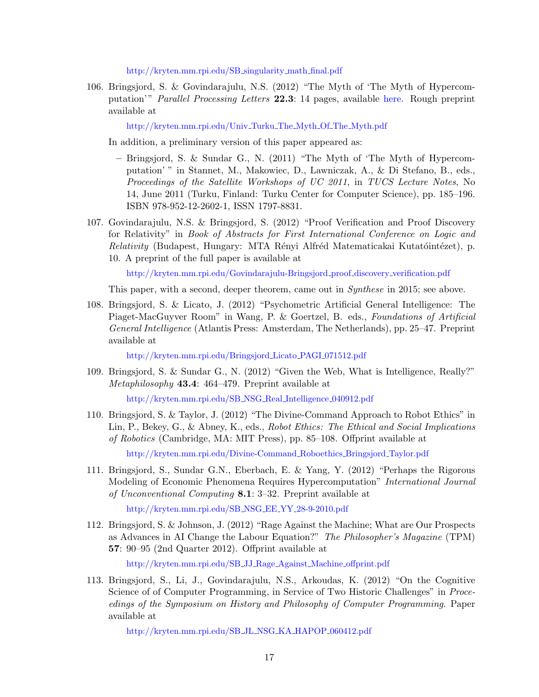[http://kryten.mm.rpi.edu/SB](http://kryten.mm.rpi.edu/SB_singularity_math_final.pdf) singularity math final.pdf

106. Bringsjord, S. & Govindarajulu, N.S. (2012) "The Myth of 'The Myth of Hypercomputation'" Parallel Processing Letters 22.3: 14 pages, available [here.](https://doi.org/10.1142/S0129626412400129) Rough preprint available at

[http://kryten.mm.rpi.edu/Univ](http://kryten.mm.rpi.edu/Univ_Turku_The_Myth_Of_The_Myth.pdf) Turku The Myth Of The Myth.pdf

In addition, a preliminary version of this paper appeared as:

- Bringsjord, S. & Sundar G., N. (2011) "The Myth of 'The Myth of Hypercomputation' " in Stannet, M., Makowiec, D., Lawniczak, A., & Di Stefano, B., eds., Proceedings of the Satellite Workshops of UC 2011, in TUCS Lecture Notes, No 14, June 2011 (Turku, Finland: Turku Center for Computer Science), pp. 185–196. ISBN 978-952-12-2602-1, ISSN 1797-8831.
- 107. Govindarajulu, N.S. & Bringsjord, S. (2012) "Proof Verification and Proof Discovery for Relativity" in Book of Abstracts for First International Conference on Logic and Relativity (Budapest, Hungary: MTA Rényi Alfréd Matematicakai Kutatóintézet), p. 10. A preprint of the full paper is available at

[http://kryten.mm.rpi.edu/Govindarajulu-Bringsjord](http://kryten.mm.rpi.edu/Govindarajulu-Bringsjord_proof_discovery_verification.pdf) proof discovery verification.pdf

This paper, with a second, deeper theorem, came out in Synthese in 2015; see above.

108. Bringsjord, S. & Licato, J. (2012) "Psychometric Artificial General Intelligence: The Piaget-MacGuyver Room" in Wang, P. & Goertzel, B. eds., Foundations of Artificial General Intelligence (Atlantis Press: Amsterdam, The Netherlands), pp. 25–47. Preprint available at

[http://kryten.mm.rpi.edu/Bringsjord](http://kryten.mm.rpi.edu/Bringsjord_Licato_PAGI_071512.pdf) Licato PAGI 071512.pdf

109. Bringsjord, S. & Sundar G., N. (2012) "Given the Web, What is Intelligence, Really?" Metaphilosophy 43.4: 464–479. Preprint available at

[http://kryten.mm.rpi.edu/SB](http://kryten.mm.rpi.edu/SB_NSG_Real_Intelligence_040912.pdf)\_NSG\_Real\_Intelligence\_040912.pdf

110. Bringsjord, S. & Taylor, J. (2012) "The Divine-Command Approach to Robot Ethics" in Lin, P., Bekey, G., & Abney, K., eds., Robot Ethics: The Ethical and Social Implications of Robotics (Cambridge, MA: MIT Press), pp. 85–108. Offprint available at

[http://kryten.mm.rpi.edu/Divine-Command](http://kryten.mm.rpi.edu/Divine-Command_Roboethics_Bringsjord_Taylor.pdf) Roboethics Bringsjord Taylor.pdf

111. Bringsjord, S., Sundar G.N., Eberbach, E. & Yang, Y. (2012) "Perhaps the Rigorous Modeling of Economic Phenomena Requires Hypercomputation" International Journal of Unconventional Computing 8.1: 3–32. Preprint available at

[http://kryten.mm.rpi.edu/SB](http://kryten.mm.rpi.edu/SB_NSG_EE_YY_28-9-2010.pdf) NSG EE YY 28-9-2010.pdf

112. Bringsjord, S. & Johnson, J. (2012) "Rage Against the Machine; What are Our Prospects as Advances in AI Change the Labour Equation?" The Philosopher's Magazine (TPM) 57: 90–95 (2nd Quarter 2012). Offprint available at

[http://kryten.mm.rpi.edu/SB](http://kryten.mm.rpi.edu/SB_JJ_Rage_Against_Machine_offprint.pdf) JJ Rage Against Machine offprint.pdf

113. Bringsjord, S., Li, J., Govindarajulu, N.S., Arkoudas, K. (2012) "On the Cognitive Science of of Computer Programming, in Service of Two Historic Challenges" in *Proce*edings of the Symposium on History and Philosophy of Computer Programming. Paper available at

[http://kryten.mm.rpi.edu/SB](http://kryten.mm.rpi.edu/SB_JL_NSG_KA_HAPOP_060412.pdf)\_JL\_NSG\_KA\_HAPOP\_060412.pdf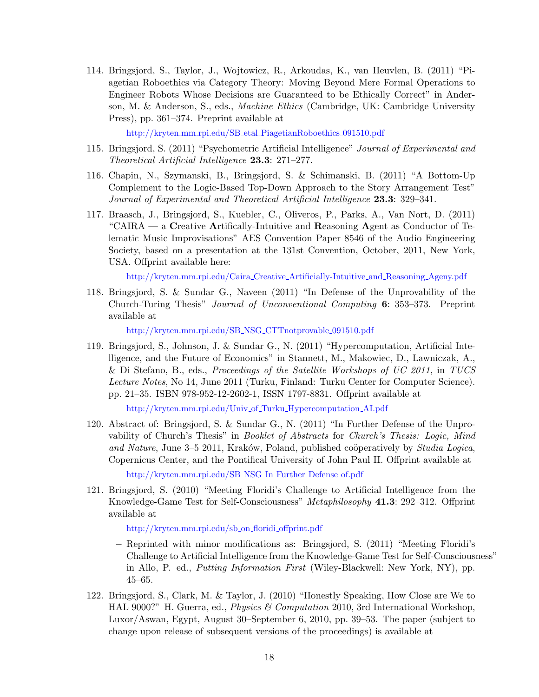114. Bringsjord, S., Taylor, J., Wojtowicz, R., Arkoudas, K., van Heuvlen, B. (2011) "Piagetian Roboethics via Category Theory: Moving Beyond Mere Formal Operations to Engineer Robots Whose Decisions are Guaranteed to be Ethically Correct" in Anderson, M. & Anderson, S., eds., Machine Ethics (Cambridge, UK: Cambridge University Press), pp. 361–374. Preprint available at

[http://kryten.mm.rpi.edu/SB](http://kryten.mm.rpi.edu/SB_etal_PiagetianRoboethics_091510.pdf) etal PiagetianRoboethics 091510.pdf

- 115. Bringsjord, S. (2011) "Psychometric Artificial Intelligence" Journal of Experimental and Theoretical Artificial Intelligence 23.3: 271–277.
- 116. Chapin, N., Szymanski, B., Bringsjord, S. & Schimanski, B. (2011) "A Bottom-Up Complement to the Logic-Based Top-Down Approach to the Story Arrangement Test" Journal of Experimental and Theoretical Artificial Intelligence 23.3: 329–341.
- 117. Braasch, J., Bringsjord, S., Kuebler, C., Oliveros, P., Parks, A., Van Nort, D. (2011) "CAIRA — a Creative Artifically-Intuitive and Reasoning Agent as Conductor of Telematic Music Improvisations" AES Convention Paper 8546 of the Audio Engineering Society, based on a presentation at the 131st Convention, October, 2011, New York, USA. Offprint available here:

[http://kryten.mm.rpi.edu/Caira](http://kryten.mm.rpi.edu/Caira_Creative_Artificially-Intuitive_and_Reasoning_Ageny.pdf) Creative Artificially-Intuitive and Reasoning Ageny.pdf

118. Bringsjord, S. & Sundar G., Naveen (2011) "In Defense of the Unprovability of the Church-Turing Thesis" Journal of Unconventional Computing 6: 353–373. Preprint available at

[http://kryten.mm.rpi.edu/SB](http://kryten.mm.rpi.edu/SB_NSG_CTTnotprovable_091510.pdf) NSG CTTnotprovable 091510.pdf

119. Bringsjord, S., Johnson, J. & Sundar G., N. (2011) "Hypercomputation, Artificial Intelligence, and the Future of Economics" in Stannett, M., Makowiec, D., Lawniczak, A., & Di Stefano, B., eds., Proceedings of the Satellite Workshops of UC 2011, in TUCS Lecture Notes, No 14, June 2011 (Turku, Finland: Turku Center for Computer Science). pp. 21–35. ISBN 978-952-12-2602-1, ISSN 1797-8831. Offprint available at

[http://kryten.mm.rpi.edu/Univ](http://kryten.mm.rpi.edu/Univ_of_Turku_Hypercomputation_AI.pdf)\_of\_Turku\_Hypercomputation\_AI.pdf

120. Abstract of: Bringsjord, S. & Sundar G., N. (2011) "In Further Defense of the Unprovability of Church's Thesis" in Booklet of Abstracts for Church's Thesis: Logic, Mind and Nature, June  $3-5$  2011, Kraków, Poland, published coöperatively by *Studia Logica*, Copernicus Center, and the Pontifical University of John Paul II. Offprint available at

[http://kryten.mm.rpi.edu/SB](http://kryten.mm.rpi.edu/SB_NSG_In_Further_Defense_of.pdf) NSG In Further Defense of.pdf

121. Bringsjord, S. (2010) "Meeting Floridi's Challenge to Artificial Intelligence from the Knowledge-Game Test for Self-Consciousness" Metaphilosophy 41.3: 292–312. Offprint available at

[http://kryten.mm.rpi.edu/sb](http://kryten.mm.rpi.edu/sb_on_floridi_offprint.pdf)\_on\_floridi\_offprint.pdf

- Reprinted with minor modifications as: Bringsjord, S. (2011) "Meeting Floridi's Challenge to Artificial Intelligence from the Knowledge-Game Test for Self-Consciousness" in Allo, P. ed., Putting Information First (Wiley-Blackwell: New York, NY), pp. 45–65.
- 122. Bringsjord, S., Clark, M. & Taylor, J. (2010) "Honestly Speaking, How Close are We to HAL 9000?" H. Guerra, ed., *Physics & Computation* 2010, 3rd International Workshop, Luxor/Aswan, Egypt, August 30–September 6, 2010, pp. 39–53. The paper (subject to change upon release of subsequent versions of the proceedings) is available at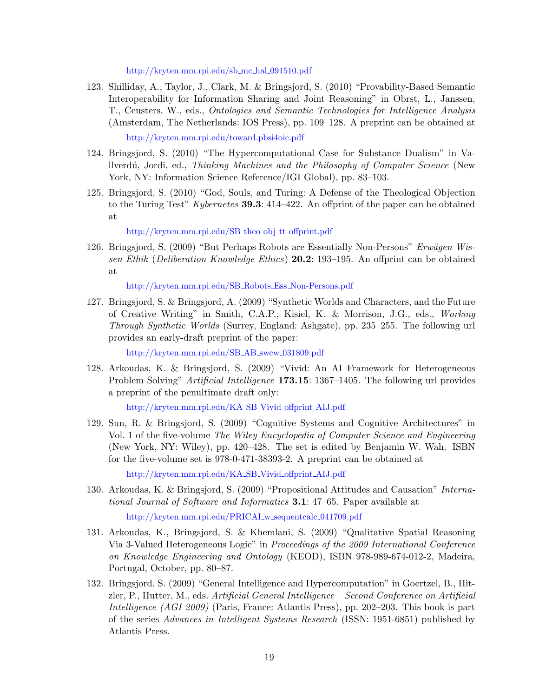[http://kryten.mm.rpi.edu/sb](http://kryten.mm.rpi.edu/sb_mc_hal_091510.pdf) mc hal 091510.pdf

123. Shilliday, A., Taylor, J., Clark, M. & Bringsjord, S. (2010) "Provability-Based Semantic Interoperability for Information Sharing and Joint Reasoning" in Obrst, L., Janssen, T., Ceusters, W., eds., Ontologies and Semantic Technologies for Intelligence Analysis (Amsterdam, The Netherlands: IOS Press), pp. 109–128. A preprint can be obtained at

<http://kryten.mm.rpi.edu/toward.pbsi4oic.pdf>

- 124. Bringsjord, S. (2010) "The Hypercomputational Case for Substance Dualism" in Vallverd´u, Jordi, ed., Thinking Machines and the Philosophy of Computer Science (New York, NY: Information Science Reference/IGI Global), pp. 83–103.
- 125. Bringsjord, S. (2010) "God, Souls, and Turing: A Defense of the Theological Objection to the Turing Test" Kybernetes **39.3**: 414–422. An offprint of the paper can be obtained at

[http://kryten.mm.rpi.edu/SB](http://kryten.mm.rpi.edu/SB_theo_obj_tt_offprint.pdf)\_theo\_obj\_tt\_offprint.pdf

126. Bringsjord, S. (2009) "But Perhaps Robots are Essentially Non-Persons" Erwägen Wissen Ethik (Deliberation Knowledge Ethics) 20.2: 193–195. An offprint can be obtained at

[http://kryten.mm.rpi.edu/SB](http://kryten.mm.rpi.edu/SB_Robots_Ess_Non-Persons.pdf) Robots Ess Non-Persons.pdf

127. Bringsjord, S. & Bringsjord, A. (2009) "Synthetic Worlds and Characters, and the Future of Creative Writing" in Smith, C.A.P., Kisiel, K. & Morrison, J.G., eds., Working Through Synthetic Worlds (Surrey, England: Ashgate), pp. 235–255. The following url provides an early-draft preprint of the paper:

[http://kryten.mm.rpi.edu/SB](http://kryten.mm.rpi.edu/SB_AB_swcw_031809.pdf)\_AB\_swcw\_031809.pdf

128. Arkoudas, K. & Bringsjord, S. (2009) "Vivid: An AI Framework for Heterogeneous Problem Solving" Artificial Intelligence 173.15: 1367–1405. The following url provides a preprint of the penultimate draft only:

[http://kryten.mm.rpi.edu/KA](http://kryten.mm.rpi.edu/KA_SB_Vivid_offprint_AIJ.pdf) SB Vivid offprint AIJ.pdf

129. Sun, R. & Bringsjord, S. (2009) "Cognitive Systems and Cognitive Architectures" in Vol. 1 of the five-volume The Wiley Encyclopedia of Computer Science and Engineering (New York, NY: Wiley), pp. 420–428. The set is edited by Benjamin W. Wah. ISBN for the five-volume set is 978-0-471-38393-2. A preprint can be obtained at

[http://kryten.mm.rpi.edu/KA](http://kryten.mm.rpi.edu/KA_SB_Vivid_offprint_AIJ.pdf) SB Vivid offprint AIJ.pdf

- 130. Arkoudas, K. & Bringsjord, S. (2009) "Propositional Attitudes and Causation" International Journal of Software and Informatics 3.1: 47–65. Paper available at [http://kryten.mm.rpi.edu/PRICAI](http://kryten.mm.rpi.edu/PRICAI_w_sequentcalc_041709.pdf) w sequentcalc 041709.pdf
- 131. Arkoudas, K., Bringsjord, S. & Khemlani, S. (2009) "Qualitative Spatial Reasoning Via 3-Valued Heterogeneous Logic" in Proceedings of the 2009 International Conference on Knowledge Engineering and Ontology (KEOD), ISBN 978-989-674-012-2, Madeira, Portugal, October, pp. 80–87.
- 132. Bringsjord, S. (2009) "General Intelligence and Hypercomputation" in Goertzel, B., Hitzler, P., Hutter, M., eds. Artificial General Intelligence – Second Conference on Artificial Intelligence (AGI 2009) (Paris, France: Atlantis Press), pp. 202–203. This book is part of the series Advances in Intelligent Systems Research (ISSN: 1951-6851) published by Atlantis Press.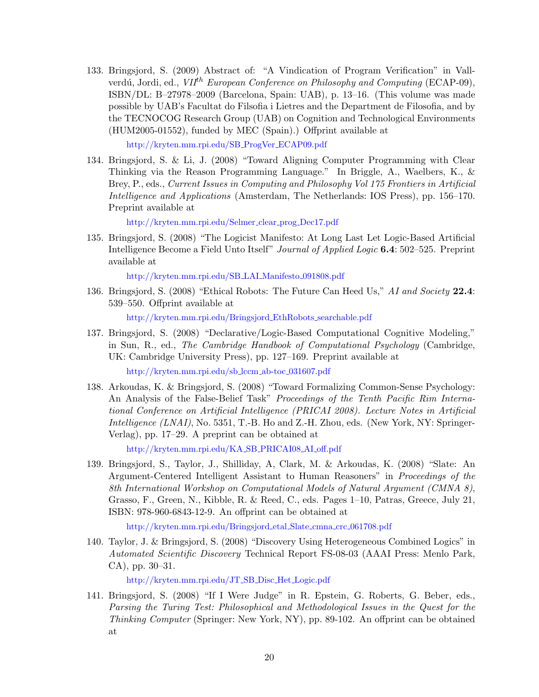133. Bringsjord, S. (2009) Abstract of: "A Vindication of Program Verification" in Vallverdú, Jordi, ed.,  $V I^{th}$  European Conference on Philosophy and Computing (ECAP-09), ISBN/DL: B–27978–2009 (Barcelona, Spain: UAB), p. 13–16. (This volume was made possible by UAB's Facultat do Filsofia i Lietres and the Department de Filosofia, and by the TECNOCOG Research Group (UAB) on Cognition and Technological Environments (HUM2005-01552), funded by MEC (Spain).) Offprint available at

[http://kryten.mm.rpi.edu/SB](http://kryten.mm.rpi.edu/SB_ProgVer_ECAP09.pdf) ProgVer ECAP09.pdf

134. Bringsjord, S. & Li, J. (2008) "Toward Aligning Computer Programming with Clear Thinking via the Reason Programming Language." In Briggle, A., Waelbers, K., & Brey, P., eds., Current Issues in Computing and Philosophy Vol 175 Frontiers in Artificial Intelligence and Applications (Amsterdam, The Netherlands: IOS Press), pp. 156–170. Preprint available at

[http://kryten.mm.rpi.edu/Selmer](http://kryten.mm.rpi.edu/Selmer_clear_prog_Dec17.pdf) clear prog Dec17.pdf

135. Bringsjord, S. (2008) "The Logicist Manifesto: At Long Last Let Logic-Based Artificial Intelligence Become a Field Unto Itself" Journal of Applied Logic 6.4: 502–525. Preprint available at

[http://kryten.mm.rpi.edu/SB](http://kryten.mm.rpi.edu/SB_LAI_Manifesto_091808.pdf) LAI Manifesto 091808.pdf

136. Bringsjord, S. (2008) "Ethical Robots: The Future Can Heed Us," AI and Society 22.4: 539–550. Offprint available at

[http://kryten.mm.rpi.edu/Bringsjord](http://kryten.mm.rpi.edu/Bringsjord_EthRobots_searchable.pdf) EthRobots searchable.pdf

137. Bringsjord, S. (2008) "Declarative/Logic-Based Computational Cognitive Modeling," in Sun, R., ed., The Cambridge Handbook of Computational Psychology (Cambridge, UK: Cambridge University Press), pp. 127–169. Preprint available at

[http://kryten.mm.rpi.edu/sb](http://kryten.mm.rpi.edu/sb_lccm_ab-toc_031607.pdf) lccm ab-toc 031607.pdf

138. Arkoudas, K. & Bringsjord, S. (2008) "Toward Formalizing Common-Sense Psychology: An Analysis of the False-Belief Task" Proceedings of the Tenth Pacific Rim International Conference on Artificial Intelligence (PRICAI 2008). Lecture Notes in Artificial Intelligence (LNAI), No. 5351, T.-B. Ho and Z.-H. Zhou, eds. (New York, NY: Springer-Verlag), pp. 17–29. A preprint can be obtained at

[http://kryten.mm.rpi.edu/KA](http://kryten.mm.rpi.edu/KA_SB_PRICAI08_AI_off.pdf) SB PRICAI08 AI off.pdf

139. Bringsjord, S., Taylor, J., Shilliday, A, Clark, M. & Arkoudas, K. (2008) "Slate: An Argument-Centered Intelligent Assistant to Human Reasoners" in Proceedings of the 8th International Workshop on Computational Models of Natural Argument (CMNA 8), Grasso, F., Green, N., Kibble, R. & Reed, C., eds. Pages 1–10, Patras, Greece, July 21, ISBN: 978-960-6843-12-9. An offprint can be obtained at

[http://kryten.mm.rpi.edu/Bringsjord](http://kryten.mm.rpi.edu/Bringsjord_etal_Slate_cmna_crc_061708.pdf) etal Slate cmna crc 061708.pdf

140. Taylor, J. & Bringsjord, S. (2008) "Discovery Using Heterogeneous Combined Logics" in Automated Scientific Discovery Technical Report FS-08-03 (AAAI Press: Menlo Park, CA), pp. 30–31.

[http://kryten.mm.rpi.edu/JT](http://kryten.mm.rpi.edu/JT_SB_Disc_Het_Logic.pdf) SB Disc Het Logic.pdf

141. Bringsjord, S. (2008) "If I Were Judge" in R. Epstein, G. Roberts, G. Beber, eds., Parsing the Turing Test: Philosophical and Methodological Issues in the Quest for the Thinking Computer (Springer: New York, NY), pp. 89-102. An offprint can be obtained at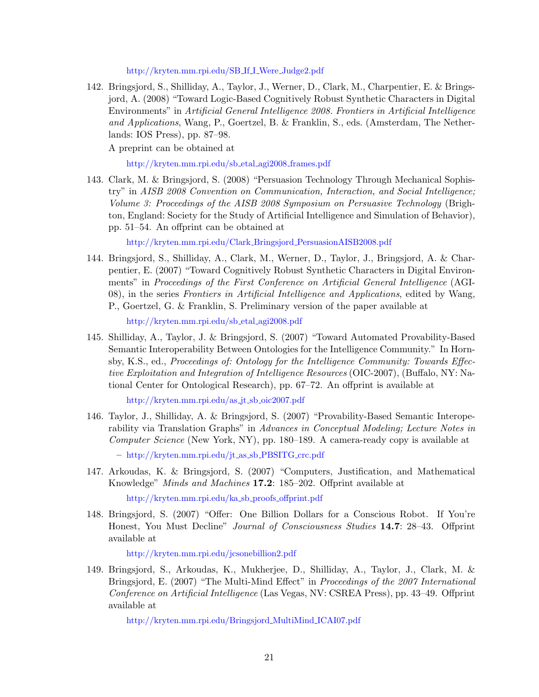[http://kryten.mm.rpi.edu/SB](http://kryten.mm.rpi.edu/SB_If_I_Were_Judge2.pdf) If I Were Judge2.pdf

142. Bringsjord, S., Shilliday, A., Taylor, J., Werner, D., Clark, M., Charpentier, E. & Bringsjord, A. (2008) "Toward Logic-Based Cognitively Robust Synthetic Characters in Digital Environments" in Artificial General Intelligence 2008. Frontiers in Artificial Intelligence and Applications, Wang, P., Goertzel, B. & Franklin, S., eds. (Amsterdam, The Netherlands: IOS Press), pp. 87–98.

A preprint can be obtained at

[http://kryten.mm.rpi.edu/sb](http://kryten.mm.rpi.edu/sb_etal_agi2008_frames.pdf) etal agi2008 frames.pdf

143. Clark, M. & Bringsjord, S. (2008) "Persuasion Technology Through Mechanical Sophistry" in AISB 2008 Convention on Communication, Interaction, and Social Intelligence; Volume 3: Proceedings of the AISB 2008 Symposium on Persuasive Technology (Brighton, England: Society for the Study of Artificial Intelligence and Simulation of Behavior), pp. 51–54. An offprint can be obtained at

[http://kryten.mm.rpi.edu/Clark](http://kryten.mm.rpi.edu/Clark_Bringsjord_PersuasionAISB2008.pdf) Bringsjord PersuasionAISB2008.pdf

144. Bringsjord, S., Shilliday, A., Clark, M., Werner, D., Taylor, J., Bringsjord, A. & Charpentier, E. (2007) "Toward Cognitively Robust Synthetic Characters in Digital Environments" in Proceedings of the First Conference on Artificial General Intelligence (AGI-08), in the series Frontiers in Artificial Intelligence and Applications, edited by Wang, P., Goertzel, G. & Franklin, S. Preliminary version of the paper available at

[http://kryten.mm.rpi.edu/sb](http://kryten.mm.rpi.edu/sb_etal_agi2008.pdf) etal agi2008.pdf

145. Shilliday, A., Taylor, J. & Bringsjord, S. (2007) "Toward Automated Provability-Based Semantic Interoperability Between Ontologies for the Intelligence Community." In Hornsby, K.S., ed., Proceedings of: Ontology for the Intelligence Community: Towards Effective Exploitation and Integration of Intelligence Resources (OIC-2007), (Buffalo, NY: National Center for Ontological Research), pp. 67–72. An offprint is available at

[http://kryten.mm.rpi.edu/as](http://kryten.mm.rpi.edu/as_jt_sb_oic2007.pdf)\_jt\_sb\_oic2007.pdf

- 146. Taylor, J., Shilliday, A. & Bringsjord, S. (2007) "Provability-Based Semantic Interoperability via Translation Graphs" in Advances in Conceptual Modeling; Lecture Notes in Computer Science (New York, NY), pp. 180–189. A camera-ready copy is available at – [http://kryten.mm.rpi.edu/jt](http://kryten.mm.rpi.edu/jt_as_sb_PBSITG_crc.pdf) as sb PBSITG crc.pdf
- 147. Arkoudas, K. & Bringsjord, S. (2007) "Computers, Justification, and Mathematical Knowledge" Minds and Machines 17.2: 185–202. Offprint available at

[http://kryten.mm.rpi.edu/ka](http://kryten.mm.rpi.edu/ka_sb_proofs_offprint.pdf) sb proofs offprint.pdf

148. Bringsjord, S. (2007) "Offer: One Billion Dollars for a Conscious Robot. If You're Honest, You Must Decline" Journal of Consciousness Studies 14.7: 28–43. Offprint available at

<http://kryten.mm.rpi.edu/jcsonebillion2.pdf>

149. Bringsjord, S., Arkoudas, K., Mukherjee, D., Shilliday, A., Taylor, J., Clark, M. & Bringsjord, E. (2007) "The Multi-Mind Effect" in *Proceedings of the 2007 International* Conference on Artificial Intelligence (Las Vegas, NV: CSREA Press), pp. 43–49. Offprint available at

[http://kryten.mm.rpi.edu/Bringsjord](http://kryten.mm.rpi.edu/Bringsjord_MultiMind_ICAI07.pdf) MultiMind ICAI07.pdf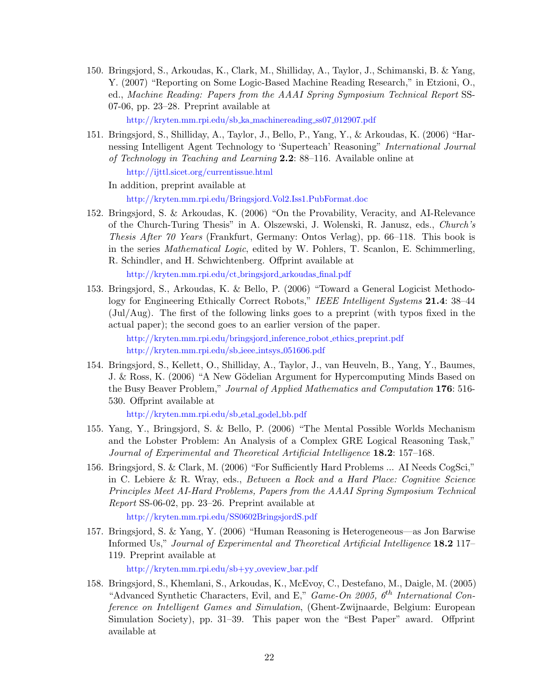150. Bringsjord, S., Arkoudas, K., Clark, M., Shilliday, A., Taylor, J., Schimanski, B. & Yang, Y. (2007) "Reporting on Some Logic-Based Machine Reading Research," in Etzioni, O., ed., Machine Reading: Papers from the AAAI Spring Symposium Technical Report SS-07-06, pp. 23–28. Preprint available at

[http://kryten.mm.rpi.edu/sb](http://kryten.mm.rpi.edu/sb_ka_machinereading_ss07_012907.pdf)\_ka\_machinereading\_ss07\_012907.pdf

151. Bringsjord, S., Shilliday, A., Taylor, J., Bello, P., Yang, Y., & Arkoudas, K. (2006) "Harnessing Intelligent Agent Technology to 'Superteach' Reasoning" International Journal of Technology in Teaching and Learning  $2.2$ : 88–116. Available online at

<http://ijttl.sicet.org/currentissue.html>

In addition, preprint available at <http://kryten.mm.rpi.edu/Bringsjord.Vol2.Iss1.PubFormat.doc>

152. Bringsjord, S. & Arkoudas, K. (2006) "On the Provability, Veracity, and AI-Relevance of the Church-Turing Thesis" in A. Olszewski, J. Wolenski, R. Janusz, eds., Church's Thesis After 70 Years (Frankfurt, Germany: Ontos Verlag), pp. 66–118. This book is in the series Mathematical Logic, edited by W. Pohlers, T. Scanlon, E. Schimmerling, R. Schindler, and H. Schwichtenberg. Offprint available at

[http://kryten.mm.rpi.edu/ct](http://kryten.mm.rpi.edu/ct_bringsjord_arkoudas_final.pdf) bringsjord arkoudas final.pdf

153. Bringsjord, S., Arkoudas, K. & Bello, P. (2006) "Toward a General Logicist Methodology for Engineering Ethically Correct Robots," IEEE Intelligent Systems 21.4: 38–44 (Jul/Aug). The first of the following links goes to a preprint (with typos fixed in the actual paper); the second goes to an earlier version of the paper.

> [http://kryten.mm.rpi.edu/bringsjord](http://kryten.mm.rpi.edu/bringsjord_inference_robot_ethics_preprint.pdf) inference robot ethics preprint.pdf [http://kryten.mm.rpi.edu/sb](http://kryten.mm.rpi.edu/sb_ieee_intsys_051606.pdf) ieee intsys 051606.pdf

154. Bringsjord, S., Kellett, O., Shilliday, A., Taylor, J., van Heuveln, B., Yang, Y., Baumes, J. & Ross, K. (2006) "A New Gödelian Argument for Hypercomputing Minds Based on the Busy Beaver Problem," Journal of Applied Mathematics and Computation 176: 516- 530. Offprint available at

[http://kryten.mm.rpi.edu/sb](http://kryten.mm.rpi.edu/sb_etal_godel_bb.pdf) etal godel bb.pdf

- 155. Yang, Y., Bringsjord, S. & Bello, P. (2006) "The Mental Possible Worlds Mechanism and the Lobster Problem: An Analysis of a Complex GRE Logical Reasoning Task," Journal of Experimental and Theoretical Artificial Intelligence 18.2: 157–168.
- 156. Bringsjord, S. & Clark, M. (2006) "For Sufficiently Hard Problems ... AI Needs CogSci," in C. Lebiere & R. Wray, eds., Between a Rock and a Hard Place: Cognitive Science Principles Meet AI-Hard Problems, Papers from the AAAI Spring Symposium Technical Report SS-06-02, pp. 23–26. Preprint available at

<http://kryten.mm.rpi.edu/SS0602BringsjordS.pdf>

157. Bringsjord, S. & Yang, Y. (2006) "Human Reasoning is Heterogeneous—as Jon Barwise Informed Us," Journal of Experimental and Theoretical Artificial Intelligence 18.2 117– 119. Preprint available at

[http://kryten.mm.rpi.edu/sb+yy](http://kryten.mm.rpi.edu/sb+yy_oveview_bar.pdf)\_oveview\_bar.pdf

158. Bringsjord, S., Khemlani, S., Arkoudas, K., McEvoy, C., Destefano, M., Daigle, M. (2005) "Advanced Synthetic Characters, Evil, and E," Game-On 2005,  $6^{th}$  International Conference on Intelligent Games and Simulation, (Ghent-Zwijnaarde, Belgium: European Simulation Society), pp. 31–39. This paper won the "Best Paper" award. Offprint available at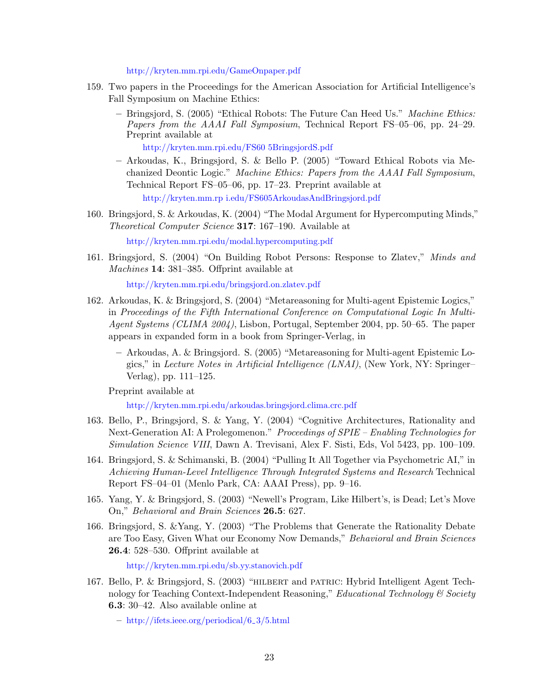<http://kryten.mm.rpi.edu/GameOnpaper.pdf>

- 159. Two papers in the Proceedings for the American Association for Artificial Intelligence's Fall Symposium on Machine Ethics:
	- $-$  Bringsjord, S. (2005) "Ethical Robots: The Future Can Heed Us." *Machine Ethics:* Papers from the AAAI Fall Symposium, Technical Report FS–05–06, pp. 24–29. Preprint available at

[http://kryten.mm.rpi.edu/FS60 5BringsjordS.pdf](http://kryten.mm.rpi.edu/FS605BringsjordS.pdf)

- Arkoudas, K., Bringsjord, S. & Bello P. (2005) "Toward Ethical Robots via Mechanized Deontic Logic." Machine Ethics: Papers from the AAAI Fall Symposium, Technical Report FS–05–06, pp. 17–23. Preprint available at [http://kryten.mm.rp i.edu/FS605ArkoudasAndBringsjord.pdf](http://kryten.mm.rpi.edu/FS605ArkoudasAndBringsjord.pdf)
- 160. Bringsjord, S. & Arkoudas, K. (2004) "The Modal Argument for Hypercomputing Minds," Theoretical Computer Science 317: 167–190. Available at

<http://kryten.mm.rpi.edu/modal.hypercomputing.pdf>

161. Bringsjord, S. (2004) "On Building Robot Persons: Response to Zlatev," Minds and Machines 14: 381–385. Offprint available at

<http://kryten.mm.rpi.edu/bringsjord.on.zlatev.pdf>

- 162. Arkoudas, K. & Bringsjord, S. (2004) "Metareasoning for Multi-agent Epistemic Logics," in Proceedings of the Fifth International Conference on Computational Logic In Multi-Agent Systems (CLIMA 2004), Lisbon, Portugal, September 2004, pp. 50–65. The paper appears in expanded form in a book from Springer-Verlag, in
	- Arkoudas, A. & Bringsjord. S. (2005) "Metareasoning for Multi-agent Epistemic Logics," in Lecture Notes in Artificial Intelligence (LNAI), (New York, NY: Springer– Verlag), pp. 111–125.

Preprint available at

<http://kryten.mm.rpi.edu/arkoudas.bringsjord.clima.crc.pdf>

- 163. Bello, P., Bringsjord, S. & Yang, Y. (2004) "Cognitive Architectures, Rationality and Next-Generation AI: A Prolegomenon." Proceedings of SPIE – Enabling Technologies for Simulation Science VIII, Dawn A. Trevisani, Alex F. Sisti, Eds, Vol 5423, pp. 100–109.
- 164. Bringsjord, S. & Schimanski, B. (2004) "Pulling It All Together via Psychometric AI," in Achieving Human-Level Intelligence Through Integrated Systems and Research Technical Report FS–04–01 (Menlo Park, CA: AAAI Press), pp. 9–16.
- 165. Yang, Y. & Bringsjord, S. (2003) "Newell's Program, Like Hilbert's, is Dead; Let's Move On," Behavioral and Brain Sciences 26.5: 627.
- 166. Bringsjord, S. &Yang, Y. (2003) "The Problems that Generate the Rationality Debate are Too Easy, Given What our Economy Now Demands," Behavioral and Brain Sciences 26.4: 528–530. Offprint available at

<http://kryten.mm.rpi.edu/sb.yy.stanovich.pdf>

167. Bello, P. & Bringsjord, S. (2003) "hilbert and patric: Hybrid Intelligent Agent Technology for Teaching Context-Independent Reasoning," Educational Technology & Society 6.3: 30–42. Also available online at

– [http://ifets.ieee.org/periodical/6](http://ifets.ieee.org/periodical/6_$\protect \leavevmode@ifvmode \kern +.1667em\relax $3/5.html) 3/5.html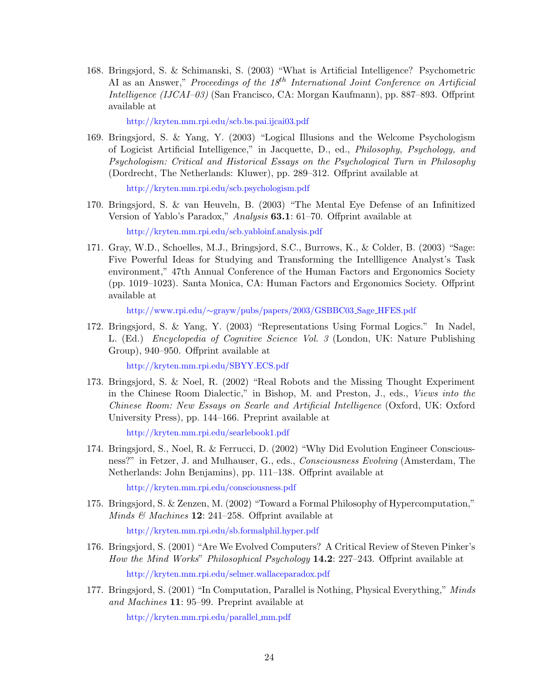168. Bringsjord, S. & Schimanski, S. (2003) "What is Artificial Intelligence? Psychometric AI as an Answer," Proceedings of the  $18^{th}$  International Joint Conference on Artificial Intelligence (IJCAI–03) (San Francisco, CA: Morgan Kaufmann), pp. 887–893. Offprint available at

<http://kryten.mm.rpi.edu/scb.bs.pai.ijcai03.pdf>

169. Bringsjord, S. & Yang, Y. (2003) "Logical Illusions and the Welcome Psychologism of Logicist Artificial Intelligence," in Jacquette, D., ed., Philosophy, Psychology, and Psychologism: Critical and Historical Essays on the Psychological Turn in Philosophy (Dordrecht, The Netherlands: Kluwer), pp. 289–312. Offprint available at

<http://kryten.mm.rpi.edu/scb.psychologism.pdf>

170. Bringsjord, S. & van Heuveln, B. (2003) "The Mental Eye Defense of an Infinitized Version of Yablo's Paradox," Analysis 63.1: 61–70. Offprint available at

<http://kryten.mm.rpi.edu/scb.yabloinf.analysis.pdf>

171. Gray, W.D., Schoelles, M.J., Bringsjord, S.C., Burrows, K., & Colder, B. (2003) "Sage: Five Powerful Ideas for Studying and Transforming the Intellligence Analyst's Task environment," 47th Annual Conference of the Human Factors and Ergonomics Society (pp. 1019–1023). Santa Monica, CA: Human Factors and Ergonomics Society. Offprint available at

http://www.rpi.edu/∼[grayw/pubs/papers/2003/GSBBC03](http://www.rpi.edu/~grayw/pubs/papers/2003/GSBBC03_Sage_HFES.pdf) Sage HFES.pdf

172. Bringsjord, S. & Yang, Y. (2003) "Representations Using Formal Logics." In Nadel, L. (Ed.) Encyclopedia of Cognitive Science Vol. 3 (London, UK: Nature Publishing Group), 940–950. Offprint available at

<http://kryten.mm.rpi.edu/SBYY.ECS.pdf>

173. Bringsjord, S. & Noel, R. (2002) "Real Robots and the Missing Thought Experiment in the Chinese Room Dialectic," in Bishop, M. and Preston, J., eds., Views into the Chinese Room: New Essays on Searle and Artificial Intelligence (Oxford, UK: Oxford University Press), pp. 144–166. Preprint available at

<http://kryten.mm.rpi.edu/searlebook1.pdf>

174. Bringsjord, S., Noel, R. & Ferrucci, D. (2002) "Why Did Evolution Engineer Consciousness?" in Fetzer, J. and Mulhauser, G., eds., Consciousness Evolving (Amsterdam, The Netherlands: John Benjamins), pp. 111–138. Offprint available at

<http://kryten.mm.rpi.edu/consciousness.pdf>

175. Bringsjord, S. & Zenzen, M. (2002) "Toward a Formal Philosophy of Hypercomputation," *Minds & Machines* **12**: 241–258. Offprint available at

<http://kryten.mm.rpi.edu/sb.formalphil.hyper.pdf>

- 176. Bringsjord, S. (2001) "Are We Evolved Computers? A Critical Review of Steven Pinker's How the Mind Works" Philosophical Psychology 14.2: 227–243. Offprint available at <http://kryten.mm.rpi.edu/selmer.wallaceparadox.pdf>
- 177. Bringsjord, S. (2001) "In Computation, Parallel is Nothing, Physical Everything," Minds and Machines 11: 95–99. Preprint available at

[http://kryten.mm.rpi.edu/parallel](http://kryten.mm.rpi.edu/parallel_mm.pdf) mm.pdf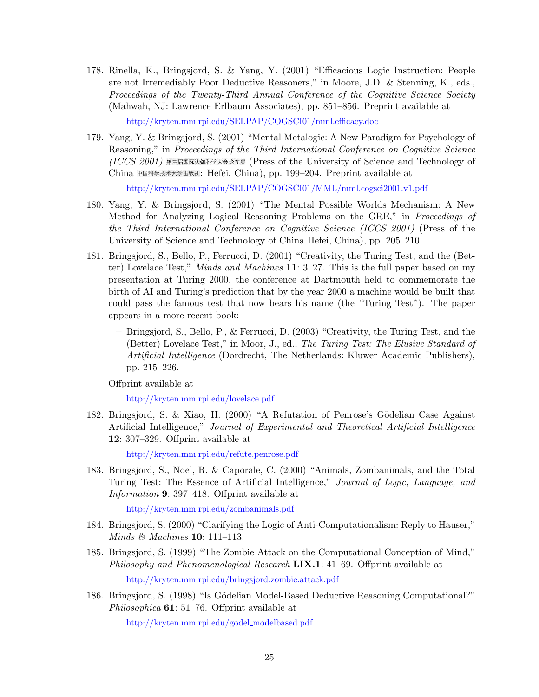178. Rinella, K., Bringsjord, S. & Yang, Y. (2001) "Efficacious Logic Instruction: People are not Irremediably Poor Deductive Reasoners," in Moore, J.D. & Stenning, K., eds., Proceedings of the Twenty-Third Annual Conference of the Cognitive Science Society (Mahwah, NJ: Lawrence Erlbaum Associates), pp. 851–856. Preprint available at

<http://kryten.mm.rpi.edu/SELPAP/COGSCI01/mml.efficacy.doc>

179. Yang, Y. & Bringsjord, S. (2001) "Mental Metalogic: A New Paradigm for Psychology of Reasoning," in Proceedings of the Third International Conference on Cognitive Science  $(ICCS 2001)$  第三届国际认知科学大会论文集 (Press of the University of Science and Technology of China 中国科学技术大学出版社: Hefei, China), pp. 199-204. Preprint available at

<http://kryten.mm.rpi.edu/SELPAP/COGSCI01/MML/mml.cogsci2001.v1.pdf>

- 180. Yang, Y. & Bringsjord, S. (2001) "The Mental Possible Worlds Mechanism: A New Method for Analyzing Logical Reasoning Problems on the GRE," in Proceedings of the Third International Conference on Cognitive Science (ICCS 2001) (Press of the University of Science and Technology of China Hefei, China), pp. 205–210.
- 181. Bringsjord, S., Bello, P., Ferrucci, D. (2001) "Creativity, the Turing Test, and the (Better) Lovelace Test," Minds and Machines 11: 3–27. This is the full paper based on my presentation at Turing 2000, the conference at Dartmouth held to commemorate the birth of AI and Turing's prediction that by the year 2000 a machine would be built that could pass the famous test that now bears his name (the "Turing Test"). The paper appears in a more recent book:
	- Bringsjord, S., Bello, P., & Ferrucci, D. (2003) "Creativity, the Turing Test, and the (Better) Lovelace Test," in Moor, J., ed., The Turing Test: The Elusive Standard of Artificial Intelligence (Dordrecht, The Netherlands: Kluwer Academic Publishers), pp. 215–226.

Offprint available at

<http://kryten.mm.rpi.edu/lovelace.pdf>

182. Bringsjord, S. & Xiao, H. (2000) "A Refutation of Penrose's Gödelian Case Against Artificial Intelligence," Journal of Experimental and Theoretical Artificial Intelligence 12: 307–329. Offprint available at

<http://kryten.mm.rpi.edu/refute.penrose.pdf>

183. Bringsjord, S., Noel, R. & Caporale, C. (2000) "Animals, Zombanimals, and the Total Turing Test: The Essence of Artificial Intelligence," Journal of Logic, Language, and Information 9: 397–418. Offprint available at

<http://kryten.mm.rpi.edu/zombanimals.pdf>

- 184. Bringsjord, S. (2000) "Clarifying the Logic of Anti-Computationalism: Reply to Hauser," Minds & Machines 10: 111–113.
- 185. Bringsjord, S. (1999) "The Zombie Attack on the Computational Conception of Mind," Philosophy and Phenomenological Research  $LIX.1: 41–69.$  Offprint available at

<http://kryten.mm.rpi.edu/bringsjord.zombie.attack.pdf>

186. Bringsjord, S. (1998) "Is Gödelian Model-Based Deductive Reasoning Computational?" Philosophica **61**: 51–76. Offprint available at

[http://kryten.mm.rpi.edu/godel](http://kryten.mm.rpi.edu/godel_modelbased.pdf) modelbased.pdf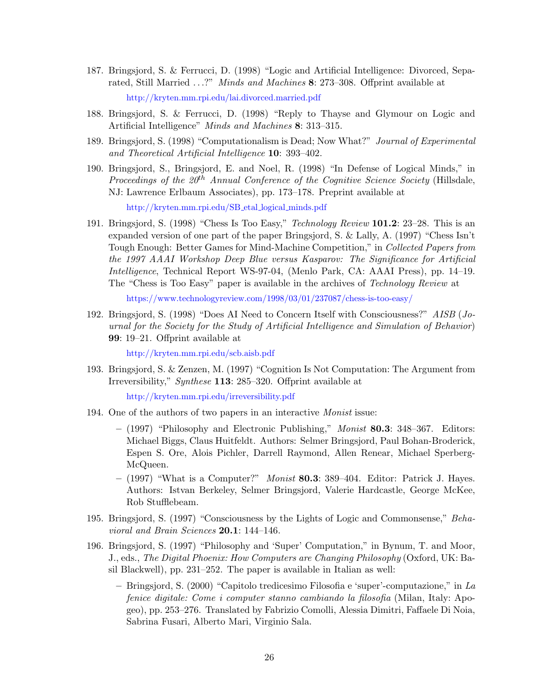- 187. Bringsjord, S. & Ferrucci, D. (1998) "Logic and Artificial Intelligence: Divorced, Separated, Still Married ...?" Minds and Machines 8: 273-308. Offprint available at <http://kryten.mm.rpi.edu/lai.divorced.married.pdf>
- 188. Bringsjord, S. & Ferrucci, D. (1998) "Reply to Thayse and Glymour on Logic and Artificial Intelligence" Minds and Machines 8: 313–315.
- 189. Bringsjord, S. (1998) "Computationalism is Dead; Now What?" Journal of Experimental and Theoretical Artificial Intelligence 10: 393–402.
- 190. Bringsjord, S., Bringsjord, E. and Noel, R. (1998) "In Defense of Logical Minds," in Proceedings of the  $20<sup>th</sup>$  Annual Conference of the Cognitive Science Society (Hillsdale, NJ: Lawrence Erlbaum Associates), pp. 173–178. Preprint available at

[http://kryten.mm.rpi.edu/SB](http://kryten.mm.rpi.edu/SB_etal_logical_minds.pdf) etal logical minds.pdf

191. Bringsjord, S. (1998) "Chess Is Too Easy," Technology Review 101.2: 23–28. This is an expanded version of one part of the paper Bringsjord, S. & Lally, A. (1997) "Chess Isn't Tough Enough: Better Games for Mind-Machine Competition," in Collected Papers from the 1997 AAAI Workshop Deep Blue versus Kasparov: The Significance for Artificial Intelligence, Technical Report WS-97-04, (Menlo Park, CA: AAAI Press), pp. 14–19. The "Chess is Too Easy" paper is available in the archives of Technology Review at

<https://www.technologyreview.com/1998/03/01/237087/chess-is-too-easy/>

192. Bringsjord, S. (1998) "Does AI Need to Concern Itself with Consciousness?" AISB (Journal for the Society for the Study of Artificial Intelligence and Simulation of Behavior) 99: 19–21. Offprint available at

<http://kryten.mm.rpi.edu/scb.aisb.pdf>

193. Bringsjord, S. & Zenzen, M. (1997) "Cognition Is Not Computation: The Argument from Irreversibility," Synthese 113: 285–320. Offprint available at

<http://kryten.mm.rpi.edu/irreversibility.pdf>

- 194. One of the authors of two papers in an interactive Monist issue:
	- $-$  (1997) "Philosophy and Electronic Publishing," *Monist* 80.3: 348–367. Editors: Michael Biggs, Claus Huitfeldt. Authors: Selmer Bringsjord, Paul Bohan-Broderick, Espen S. Ore, Alois Pichler, Darrell Raymond, Allen Renear, Michael Sperberg-McQueen.
	- $-$  (1997) "What is a Computer?" *Monist* 80.3: 389-404. Editor: Patrick J. Hayes. Authors: Istvan Berkeley, Selmer Bringsjord, Valerie Hardcastle, George McKee, Rob Stufflebeam.
- 195. Bringsjord, S. (1997) "Consciousness by the Lights of Logic and Commonsense," Behavioral and Brain Sciences 20.1: 144–146.
- 196. Bringsjord, S. (1997) "Philosophy and 'Super' Computation," in Bynum, T. and Moor, J., eds., The Digital Phoenix: How Computers are Changing Philosophy (Oxford, UK: Basil Blackwell), pp. 231–252. The paper is available in Italian as well:
	- Bringsjord, S. (2000) "Capitolo tredicesimo Filosofia e 'super'-computazione," in La fenice digitale: Come i computer stanno cambiando la filosofia (Milan, Italy: Apogeo), pp. 253–276. Translated by Fabrizio Comolli, Alessia Dimitri, Faffaele Di Noia, Sabrina Fusari, Alberto Mari, Virginio Sala.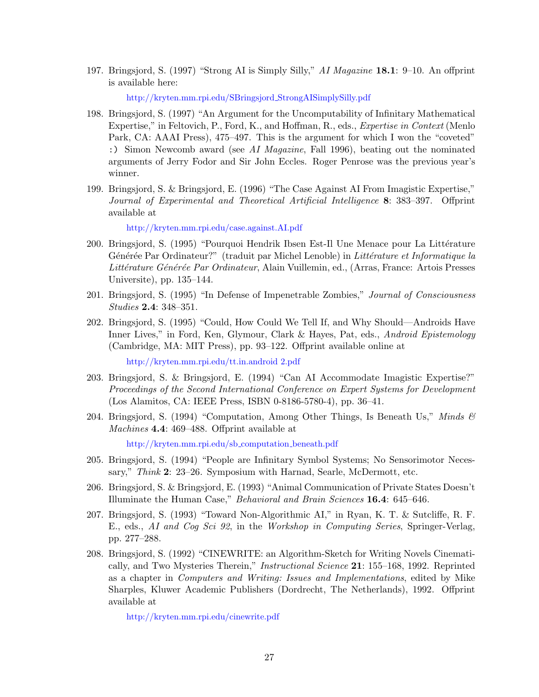197. Bringsjord, S. (1997) "Strong AI is Simply Silly," AI Magazine 18.1: 9–10. An offprint is available here:

[http://kryten.mm.rpi.edu/SBringsjord](http://kryten.mm.rpi.edu/SBringsjord_StrongAISimplySilly.pdf) StrongAISimplySilly.pdf

- 198. Bringsjord, S. (1997) "An Argument for the Uncomputability of Infinitary Mathematical Expertise," in Feltovich, P., Ford, K., and Hoffman, R., eds., Expertise in Context (Menlo Park, CA: AAAI Press), 475–497. This is the argument for which I won the "coveted" :) Simon Newcomb award (see AI Magazine, Fall 1996), beating out the nominated arguments of Jerry Fodor and Sir John Eccles. Roger Penrose was the previous year's winner.
- 199. Bringsjord, S. & Bringsjord, E. (1996) "The Case Against AI From Imagistic Expertise," Journal of Experimental and Theoretical Artificial Intelligence 8: 383–397. Offprint available at

<http://kryten.mm.rpi.edu/case.against.AI.pdf>

- 200. Bringsjord, S. (1995) "Pourquoi Hendrik Ibsen Est-Il Une Menace pour La Littérature Générée Par Ordinateur?" (traduit par Michel Lenoble) in Littérature et Informatique la Littérature Générée Par Ordinateur, Alain Vuillemin, ed., (Arras, France: Artois Presses Universite), pp. 135–144.
- 201. Bringsjord, S. (1995) "In Defense of Impenetrable Zombies," Journal of Consciousness Studies 2.4: 348–351.
- 202. Bringsjord, S. (1995) "Could, How Could We Tell If, and Why Should—Androids Have Inner Lives," in Ford, Ken, Glymour, Clark & Hayes, Pat, eds., Android Epistemology (Cambridge, MA: MIT Press), pp. 93–122. Offprint available online at

[http://kryten.mm.rpi.edu/tt.in.android 2.pdf](http://kryten.mm.rpi.edu/tt.in.android2.pdf)

- 203. Bringsjord, S. & Bringsjord, E. (1994) "Can AI Accommodate Imagistic Expertise?" Proceedings of the Second International Conference on Expert Systems for Development (Los Alamitos, CA: IEEE Press, ISBN 0-8186-5780-4), pp. 36–41.
- 204. Bringsjord, S. (1994) "Computation, Among Other Things, Is Beneath Us," Minds  $\mathcal{C}$ Machines 4.4: 469–488. Offprint available at

[http://kryten.mm.rpi.edu/sb](http://kryten.mm.rpi.edu/sb_computation_beneath.pdf) computation beneath.pdf

- 205. Bringsjord, S. (1994) "People are Infinitary Symbol Systems; No Sensorimotor Necessary," Think 2: 23–26. Symposium with Harnad, Searle, McDermott, etc.
- 206. Bringsjord, S. & Bringsjord, E. (1993) "Animal Communication of Private States Doesn't Illuminate the Human Case," Behavioral and Brain Sciences 16.4: 645–646.
- 207. Bringsjord, S. (1993) "Toward Non-Algorithmic AI," in Ryan, K. T. & Sutcliffe, R. F. E., eds., AI and Cog Sci 92, in the Workshop in Computing Series, Springer-Verlag, pp. 277–288.
- 208. Bringsjord, S. (1992) "CINEWRITE: an Algorithm-Sketch for Writing Novels Cinematically, and Two Mysteries Therein," Instructional Science 21: 155–168, 1992. Reprinted as a chapter in Computers and Writing: Issues and Implementations, edited by Mike Sharples, Kluwer Academic Publishers (Dordrecht, The Netherlands), 1992. Offprint available at

<http://kryten.mm.rpi.edu/cinewrite.pdf>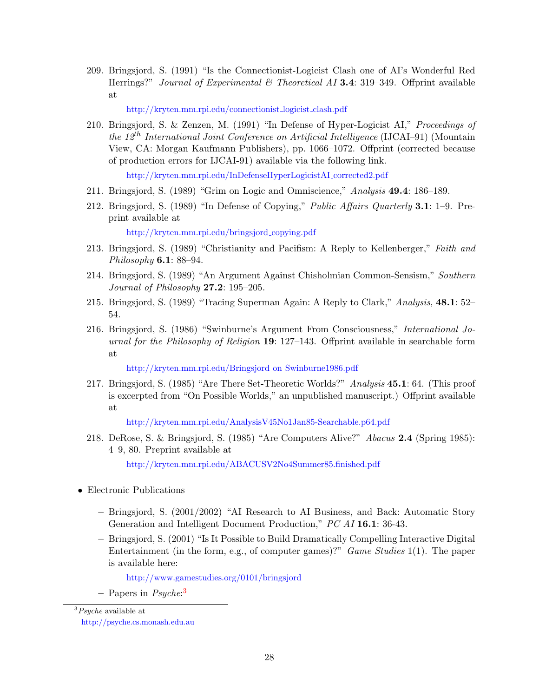209. Bringsjord, S. (1991) "Is the Connectionist-Logicist Clash one of AI's Wonderful Red Herrings?" Journal of Experimental & Theoretical AI 3.4: 319–349. Offprint available at

[http://kryten.mm.rpi.edu/connectionist](http://kryten.mm.rpi.edu/connectionist_logicist_clash.pdf) logicist clash.pdf

210. Bringsjord, S. & Zenzen, M. (1991) "In Defense of Hyper-Logicist AI," Proceedings of the 12<sup>th</sup> International Joint Conference on Artificial Intelligence (IJCAI–91) (Mountain View, CA: Morgan Kaufmann Publishers), pp. 1066–1072. Offprint (corrected because of production errors for IJCAI-91) available via the following link.

[http://kryten.mm.rpi.edu/InDefenseHyperLogicistAI](http://kryten.mm.rpi.edu/InDefenseHyperLogicistAI_corrected2.pdf) corrected2.pdf

- 211. Bringsjord, S. (1989) "Grim on Logic and Omniscience," Analysis 49.4: 186–189.
- 212. Bringsjord, S. (1989) "In Defense of Copying," Public Affairs Quarterly 3.1: 1–9. Preprint available at

[http://kryten.mm.rpi.edu/bringsjord](http://kryten.mm.rpi.edu/bringsjord_copying.pdf) copying.pdf

- 213. Bringsjord, S. (1989) "Christianity and Pacifism: A Reply to Kellenberger," Faith and Philosophy **6.1**: 88-94.
- 214. Bringsjord, S. (1989) "An Argument Against Chisholmian Common-Sensism," Southern Journal of Philosophy  $27.2$ : 195-205.
- 215. Bringsjord, S. (1989) "Tracing Superman Again: A Reply to Clark," Analysis, 48.1: 52– 54.
- 216. Bringsjord, S. (1986) "Swinburne's Argument From Consciousness," International Journal for the Philosophy of Religion 19: 127–143. Offprint available in searchable form at

[http://kryten.mm.rpi.edu/Bringsjord](http://kryten.mm.rpi.edu/Bringsjord_on_Swinburne1986.pdf) on Swinburne1986.pdf

217. Bringsjord, S. (1985) "Are There Set-Theoretic Worlds?" Analysis 45.1: 64. (This proof is excerpted from "On Possible Worlds," an unpublished manuscript.) Offprint available at

<http://kryten.mm.rpi.edu/AnalysisV45No1Jan85-Searchable.p64.pdf>

218. DeRose, S. & Bringsjord, S. (1985) "Are Computers Alive?" Abacus 2.4 (Spring 1985): 4–9, 80. Preprint available at

<http://kryten.mm.rpi.edu/ABACUSV2No4Summer85.finished.pdf>

- <span id="page-29-0"></span>• Electronic Publications
	- Bringsjord, S. (2001/2002) "AI Research to AI Business, and Back: Automatic Story Generation and Intelligent Document Production," PC AI 16.1: 36-43.
	- Bringsjord, S. (2001) "Is It Possible to Build Dramatically Compelling Interactive Digital Entertainment (in the form, e.g., of computer games)?" Game Studies 1(1). The paper is available here:

<http://www.gamestudies.org/0101/bringsjord>

- Papers in *Psyche*:<sup>[3](#page-29-1)</sup>

<span id="page-29-1"></span> $3P<sub>8</sub>$ yche available at

<http://psyche.cs.monash.edu.au>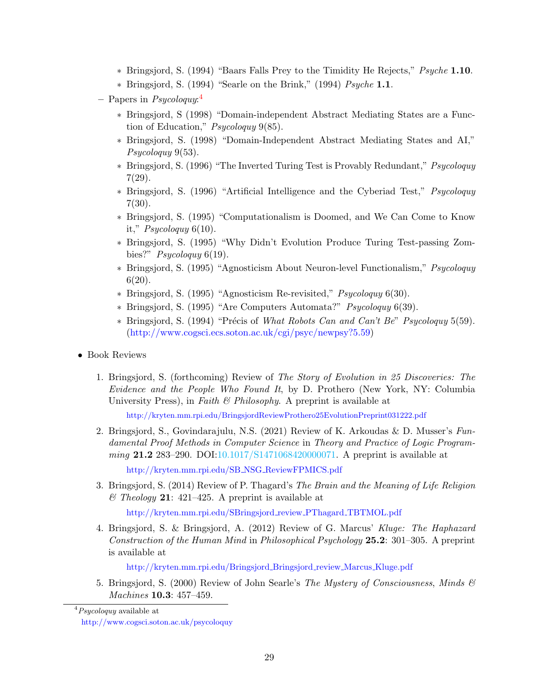- ∗ Bringsjord, S. (1994) "Baars Falls Prey to the Timidity He Rejects," Psyche 1.10.
- ∗ Bringsjord, S. (1994) "Searle on the Brink," (1994) Psyche 1.1.

- ∗ Bringsjord, S (1998) "Domain-independent Abstract Mediating States are a Function of Education," Psycoloquy 9(85).
- ∗ Bringsjord, S. (1998) "Domain-Independent Abstract Mediating States and AI," Psycologuy 9(53).
- ∗ Bringsjord, S. (1996) "The Inverted Turing Test is Provably Redundant," Psycoloquy 7(29).
- ∗ Bringsjord, S. (1996) "Artificial Intelligence and the Cyberiad Test," Psycoloquy 7(30).
- ∗ Bringsjord, S. (1995) "Computationalism is Doomed, and We Can Come to Know it,"  $Psychquy 6(10)$ .
- ∗ Bringsjord, S. (1995) "Why Didn't Evolution Produce Turing Test-passing Zombies?"  $P<sub>sycologuy</sub> 6(19)$ .
- ∗ Bringsjord, S. (1995) "Agnosticism About Neuron-level Functionalism," Psycoloquy 6(20).
- ∗ Bringsjord, S. (1995) "Agnosticism Re-revisited," Psycoloquy 6(30).
- ∗ Bringsjord, S. (1995) "Are Computers Automata?" Psycoloquy 6(39).
- <span id="page-30-0"></span> $*$  Bringsjord, S. (1994) "Précis of What Robots Can and Can't Be" Psycologuy 5(59). [\(http://www.cogsci.ecs.soton.ac.uk/cgi/psyc/newpsy?5.59\)](http://www.cogsci.ecs.soton.ac.uk/cgi/psyc/newpsy?5.59)
- Book Reviews
	- 1. Bringsjord, S. (forthcoming) Review of The Story of Evolution in 25 Discoveries: The Evidence and the People Who Found It, by D. Prothero (New York, NY: Columbia University Press), in Faith  $\mathcal B$  Philosophy. A preprint is available at

<http://kryten.mm.rpi.edu/BringsjordReviewProthero25EvolutionPreprint031222.pdf>

2. Bringsjord, S., Govindarajulu, N.S. (2021) Review of K. Arkoudas & D. Musser's Fundamental Proof Methods in Computer Science in Theory and Practice of Logic Programming 21.2 283–290. DOI[:10.1017/S1471068420000071.](#page-0-0) A preprint is available at

[http://kryten.mm.rpi.edu/SB](http://kryten.mm.rpi.edu/SB_NSG_ReviewFPMICS.pdf) NSG ReviewFPMICS.pdf

3. Bringsjord, S. (2014) Review of P. Thagard's The Brain and the Meaning of Life Religion  $\mathscr{C}$  Theology 21: 421–425. A preprint is available at

[http://kryten.mm.rpi.edu/SBringsjord](http://kryten.mm.rpi.edu/SBringsjord_review_PThagard_TBTMOL.pdf)\_review\_PThagard\_TBTMOL.pdf

4. Bringsjord, S. & Bringsjord, A. (2012) Review of G. Marcus' Kluge: The Haphazard Construction of the Human Mind in Philosophical Psychology 25.2: 301–305. A preprint is available at

[http://kryten.mm.rpi.edu/Bringsjord](http://kryten.mm.rpi.edu/Bringsjord_Bringsjord_review_Marcus_Kluge.pdf)\_Bringsjord\_review\_Marcus\_Kluge.pdf

5. Bringsjord, S. (2000) Review of John Searle's The Mystery of Consciousness, Minds  $\mathcal{C}$ Machines 10.3: 457–459.

<sup>-</sup> Papers in  $Psychquy:$ <sup>[4](#page-30-1)</sup>

<span id="page-30-1"></span> $^{4}P<sub>sycolog</sub>$  available at

<http://www.cogsci.soton.ac.uk/psycoloquy>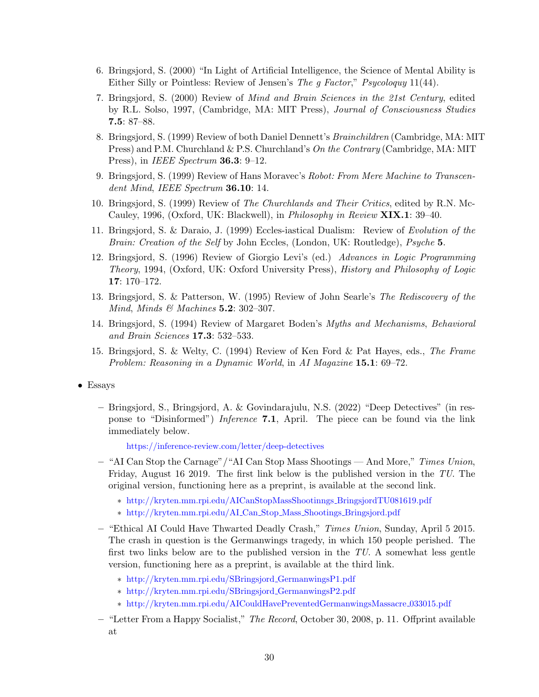- 6. Bringsjord, S. (2000) "In Light of Artificial Intelligence, the Science of Mental Ability is Either Silly or Pointless: Review of Jensen's The g Factor," Psycologuy 11(44).
- 7. Bringsjord, S. (2000) Review of Mind and Brain Sciences in the 21st Century, edited by R.L. Solso, 1997, (Cambridge, MA: MIT Press), Journal of Consciousness Studies 7.5: 87–88.
- 8. Bringsjord, S. (1999) Review of both Daniel Dennett's Brainchildren (Cambridge, MA: MIT Press) and P.M. Churchland & P.S. Churchland's On the Contrary (Cambridge, MA: MIT Press), in *IEEE Spectrum* **36.3**: 9–12.
- 9. Bringsjord, S. (1999) Review of Hans Moravec's Robot: From Mere Machine to Transcendent Mind, IEEE Spectrum  $36.10:14$ .
- 10. Bringsjord, S. (1999) Review of The Churchlands and Their Critics, edited by R.N. Mc-Cauley, 1996, (Oxford, UK: Blackwell), in Philosophy in Review XIX.1: 39–40.
- 11. Bringsjord, S. & Daraio, J. (1999) Eccles-iastical Dualism: Review of Evolution of the Brain: Creation of the Self by John Eccles, (London, UK: Routledge), Psyche 5.
- 12. Bringsjord, S. (1996) Review of Giorgio Levi's (ed.) Advances in Logic Programming Theory, 1994, (Oxford, UK: Oxford University Press), History and Philosophy of Logic 17: 170–172.
- 13. Bringsjord, S. & Patterson, W. (1995) Review of John Searle's The Rediscovery of the Mind, Minds  $\mathcal{B}$  Machines 5.2: 302–307.
- 14. Bringsjord, S. (1994) Review of Margaret Boden's Myths and Mechanisms, Behavioral and Brain Sciences 17.3: 532–533.
- <span id="page-31-0"></span>15. Bringsjord, S. & Welty, C. (1994) Review of Ken Ford & Pat Hayes, eds., The Frame Problem: Reasoning in a Dynamic World, in AI Magazine 15.1: 69-72.
- Essays
	- Bringsjord, S., Bringsjord, A. & Govindarajulu, N.S. (2022) "Deep Detectives" (in response to "Disinformed") Inference 7.1, April. The piece can be found via the link immediately below.

<https://inference-review.com/letter/deep-detectives>

- "AI Can Stop the Carnage"/"AI Can Stop Mass Shootings And More," Times Union, Friday, August 16 2019. The first link below is the published version in the TU. The original version, functioning here as a preprint, is available at the second link.
	- ∗ [http://kryten.mm.rpi.edu/AICanStopMassShootinngs](http://kryten.mm.rpi.edu/AICanStopMassShootinngs_BringsjordTU081619.pdf) BringsjordTU081619.pdf
	- ∗ [http://kryten.mm.rpi.edu/AI](http://kryten.mm.rpi.edu/AI_Can_Stop_Mass_Shootings_Bringsjord.pdf) Can Stop Mass Shootings Bringsjord.pdf
- "Ethical AI Could Have Thwarted Deadly Crash," Times Union, Sunday, April 5 2015. The crash in question is the Germanwings tragedy, in which 150 people perished. The first two links below are to the published version in the TU. A somewhat less gentle version, functioning here as a preprint, is available at the third link.
	- ∗ [http://kryten.mm.rpi.edu/SBringsjord](http://kryten.mm.rpi.edu/SBringsjord_GermanwingsP1.pdf) GermanwingsP1.pdf
	- ∗ [http://kryten.mm.rpi.edu/SBringsjord](http://kryten.mm.rpi.edu/SBringsjord_GermanwingsP2.pdf) GermanwingsP2.pdf
	- ∗ [http://kryten.mm.rpi.edu/AICouldHavePreventedGermanwingsMassacre](http://kryten.mm.rpi.edu/AICouldHavePreventedGermanwingsMassacre_033015.pdf) 033015.pdf
- "Letter From a Happy Socialist," The Record, October 30, 2008, p. 11. Offprint available at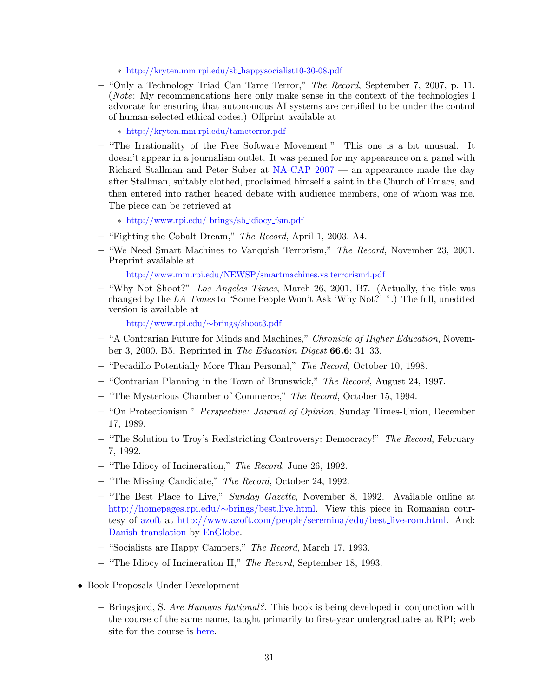- ∗ [http://kryten.mm.rpi.edu/sb](http://kryten.mm.rpi.edu/sb_happysocialist10-30-08.pdf) happysocialist10-30-08.pdf
- "Only a Technology Triad Can Tame Terror," The Record, September 7, 2007, p. 11. (Note: My recommendations here only make sense in the context of the technologies I advocate for ensuring that autonomous AI systems are certified to be under the control of human-selected ethical codes.) Offprint available at

∗ <http://kryten.mm.rpi.edu/tameterror.pdf>

– "The Irrationality of the Free Software Movement." This one is a bit unusual. It doesn't appear in a journalism outlet. It was penned for my appearance on a panel with Richard Stallman and Peter Suber at [NA-CAP 2007](http://na-cap.osi.luc.edu) — an appearance made the day after Stallman, suitably clothed, proclaimed himself a saint in the Church of Emacs, and then entered into rather heated debate with audience members, one of whom was me. The piece can be retrieved at

∗ [http://www.rpi.edu/ brings/sb](http://www.rpi.edu/~brings/sb_idiocy_fsm.pdf) idiocy fsm.pdf

- "Fighting the Cobalt Dream," The Record, April 1, 2003, A4.
- "We Need Smart Machines to Vanquish Terrorism," The Record, November 23, 2001. Preprint available at

<http://www.mm.rpi.edu/NEWSP/smartmachines.vs.terrorism4.pdf>

– "Why Not Shoot?" Los Angeles Times, March 26, 2001, B7. (Actually, the title was changed by the LA Times to "Some People Won't Ask 'Why Not?' ".) The full, unedited version is available at

[http://www.rpi.edu/](http://www.rpi.edu/~brings/shoot3.pdf)∼brings/shoot3.pdf

- "A Contrarian Future for Minds and Machines," Chronicle of Higher Education, November 3, 2000, B5. Reprinted in The Education Digest 66.6: 31–33.
- "Pecadillo Potentially More Than Personal," The Record, October 10, 1998.
- "Contrarian Planning in the Town of Brunswick," The Record, August 24, 1997.
- "The Mysterious Chamber of Commerce," The Record, October 15, 1994.
- "On Protectionism." Perspective: Journal of Opinion, Sunday Times-Union, December 17, 1989.
- "The Solution to Troy's Redistricting Controversy: Democracy!" The Record, February 7, 1992.
- "The Idiocy of Incineration," The Record, June 26, 1992.
- "The Missing Candidate," The Record, October 24, 1992.
- $-$  "The Best Place to Live," Sunday Gazette, November 8, 1992. Available online at [http://homepages.rpi.edu/](http://homepages.rpi.edu/~brings/best.live.html)∼brings/best.live.html. View this piece in Romanian courtesy of [azoft](http://www.azoft.com) at [http://www.azoft.com/people/seremina/edu/best](http://www.azoft.com/people/seremina/edu/best_live-rom.html) live-rom.html. And: [Danish translation](http://encarsglobe.com/blog/DET-bedste-sted-at-leve.html) by [EnGlobe.](http://encarsglobe.com/blog/DET-bedste-sted-at-leve.html)
- "Socialists are Happy Campers," The Record, March 17, 1993.
- "The Idiocy of Incineration II," The Record, September 18, 1993.
- Book Proposals Under Development
	- Bringsjord, S. Are Humans Rational?. This book is being developed in conjunction with the course of the same name, taught primarily to first-year undergraduates at RPI; web site for the course is [here.](http://kryten.mm.rpi.edu/COURSES/AHR/ahr.html)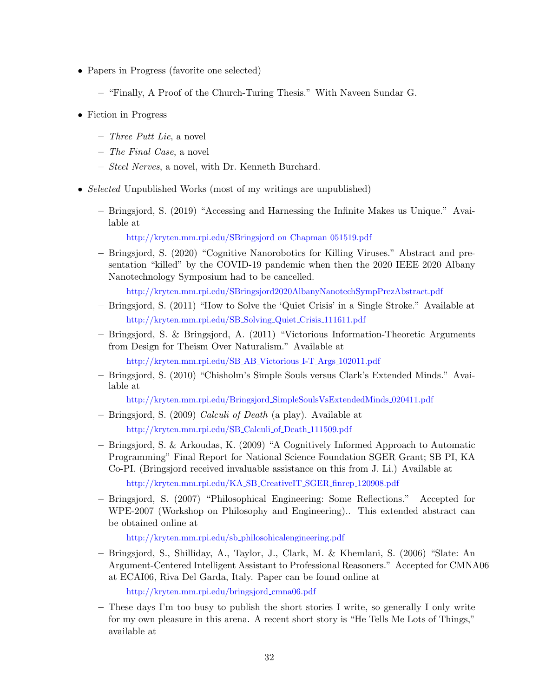- <span id="page-33-0"></span>• Papers in Progress (favorite one selected)
	- "Finally, A Proof of the Church-Turing Thesis." With Naveen Sundar G.
- <span id="page-33-1"></span>• Fiction in Progress
	- $-$  Three Putt Lie, a novel
	- The Final Case, a novel
	- Steel Nerves, a novel, with Dr. Kenneth Burchard.
- *Selected* Unpublished Works (most of my writings are unpublished)
	- Bringsjord, S. (2019) "Accessing and Harnessing the Infinite Makes us Unique." Available at

<span id="page-33-2"></span>[http://kryten.mm.rpi.edu/SBringsjord](http://kryten.mm.rpi.edu/SBringsjord_on_Chapman_051519.pdf) on Chapman 051519.pdf

– Bringsjord, S. (2020) "Cognitive Nanorobotics for Killing Viruses." Abstract and presentation "killed" by the COVID-19 pandemic when then the 2020 IEEE 2020 Albany Nanotechnology Symposium had to be cancelled.

<http://kryten.mm.rpi.edu/SBringsjord2020AlbanyNanotechSympPrezAbstract.pdf>

- Bringsjord, S. (2011) "How to Solve the 'Quiet Crisis' in a Single Stroke." Available at [http://kryten.mm.rpi.edu/SB](http://kryten.mm.rpi.edu/SB_Solving_Quiet_Crisis_111611.pdf) Solving Quiet Crisis 111611.pdf
- Bringsjord, S. & Bringsjord, A. (2011) "Victorious Information-Theoretic Arguments from Design for Theism Over Naturalism." Available at

[http://kryten.mm.rpi.edu/SB](http://kryten.mm.rpi.edu/SB_AB_Victorious_I-T_Args_102011.pdf) AB Victorious I-T Args 102011.pdf

– Bringsjord, S. (2010) "Chisholm's Simple Souls versus Clark's Extended Minds." Available at

[http://kryten.mm.rpi.edu/Bringsjord](http://kryten.mm.rpi.edu/Bringsjord_SimpleSoulsVsExtendedMinds_020411.pdf) SimpleSoulsVsExtendedMinds 020411.pdf

- Bringsjord, S. (2009) Calculi of Death (a play). Available at [http://kryten.mm.rpi.edu/SB](http://kryten.mm.rpi.edu/SB_Calculi_of_Death_111509.pdf) Calculi of Death 111509.pdf
- Bringsjord, S. & Arkoudas, K. (2009) "A Cognitively Informed Approach to Automatic Programming" Final Report for National Science Foundation SGER Grant; SB PI, KA Co-PI. (Bringsjord received invaluable assistance on this from J. Li.) Available at

[http://kryten.mm.rpi.edu/KA](http://kryten.mm.rpi.edu/KA_SB_CreativeIT_SGER_finrep_120908.pdf) SB CreativeIT SGER finrep 120908.pdf

– Bringsjord, S. (2007) "Philosophical Engineering: Some Reflections." Accepted for WPE-2007 (Workshop on Philosophy and Engineering).. This extended abstract can be obtained online at

[http://kryten.mm.rpi.edu/sb](http://kryten.mm.rpi.edu/sb_philosohicalengineering.pdf) philosohicalengineering.pdf

– Bringsjord, S., Shilliday, A., Taylor, J., Clark, M. & Khemlani, S. (2006) "Slate: An Argument-Centered Intelligent Assistant to Professional Reasoners." Accepted for CMNA06 at ECAI06, Riva Del Garda, Italy. Paper can be found online at

[http://kryten.mm.rpi.edu/bringsjord](http://kryten.mm.rpi.edu/bringsjord_cmna06.pdf) cmna06.pdf

– These days I'm too busy to publish the short stories I write, so generally I only write for my own pleasure in this arena. A recent short story is "He Tells Me Lots of Things," available at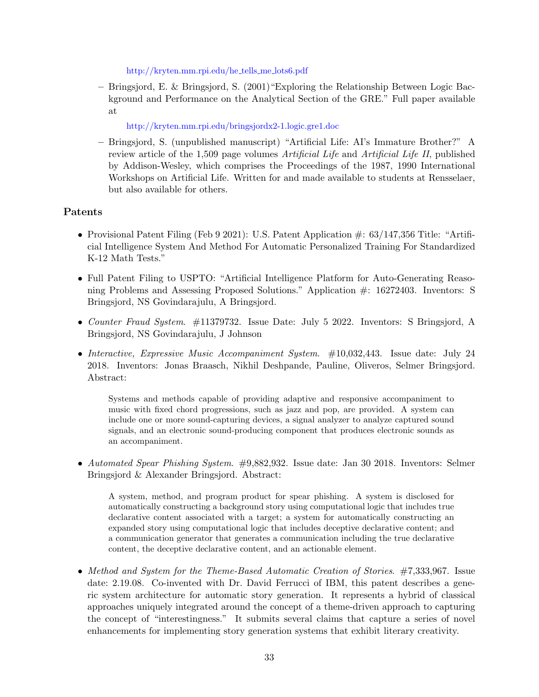[http://kryten.mm.rpi.edu/he](http://kryten.mm.rpi.edu/he_tells_me_lots6.pdf) tells me lots6.pdf

– Bringsjord, E. & Bringsjord, S. (2001)"Exploring the Relationship Between Logic Background and Performance on the Analytical Section of the GRE." Full paper available at

<http://kryten.mm.rpi.edu/bringsjordx2-1.logic.gre1.doc>

– Bringsjord, S. (unpublished manuscript) "Artificial Life: AI's Immature Brother?" A review article of the 1,509 page volumes Artificial Life and Artificial Life II, published by Addison-Wesley, which comprises the Proceedings of the 1987, 1990 International Workshops on Artificial Life. Written for and made available to students at Rensselaer, but also available for others.

## Patents

- <span id="page-34-0"></span>• Provisional Patent Filing (Feb 9 2021): U.S. Patent Application  $\#$ : 63/147,356 Title: "Artificial Intelligence System And Method For Automatic Personalized Training For Standardized K-12 Math Tests."
- Full Patent Filing to USPTO: "Artificial Intelligence Platform for Auto-Generating Reasoning Problems and Assessing Proposed Solutions." Application #: 16272403. Inventors: S Bringsjord, NS Govindarajulu, A Bringsjord.
- Counter Fraud System. #11379732. Issue Date: July 5 2022. Inventors: S Bringsjord, A Bringsjord, NS Govindarajulu, J Johnson
- Interactive, Expressive Music Accompaniment System.  $\#10,032,443$ . Issue date: July 24 2018. Inventors: Jonas Braasch, Nikhil Deshpande, Pauline, Oliveros, Selmer Bringsjord. Abstract:

Systems and methods capable of providing adaptive and responsive accompaniment to music with fixed chord progressions, such as jazz and pop, are provided. A system can include one or more sound-capturing devices, a signal analyzer to analyze captured sound signals, and an electronic sound-producing component that produces electronic sounds as an accompaniment.

• Automated Spear Phishing System. #9,882,932. Issue date: Jan 30 2018. Inventors: Selmer Bringsjord & Alexander Bringsjord. Abstract:

A system, method, and program product for spear phishing. A system is disclosed for automatically constructing a background story using computational logic that includes true declarative content associated with a target; a system for automatically constructing an expanded story using computational logic that includes deceptive declarative content; and a communication generator that generates a communication including the true declarative content, the deceptive declarative content, and an actionable element.

• Method and System for the Theme-Based Automatic Creation of Stories. #7,333,967. Issue date: 2.19.08. Co-invented with Dr. David Ferrucci of IBM, this patent describes a generic system architecture for automatic story generation. It represents a hybrid of classical approaches uniquely integrated around the concept of a theme-driven approach to capturing the concept of "interestingness." It submits several claims that capture a series of novel enhancements for implementing story generation systems that exhibit literary creativity.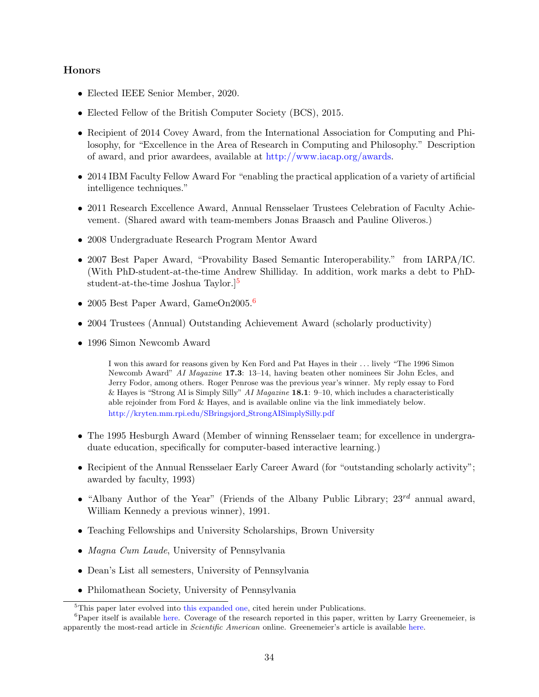## Honors

- <span id="page-35-0"></span>• Elected IEEE Senior Member, 2020.
- Elected Fellow of the British Computer Society (BCS), 2015.
- Recipient of 2014 Covey Award, from the International Association for Computing and Philosophy, for "Excellence in the Area of Research in Computing and Philosophy." Description of award, and prior awardees, available at [http://www.iacap.org/awards.](http://www.iacap.org/awards/)
- 2014 IBM Faculty Fellow Award For "enabling the practical application of a variety of artificial intelligence techniques."
- 2011 Research Excellence Award, Annual Rensselaer Trustees Celebration of Faculty Achievement. (Shared award with team-members Jonas Braasch and Pauline Oliveros.)
- 2008 Undergraduate Research Program Mentor Award
- 2007 Best Paper Award, "Provability Based Semantic Interoperability." from IARPA/IC. (With PhD-student-at-the-time Andrew Shilliday. In addition, work marks a debt to PhDstudent-at-the-time Joshua Taylor.][5](#page-35-1)
- 2005 Best Paper Award, GameOn2005.<sup>[6](#page-35-2)</sup>
- 2004 Trustees (Annual) Outstanding Achievement Award (scholarly productivity)
- 1996 Simon Newcomb Award

I won this award for reasons given by Ken Ford and Pat Hayes in their . . . lively "The 1996 Simon Newcomb Award" AI Magazine 17.3: 13–14, having beaten other nominees Sir John Ecles, and Jerry Fodor, among others. Roger Penrose was the previous year's winner. My reply essay to Ford & Hayes is "Strong AI is Simply Silly" AI Magazine 18.1: 9–10, which includes a characteristically able rejoinder from Ford & Hayes, and is available online via the link immediately below. [http://kryten.mm.rpi.edu/SBringsjord](http://kryten.mm.rpi.edu/SBringsjord_StrongAISimplySilly.pdf) StrongAISimplySilly.pdf

- The 1995 Hesburgh Award (Member of winning Rensselaer team; for excellence in undergraduate education, specifically for computer-based interactive learning.)
- Recipient of the Annual Rensselaer Early Career Award (for "outstanding scholarly activity"; awarded by faculty, 1993)
- "Albany Author of the Year" (Friends of the Albany Public Library;  $23^{rd}$  annual award, William Kennedy a previous winner), 1991.
- Teaching Fellowships and University Scholarships, Brown University
- Magna Cum Laude, University of Pennsylvania
- Dean's List all semesters, University of Pennsylvania
- Philomathean Society, University of Pennsylvania

<span id="page-35-2"></span><span id="page-35-1"></span><sup>&</sup>lt;sup>5</sup>This paper later evolved into [this expanded one,](http://kryten.mm.rpi.edu/toward.pbsi4oic.pdf) cited herein under Publications.

 ${}^{6}$ Paper itself is available [here.](http://kryten.mm.rpi.edu/GameOnpaper.pdf) Coverage of the research reported in this paper, written by Larry Greenemeier, is apparently the most-read article in Scientific American online. Greenemeier's article is available [here.](https://www.scientificamerican.com/article/defining-evil/)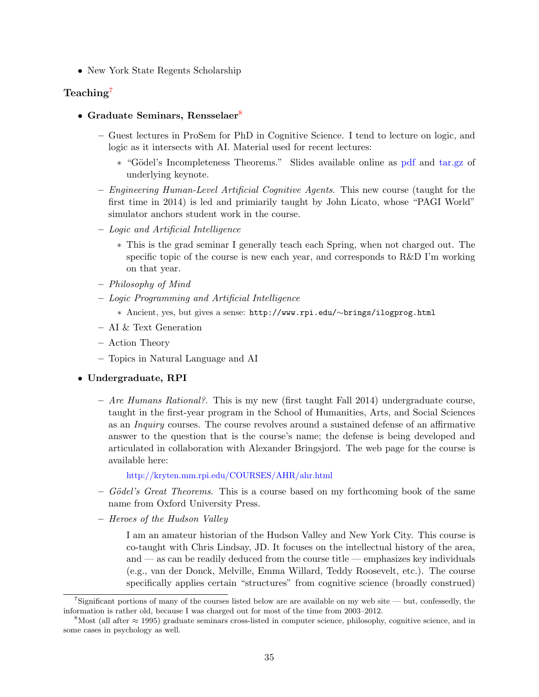• New York State Regents Scholarship

## Teaching<sup>[7](#page-36-0)</sup>

- Graduate Seminars, Rensselaer<sup>[8](#page-36-1)</sup>
	- Guest lectures in ProSem for PhD in Cognitive Science. I tend to lecture on logic, and logic as it intersects with AI. Material used for recent lectures:
		- ∗ "G¨odel's Incompleteness Theorems." Slides available online as [pdf](http://kryten.mm.rpi.edu/COURSES/PROSEM/godelianincompleteness.pdf) and [tar.gz](http://kryten.mm.rpi.edu/COURSES/PROSEM/godelianincompleteness.key.tar.gz) of underlying keynote.
	- Engineering Human-Level Artificial Cognitive Agents. This new course (taught for the first time in 2014) is led and primiarily taught by John Licato, whose "PAGI World" simulator anchors student work in the course.
	- Logic and Artificial Intelligence
		- ∗ This is the grad seminar I generally teach each Spring, when not charged out. The specific topic of the course is new each year, and corresponds to R&D I'm working on that year.
	- Philosophy of Mind
	- Logic Programming and Artificial Intelligence
		- ∗ Ancient, yes, but gives a sense: http://www.rpi.edu/∼brings/ilogprog.html
	- AI & Text Generation
	- Action Theory
	- Topics in Natural Language and AI

### • Undergraduate, RPI

 $-$  *Are Humans Rational?*. This is my new (first taught Fall 2014) undergraduate course, taught in the first-year program in the School of Humanities, Arts, and Social Sciences as an Inquiry courses. The course revolves around a sustained defense of an affirmative answer to the question that is the course's name; the defense is being developed and articulated in collaboration with Alexander Bringsjord. The web page for the course is available here:

## <http://kryten.mm.rpi.edu/COURSES/AHR/ahr.html>

- $-$  Gödel's Great Theorems. This is a course based on my forthcoming book of the same name from Oxford University Press.
- Heroes of the Hudson Valley

I am an amateur historian of the Hudson Valley and New York City. This course is co-taught with Chris Lindsay, JD. It focuses on the intellectual history of the area, and — as can be readily deduced from the course title — emphasizes key individuals (e.g., van der Donck, Melville, Emma Willard, Teddy Roosevelt, etc.). The course specifically applies certain "structures" from cognitive science (broadly construed)

<span id="page-36-0"></span><sup>&</sup>lt;sup>7</sup>Significant portions of many of the courses listed below are are available on my web site — but, confessedly, the information is rather old, because I was charged out for most of the time from 2003–2012.

<span id="page-36-1"></span> $8$ Most (all after  $\approx$  1995) graduate seminars cross-listed in computer science, philosophy, cognitive science, and in some cases in psychology as well.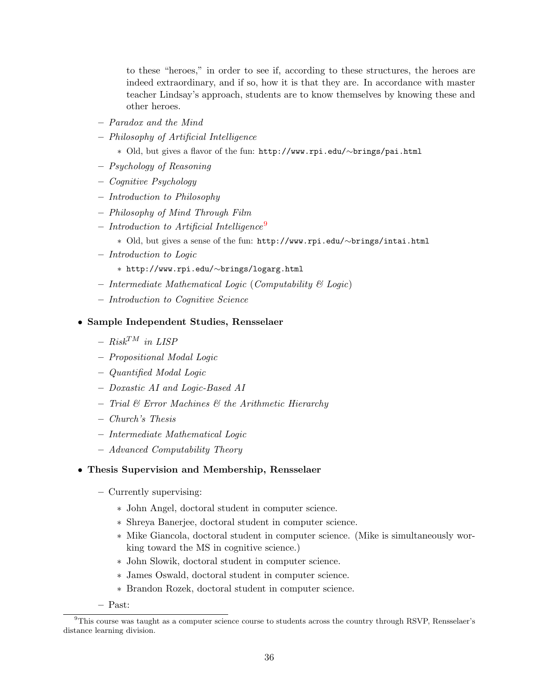to these "heroes," in order to see if, according to these structures, the heroes are indeed extraordinary, and if so, how it is that they are. In accordance with master teacher Lindsay's approach, students are to know themselves by knowing these and other heroes.

- Paradox and the Mind
- Philosophy of Artificial Intelligence
	- ∗ Old, but gives a flavor of the fun: http://www.rpi.edu/∼brings/pai.html
- Psychology of Reasoning
- Cognitive Psychology
- Introduction to Philosophy
- Philosophy of Mind Through Film
- $-$  Introduction to Artificial Intelligence<sup>[9](#page-37-0)</sup>
	- ∗ Old, but gives a sense of the fun: http://www.rpi.edu/∼brings/intai.html
- Introduction to Logic
	- ∗ http://www.rpi.edu/∼brings/logarg.html
- Intermediate Mathematical Logic (Computability & Logic)
- Introduction to Cognitive Science
- Sample Independent Studies, Rensselaer
	- $Risk^{TM}$  in LISP
	- Propositional Modal Logic
	- Quantified Modal Logic
	- Doxastic AI and Logic-Based AI
	- $-$  Trial  $\mathcal B$  Error Machines  $\mathcal B$  the Arithmetic Hierarchy
	- Church's Thesis
	- Intermediate Mathematical Logic
	- Advanced Computability Theory

## • Thesis Supervision and Membership, Rensselaer

- Currently supervising:
	- ∗ John Angel, doctoral student in computer science.
	- ∗ Shreya Banerjee, doctoral student in computer science.
	- ∗ Mike Giancola, doctoral student in computer science. (Mike is simultaneously working toward the MS in cognitive science.)
	- ∗ John Slowik, doctoral student in computer science.
	- ∗ James Oswald, doctoral student in computer science.
	- ∗ Brandon Rozek, doctoral student in computer science.
- Past:

<span id="page-37-0"></span> $9$ This course was taught as a computer science course to students across the country through RSVP, Rensselaer's distance learning division.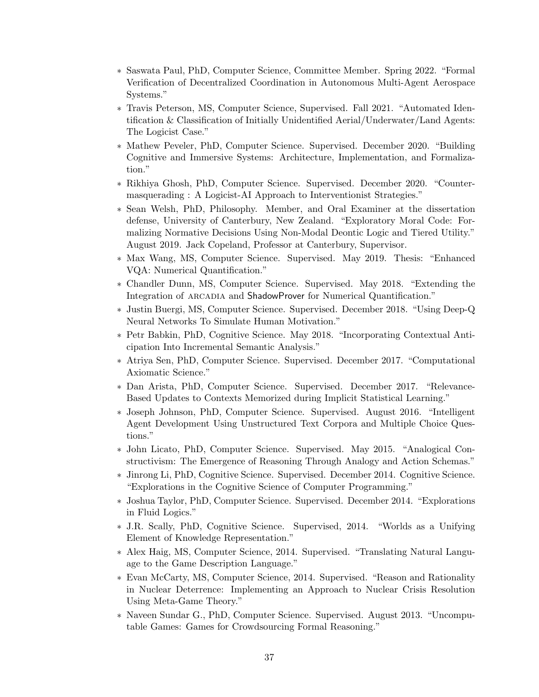- ∗ Saswata Paul, PhD, Computer Science, Committee Member. Spring 2022. "Formal Verification of Decentralized Coordination in Autonomous Multi-Agent Aerospace Systems."
- ∗ Travis Peterson, MS, Computer Science, Supervised. Fall 2021. "Automated Identification & Classification of Initially Unidentified Aerial/Underwater/Land Agents: The Logicist Case."
- ∗ Mathew Peveler, PhD, Computer Science. Supervised. December 2020. "Building Cognitive and Immersive Systems: Architecture, Implementation, and Formalization."
- ∗ Rikhiya Ghosh, PhD, Computer Science. Supervised. December 2020. "Countermasquerading : A Logicist-AI Approach to Interventionist Strategies."
- ∗ Sean Welsh, PhD, Philosophy. Member, and Oral Examiner at the dissertation defense, University of Canterbury, New Zealand. "Exploratory Moral Code: Formalizing Normative Decisions Using Non-Modal Deontic Logic and Tiered Utility." August 2019. Jack Copeland, Professor at Canterbury, Supervisor.
- ∗ Max Wang, MS, Computer Science. Supervised. May 2019. Thesis: "Enhanced VQA: Numerical Quantification."
- ∗ Chandler Dunn, MS, Computer Science. Supervised. May 2018. "Extending the Integration of ARCADIA and ShadowProver for Numerical Quantification."
- ∗ Justin Buergi, MS, Computer Science. Supervised. December 2018. "Using Deep-Q Neural Networks To Simulate Human Motivation."
- ∗ Petr Babkin, PhD, Cognitive Science. May 2018. "Incorporating Contextual Anticipation Into Incremental Semantic Analysis."
- ∗ Atriya Sen, PhD, Computer Science. Supervised. December 2017. "Computational Axiomatic Science."
- ∗ Dan Arista, PhD, Computer Science. Supervised. December 2017. "Relevance-Based Updates to Contexts Memorized during Implicit Statistical Learning."
- ∗ Joseph Johnson, PhD, Computer Science. Supervised. August 2016. "Intelligent Agent Development Using Unstructured Text Corpora and Multiple Choice Questions."
- ∗ John Licato, PhD, Computer Science. Supervised. May 2015. "Analogical Constructivism: The Emergence of Reasoning Through Analogy and Action Schemas."
- ∗ Jinrong Li, PhD, Cognitive Science. Supervised. December 2014. Cognitive Science. "Explorations in the Cognitive Science of Computer Programming."
- ∗ Joshua Taylor, PhD, Computer Science. Supervised. December 2014. "Explorations in Fluid Logics."
- ∗ J.R. Scally, PhD, Cognitive Science. Supervised, 2014. "Worlds as a Unifying Element of Knowledge Representation."
- ∗ Alex Haig, MS, Computer Science, 2014. Supervised. "Translating Natural Language to the Game Description Language."
- ∗ Evan McCarty, MS, Computer Science, 2014. Supervised. "Reason and Rationality in Nuclear Deterrence: Implementing an Approach to Nuclear Crisis Resolution Using Meta-Game Theory."
- ∗ Naveen Sundar G., PhD, Computer Science. Supervised. August 2013. "Uncomputable Games: Games for Crowdsourcing Formal Reasoning."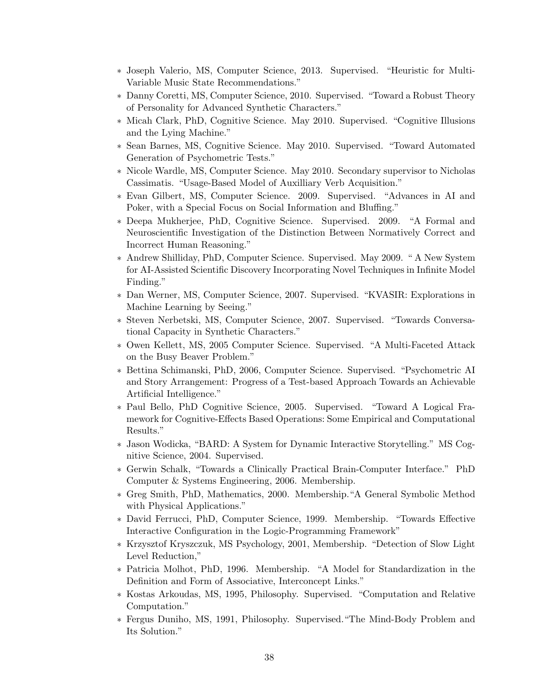- ∗ Joseph Valerio, MS, Computer Science, 2013. Supervised. "Heuristic for Multi-Variable Music State Recommendations."
- ∗ Danny Coretti, MS, Computer Science, 2010. Supervised. "Toward a Robust Theory of Personality for Advanced Synthetic Characters."
- ∗ Micah Clark, PhD, Cognitive Science. May 2010. Supervised. "Cognitive Illusions and the Lying Machine."
- ∗ Sean Barnes, MS, Cognitive Science. May 2010. Supervised. "Toward Automated Generation of Psychometric Tests."
- ∗ Nicole Wardle, MS, Computer Science. May 2010. Secondary supervisor to Nicholas Cassimatis. "Usage-Based Model of Auxilliary Verb Acquisition."
- ∗ Evan Gilbert, MS, Computer Science. 2009. Supervised. "Advances in AI and Poker, with a Special Focus on Social Information and Bluffing."
- ∗ Deepa Mukherjee, PhD, Cognitive Science. Supervised. 2009. "A Formal and Neuroscientific Investigation of the Distinction Between Normatively Correct and Incorrect Human Reasoning."
- ∗ Andrew Shilliday, PhD, Computer Science. Supervised. May 2009. " A New System for AI-Assisted Scientific Discovery Incorporating Novel Techniques in Infinite Model Finding."
- ∗ Dan Werner, MS, Computer Science, 2007. Supervised. "KVASIR: Explorations in Machine Learning by Seeing."
- ∗ Steven Nerbetski, MS, Computer Science, 2007. Supervised. "Towards Conversational Capacity in Synthetic Characters."
- ∗ Owen Kellett, MS, 2005 Computer Science. Supervised. "A Multi-Faceted Attack on the Busy Beaver Problem."
- ∗ Bettina Schimanski, PhD, 2006, Computer Science. Supervised. "Psychometric AI and Story Arrangement: Progress of a Test-based Approach Towards an Achievable Artificial Intelligence."
- ∗ Paul Bello, PhD Cognitive Science, 2005. Supervised. "Toward A Logical Framework for Cognitive-Effects Based Operations: Some Empirical and Computational Results."
- ∗ Jason Wodicka, "BARD: A System for Dynamic Interactive Storytelling." MS Cognitive Science, 2004. Supervised.
- ∗ Gerwin Schalk, "Towards a Clinically Practical Brain-Computer Interface." PhD Computer & Systems Engineering, 2006. Membership.
- ∗ Greg Smith, PhD, Mathematics, 2000. Membership."A General Symbolic Method with Physical Applications."
- ∗ David Ferrucci, PhD, Computer Science, 1999. Membership. "Towards Effective Interactive Configuration in the Logic-Programming Framework"
- ∗ Krzysztof Kryszczuk, MS Psychology, 2001, Membership. "Detection of Slow Light Level Reduction,"
- ∗ Patricia Molhot, PhD, 1996. Membership. "A Model for Standardization in the Definition and Form of Associative, Interconcept Links."
- ∗ Kostas Arkoudas, MS, 1995, Philosophy. Supervised. "Computation and Relative Computation."
- ∗ Fergus Duniho, MS, 1991, Philosophy. Supervised."The Mind-Body Problem and Its Solution."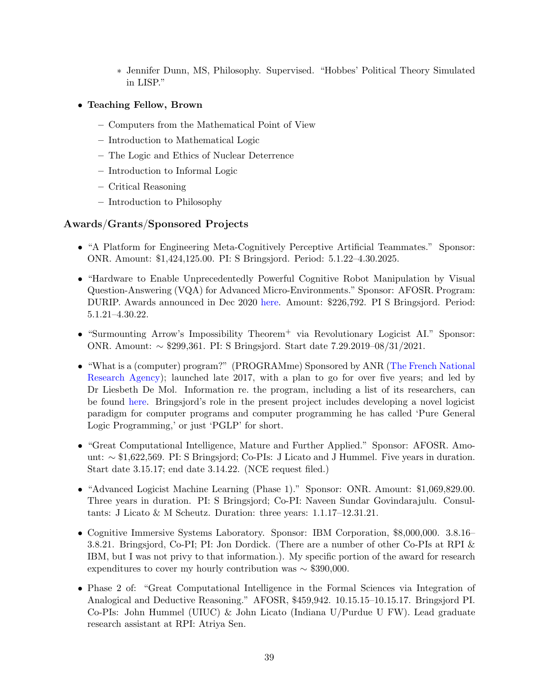- ∗ Jennifer Dunn, MS, Philosophy. Supervised. "Hobbes' Political Theory Simulated in LISP."
- Teaching Fellow, Brown
	- Computers from the Mathematical Point of View
	- Introduction to Mathematical Logic
	- The Logic and Ethics of Nuclear Deterrence
	- Introduction to Informal Logic
	- Critical Reasoning
	- Introduction to Philosophy

# Awards/Grants/Sponsored Projects

- "A Platform for Engineering Meta-Cognitively Perceptive Artificial Teammates." Sponsor: ONR. Amount: \$1,424,125.00. PI: S Bringsjord. Period: 5.1.22–4.30.2025.
- "Hardware to Enable Unprecedentedly Powerful Cognitive Robot Manipulation by Visual Question-Answering (VQA) for Advanced Micro-Environments." Sponsor: AFOSR. Program: DURIP. Awards announced in Dec 2020 [here.](https://www.defense.gov/Newsroom/Releases/Release/Article/2430566/dod-awards-50-million-in-university-research-equipment-awards) Amount: \$226,792. PI S Bringsjord. Period: 5.1.21–4.30.22.
- "Surmounting Arrow's Impossibility Theorem<sup>+</sup> via Revolutionary Logicist AI." Sponsor: ONR. Amount: ∼ \$299,361. PI: S Bringsjord. Start date 7.29.2019–08/31/2021.
- "What is a (computer) program?" (PROGRAMme) Sponsored by ANR [\(The French National](http://www.agence-nationale-recherche.fr) [Research Agency\)](http://www.agence-nationale-recherche.fr); launched late 2017, with a plan to go for over five years; and led by Dr Liesbeth De Mol. Information re. the program, including a list of its researchers, can be found [here.](http://programme.hypotheses.org) Bringsjord's role in the present project includes developing a novel logicist paradigm for computer programs and computer programming he has called 'Pure General Logic Programming,' or just 'PGLP' for short.
- "Great Computational Intelligence, Mature and Further Applied." Sponsor: AFOSR. Amount: ∼ \$1,622,569. PI: S Bringsjord; Co-PIs: J Licato and J Hummel. Five years in duration. Start date 3.15.17; end date 3.14.22. (NCE request filed.)
- "Advanced Logicist Machine Learning (Phase 1)." Sponsor: ONR. Amount: \$1,069,829.00. Three years in duration. PI: S Bringsjord; Co-PI: Naveen Sundar Govindarajulu. Consultants: J Licato & M Scheutz. Duration: three years: 1.1.17–12.31.21.
- Cognitive Immersive Systems Laboratory. Sponsor: IBM Corporation, \$8,000,000. 3.8.16– 3.8.21. Bringsjord, Co-PI; PI: Jon Dordick. (There are a number of other Co-PIs at RPI & IBM, but I was not privy to that information.). My specific portion of the award for research expenditures to cover my hourly contribution was  $\sim$  \$390,000.
- Phase 2 of: "Great Computational Intelligence in the Formal Sciences via Integration of Analogical and Deductive Reasoning." AFOSR, \$459,942. 10.15.15–10.15.17. Bringsjord PI. Co-PIs: John Hummel (UIUC) & John Licato (Indiana U/Purdue U FW). Lead graduate research assistant at RPI: Atriya Sen.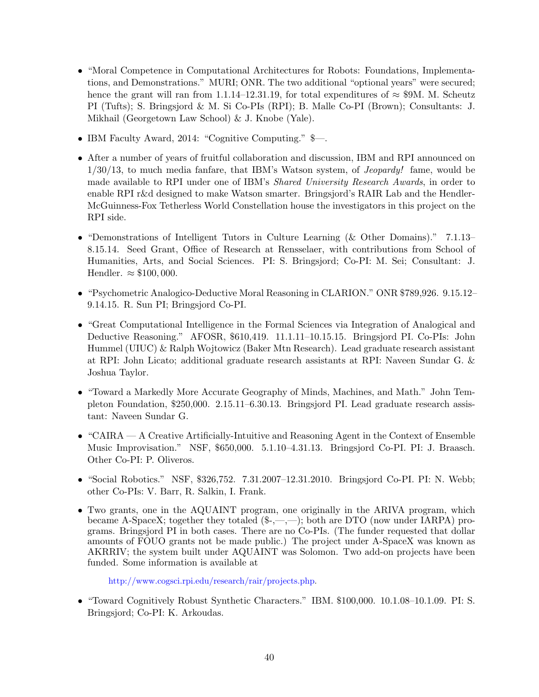- "Moral Competence in Computational Architectures for Robots: Foundations, Implementations, and Demonstrations." MURI; ONR. The two additional "optional years" were secured; hence the grant will ran from 1.1.14–12.31.19, for total expenditures of  $\approx$  \$9M. M. Scheutz PI (Tufts); S. Bringsjord & M. Si Co-PIs (RPI); B. Malle Co-PI (Brown); Consultants: J. Mikhail (Georgetown Law School) & J. Knobe (Yale).
- IBM Faculty Award, 2014: "Cognitive Computing." \$—.
- After a number of years of fruitful collaboration and discussion, IBM and RPI announced on 1/30/13, to much media fanfare, that IBM's Watson system, of Jeopardy! fame, would be made available to RPI under one of IBM's Shared University Research Awards, in order to enable RPI r&d designed to make Watson smarter. Bringsjord's RAIR Lab and the Hendler-McGuinness-Fox Tetherless World Constellation house the investigators in this project on the RPI side.
- "Demonstrations of Intelligent Tutors in Culture Learning (& Other Domains)." 7.1.13– 8.15.14. Seed Grant, Office of Research at Rensselaer, with contributions from School of Humanities, Arts, and Social Sciences. PI: S. Bringsjord; Co-PI: M. Sei; Consultant: J. Hendler.  $\approx$  \$100,000.
- "Psychometric Analogico-Deductive Moral Reasoning in CLARION." ONR \$789,926. 9.15.12– 9.14.15. R. Sun PI; Bringsjord Co-PI.
- "Great Computational Intelligence in the Formal Sciences via Integration of Analogical and Deductive Reasoning." AFOSR, \$610,419. 11.1.11–10.15.15. Bringsjord PI. Co-PIs: John Hummel (UIUC) & Ralph Wojtowicz (Baker Mtn Research). Lead graduate research assistant at RPI: John Licato; additional graduate research assistants at RPI: Naveen Sundar G. & Joshua Taylor.
- "Toward a Markedly More Accurate Geography of Minds, Machines, and Math." John Templeton Foundation, \$250,000. 2.15.11–6.30.13. Bringsjord PI. Lead graduate research assistant: Naveen Sundar G.
- "CAIRA A Creative Artificially-Intuitive and Reasoning Agent in the Context of Ensemble Music Improvisation." NSF, \$650,000. 5.1.10–4.31.13. Bringsjord Co-PI. PI: J. Braasch. Other Co-PI: P. Oliveros.
- "Social Robotics." NSF, \$326,752. 7.31.2007–12.31.2010. Bringsjord Co-PI. PI: N. Webb; other Co-PIs: V. Barr, R. Salkin, I. Frank.
- Two grants, one in the AQUAINT program, one originally in the ARIVA program, which became A-SpaceX; together they totaled  $(\frac{6}{2}, \frac{1}{2}, \frac{1}{2})$ ; both are DTO (now under IARPA) programs. Bringsjord PI in both cases. There are no Co-PIs. (The funder requested that dollar amounts of FOUO grants not be made public.) The project under A-SpaceX was known as AKRRIV; the system built under AQUAINT was Solomon. Two add-on projects have been funded. Some information is available at

[http://www.cogsci.rpi.edu/research/rair/projects.php.](http://www.cogsci.rpi.edu/research/rair/projects.php)

• "Toward Cognitively Robust Synthetic Characters." IBM. \$100,000. 10.1.08–10.1.09. PI: S. Bringsjord; Co-PI: K. Arkoudas.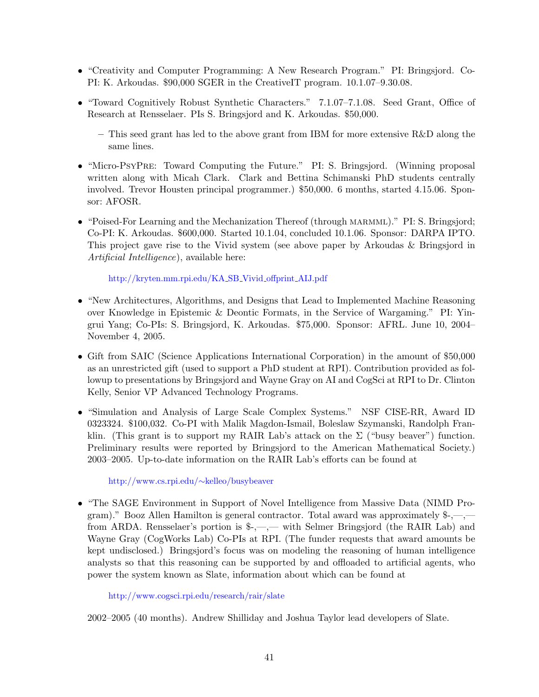- "Creativity and Computer Programming: A New Research Program." PI: Bringsjord. Co-PI: K. Arkoudas. \$90,000 SGER in the CreativeIT program. 10.1.07–9.30.08.
- "Toward Cognitively Robust Synthetic Characters." 7.1.07–7.1.08. Seed Grant, Office of Research at Rensselaer. PIs S. Bringsjord and K. Arkoudas. \$50,000.
	- This seed grant has led to the above grant from IBM for more extensive  $R\&D$  along the same lines.
- "Micro-PsyPRE: Toward Computing the Future." PI: S. Bringsjord. (Winning proposal written along with Micah Clark. Clark and Bettina Schimanski PhD students centrally involved. Trevor Housten principal programmer.) \$50,000. 6 months, started 4.15.06. Sponsor: AFOSR.
- "Poised-For Learning and the Mechanization Thereof (through MARMML)." PI: S. Bringsjord; Co-PI: K. Arkoudas. \$600,000. Started 10.1.04, concluded 10.1.06. Sponsor: DARPA IPTO. This project gave rise to the Vivid system (see above paper by Arkoudas & Bringsjord in Artificial Intelligence), available here:

[http://kryten.mm.rpi.edu/KA](http://kryten.mm.rpi.edu/KA_SB_Vivid_offprint_AIJ.pdf) SB Vivid offprint AIJ.pdf

- "New Architectures, Algorithms, and Designs that Lead to Implemented Machine Reasoning over Knowledge in Epistemic & Deontic Formats, in the Service of Wargaming." PI: Yingrui Yang; Co-PIs: S. Bringsjord, K. Arkoudas. \$75,000. Sponsor: AFRL. June 10, 2004– November 4, 2005.
- Gift from SAIC (Science Applications International Corporation) in the amount of \$50,000 as an unrestricted gift (used to support a PhD student at RPI). Contribution provided as followup to presentations by Bringsjord and Wayne Gray on AI and CogSci at RPI to Dr. Clinton Kelly, Senior VP Advanced Technology Programs.
- "Simulation and Analysis of Large Scale Complex Systems." NSF CISE-RR, Award ID 0323324. \$100,032. Co-PI with Malik Magdon-Ismail, Boleslaw Szymanski, Randolph Franklin. (This grant is to support my RAIR Lab's attack on the  $\Sigma$  ("busy beaver") function. Preliminary results were reported by Bringsjord to the American Mathematical Society.) 2003–2005. Up-to-date information on the RAIR Lab's efforts can be found at

[http://www.cs.rpi.edu/](http://www.cs.rpi.edu/~kelleo/busybeaver)∼kelleo/busybeaver

• "The SAGE Environment in Support of Novel Intelligence from Massive Data (NIMD Program)." Booz Allen Hamilton is general contractor. Total award was approximately  $\frac{1}{r}$ ,—, from ARDA. Rensselaer's portion is \$-,—,— with Selmer Bringsjord (the RAIR Lab) and Wayne Gray (CogWorks Lab) Co-PIs at RPI. (The funder requests that award amounts be kept undisclosed.) Bringsjord's focus was on modeling the reasoning of human intelligence analysts so that this reasoning can be supported by and offloaded to artificial agents, who power the system known as Slate, information about which can be found at

<http://www.cogsci.rpi.edu/research/rair/slate>

2002–2005 (40 months). Andrew Shilliday and Joshua Taylor lead developers of Slate.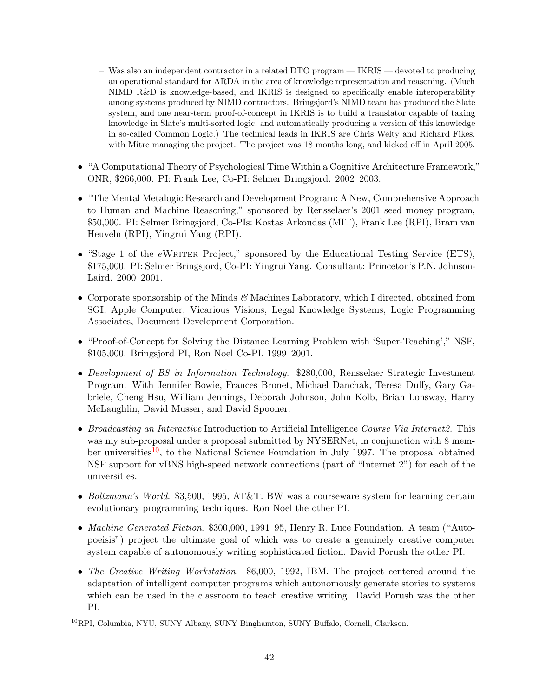- Was also an independent contractor in a related DTO program IKRIS devoted to producing an operational standard for ARDA in the area of knowledge representation and reasoning. (Much NIMD R&D is knowledge-based, and IKRIS is designed to specifically enable interoperability among systems produced by NIMD contractors. Bringsjord's NIMD team has produced the Slate system, and one near-term proof-of-concept in IKRIS is to build a translator capable of taking knowledge in Slate's multi-sorted logic, and automatically producing a version of this knowledge in so-called Common Logic.) The technical leads in IKRIS are Chris Welty and Richard Fikes, with Mitre managing the project. The project was 18 months long, and kicked off in April 2005.
- "A Computational Theory of Psychological Time Within a Cognitive Architecture Framework," ONR, \$266,000. PI: Frank Lee, Co-PI: Selmer Bringsjord. 2002–2003.
- "The Mental Metalogic Research and Development Program: A New, Comprehensive Approach to Human and Machine Reasoning," sponsored by Rensselaer's 2001 seed money program, \$50,000. PI: Selmer Bringsjord, Co-PIs: Kostas Arkoudas (MIT), Frank Lee (RPI), Bram van Heuveln (RPI), Yingrui Yang (RPI).
- "Stage 1 of the eWRITER Project," sponsored by the Educational Testing Service (ETS), \$175,000. PI: Selmer Bringsjord, Co-PI: Yingrui Yang. Consultant: Princeton's P.N. Johnson-Laird. 2000–2001.
- Corporate sponsorship of the Minds  $\mathcal{C}$  Machines Laboratory, which I directed, obtained from SGI, Apple Computer, Vicarious Visions, Legal Knowledge Systems, Logic Programming Associates, Document Development Corporation.
- "Proof-of-Concept for Solving the Distance Learning Problem with 'Super-Teaching'," NSF, \$105,000. Bringsjord PI, Ron Noel Co-PI. 1999–2001.
- Development of BS in Information Technology. \$280,000, Rensselaer Strategic Investment Program. With Jennifer Bowie, Frances Bronet, Michael Danchak, Teresa Duffy, Gary Gabriele, Cheng Hsu, William Jennings, Deborah Johnson, John Kolb, Brian Lonsway, Harry McLaughlin, David Musser, and David Spooner.
- Broadcasting an Interactive Introduction to Artificial Intelligence Course Via Internet2. This was my sub-proposal under a proposal submitted by NYSERNet, in conjunction with 8 mem-ber universities<sup>[10](#page-43-0)</sup>, to the National Science Foundation in July 1997. The proposal obtained NSF support for vBNS high-speed network connections (part of "Internet 2") for each of the universities.
- Boltzmann's World. \$3,500, 1995, AT&T. BW was a courseware system for learning certain evolutionary programming techniques. Ron Noel the other PI.
- Machine Generated Fiction. \$300,000, 1991–95, Henry R. Luce Foundation. A team ("Autopoeisis") project the ultimate goal of which was to create a genuinely creative computer system capable of autonomously writing sophisticated fiction. David Porush the other PI.
- The Creative Writing Workstation. \$6,000, 1992, IBM. The project centered around the adaptation of intelligent computer programs which autonomously generate stories to systems which can be used in the classroom to teach creative writing. David Porush was the other PI.

<span id="page-43-0"></span><sup>10</sup>RPI, Columbia, NYU, SUNY Albany, SUNY Binghamton, SUNY Buffalo, Cornell, Clarkson.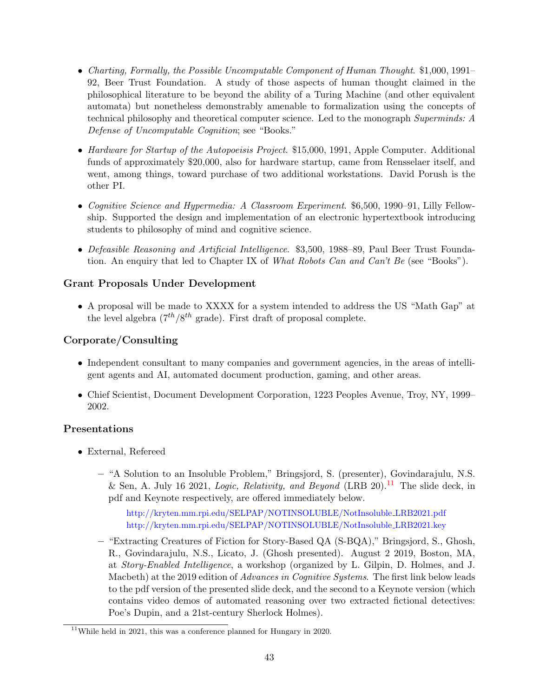- Charting, Formally, the Possible Uncomputable Component of Human Thought. \$1,000, 1991– 92, Beer Trust Foundation. A study of those aspects of human thought claimed in the philosophical literature to be beyond the ability of a Turing Machine (and other equivalent automata) but nonetheless demonstrably amenable to formalization using the concepts of technical philosophy and theoretical computer science. Led to the monograph Superminds: A Defense of Uncomputable Cognition; see "Books."
- Hardware for Startup of the Autopoeisis Project. \$15,000, 1991, Apple Computer. Additional funds of approximately \$20,000, also for hardware startup, came from Rensselaer itself, and went, among things, toward purchase of two additional workstations. David Porush is the other PI.
- Cognitive Science and Hypermedia: A Classroom Experiment. \$6,500, 1990–91, Lilly Fellowship. Supported the design and implementation of an electronic hypertextbook introducing students to philosophy of mind and cognitive science.
- Defeasible Reasoning and Artificial Intelligence. \$3,500, 1988–89, Paul Beer Trust Foundation. An enquiry that led to Chapter IX of What Robots Can and Can't Be (see "Books").

# Grant Proposals Under Development

• A proposal will be made to XXXX for a system intended to address the US "Math Gap" at the level algebra  $(7^{th}/8^{th} \text{ grade})$ . First draft of proposal complete.

# Corporate/Consulting

- Independent consultant to many companies and government agencies, in the areas of intelligent agents and AI, automated document production, gaming, and other areas.
- Chief Scientist, Document Development Corporation, 1223 Peoples Avenue, Troy, NY, 1999– 2002.

# Presentations

- External, Refereed
	- "A Solution to an Insoluble Problem," Bringsjord, S. (presenter), Govindarajulu, N.S. & Sen, A. July 16 2021, *Logic, Relativity, and Beyond* (LRB 20).<sup>[11](#page-44-0)</sup> The slide deck, in pdf and Keynote respectively, are offered immediately below.

[http://kryten.mm.rpi.edu/SELPAP/NOTINSOLUBLE/NotInsoluble](http://kryten.mm.rpi.edu/SELPAP/NOTINSOLUBLE/NotInsoluble_LRB2021.pdf) LRB2021.pdf [http://kryten.mm.rpi.edu/SELPAP/NOTINSOLUBLE/NotInsoluble](http://kryten.mm.rpi.edu/SELPAP/NOTINSOLUBLE/NotInsoluble_LRB2021.key) LRB2021.key

– "Extracting Creatures of Fiction for Story-Based QA (S-BQA)," Bringsjord, S., Ghosh, R., Govindarajulu, N.S., Licato, J. (Ghosh presented). August 2 2019, Boston, MA, at Story-Enabled Intelligence, a workshop (organized by L. Gilpin, D. Holmes, and J. Macbeth) at the 2019 edition of *Advances in Cognitive Systems*. The first link below leads to the pdf version of the presented slide deck, and the second to a Keynote version (which contains video demos of automated reasoning over two extracted fictional detectives: Poe's Dupin, and a 21st-century Sherlock Holmes).

<span id="page-44-0"></span><sup>&</sup>lt;sup>11</sup>While held in 2021, this was a conference planned for Hungary in 2020.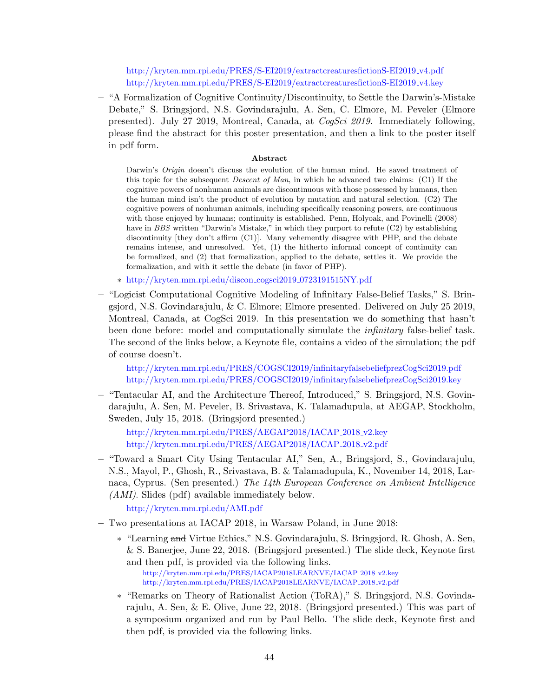[http://kryten.mm.rpi.edu/PRES/S-EI2019/extractcreaturesfictionS-EI2019](http://kryten.mm.rpi.edu/PRES/S-EI2019/extractcreaturesfictionS-EI2019_v4.pdf)<sub>-V4</sub>.pdf [http://kryten.mm.rpi.edu/PRES/S-EI2019/extractcreaturesfictionS-EI2019](http://kryten.mm.rpi.edu/PRES/S-EI2019/extractcreaturesfictionS-EI2019_v4.key) v4.key

– "A Formalization of Cognitive Continuity/Discontinuity, to Settle the Darwin's-Mistake Debate," S. Bringsjord, N.S. Govindarajulu, A. Sen, C. Elmore, M. Peveler (Elmore presented). July 27 2019, Montreal, Canada, at CogSci 2019. Immediately following, please find the abstract for this poster presentation, and then a link to the poster itself in pdf form.

### Abstract

Darwin's *Origin* doesn't discuss the evolution of the human mind. He saved treatment of this topic for the subsequent Descent of Man, in which he advanced two claims: (C1) If the cognitive powers of nonhuman animals are discontinuous with those possessed by humans, then the human mind isn't the product of evolution by mutation and natural selection. (C2) The cognitive powers of nonhuman animals, including specifically reasoning powers, are continuous with those enjoyed by humans; continuity is established. Penn, Holyoak, and Povinelli (2008) have in BBS written "Darwin's Mistake," in which they purport to refute (C2) by establishing discontinuity [they don't affirm (C1)]. Many vehemently disagree with PHP, and the debate remains intense, and unresolved. Yet, (1) the hitherto informal concept of continuity can be formalized, and (2) that formalization, applied to the debate, settles it. We provide the formalization, and with it settle the debate (in favor of PHP).

- ∗ [http://kryten.mm.rpi.edu/discon](http://kryten.mm.rpi.edu/discon_cogsci2019_0723191515NY.pdf) cogsci2019 0723191515NY.pdf
- "Logicist Computational Cognitive Modeling of Infinitary False-Belief Tasks," S. Bringsjord, N.S. Govindarajulu, & C. Elmore; Elmore presented. Delivered on July 25 2019, Montreal, Canada, at CogSci 2019. In this presentation we do something that hasn't been done before: model and computationally simulate the *infinitary* false-belief task. The second of the links below, a Keynote file, contains a video of the simulation; the pdf of course doesn't.

<http://kryten.mm.rpi.edu/PRES/COGSCI2019/infinitaryfalsebeliefprezCogSci2019.pdf> <http://kryten.mm.rpi.edu/PRES/COGSCI2019/infinitaryfalsebeliefprezCogSci2019.key>

– "Tentacular AI, and the Architecture Thereof, Introduced," S. Bringsjord, N.S. Govindarajulu, A. Sen, M. Peveler, B. Srivastava, K. Talamadupula, at AEGAP, Stockholm, Sweden, July 15, 2018. (Bringsjord presented.)

[http://kryten.mm.rpi.edu/PRES/AEGAP2018/IACAP](http://kryten.mm.rpi.edu/PRES/AEGAP2018/IACAP_2018_v2.key)\_2018\_v2.key [http://kryten.mm.rpi.edu/PRES/AEGAP2018/IACAP](http://kryten.mm.rpi.edu/PRES/AEGAP2018/IACAP_2018_v2.pdf)\_2018\_v2.pdf

– "Toward a Smart City Using Tentacular AI," Sen, A., Bringsjord, S., Govindarajulu, N.S., Mayol, P., Ghosh, R., Srivastava, B. & Talamadupula, K., November 14, 2018, Larnaca, Cyprus. (Sen presented.) The 14th European Conference on Ambient Intelligence (AMI). Slides (pdf) available immediately below.

<http://kryten.mm.rpi.edu/AMI.pdf>

- Two presentations at IACAP 2018, in Warsaw Poland, in June 2018:
	- ∗ "Learning and Virtue Ethics," N.S. Govindarajulu, S. Bringsjord, R. Ghosh, A. Sen, & S. Banerjee, June 22, 2018. (Bringsjord presented.) The slide deck, Keynote first and then pdf, is provided via the following links. [http://kryten.mm.rpi.edu/PRES/IACAP2018LEARNVE/IACAP](http://kryten.mm.rpi.edu/PRES/IACAP2018LEARNVE/IACAP_2018_v2.key) 2018 v2.key

[http://kryten.mm.rpi.edu/PRES/IACAP2018LEARNVE/IACAP](http://kryten.mm.rpi.edu/PRES/IACAP2018LEARNVE/IACAP_2018_v2.pdf) 2018 v2.pdf

∗ "Remarks on Theory of Rationalist Action (ToRA)," S. Bringsjord, N.S. Govindarajulu, A. Sen, & E. Olive, June 22, 2018. (Bringsjord presented.) This was part of a symposium organized and run by Paul Bello. The slide deck, Keynote first and then pdf, is provided via the following links.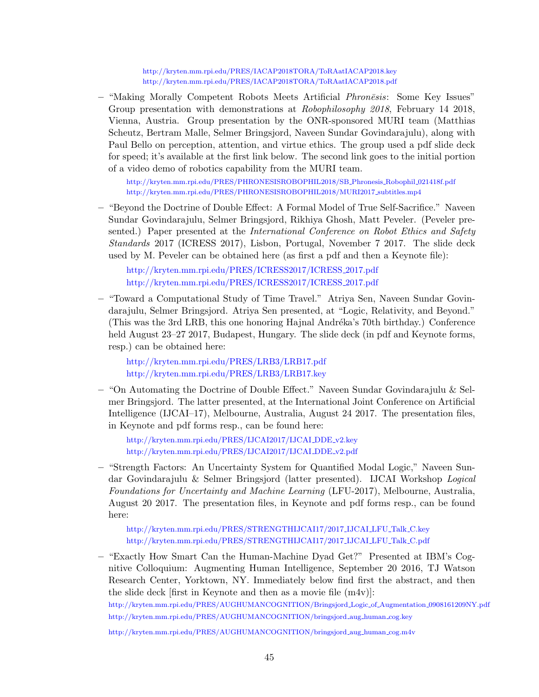<http://kryten.mm.rpi.edu/PRES/IACAP2018TORA/ToRAatIACAP2018.key> <http://kryten.mm.rpi.edu/PRES/IACAP2018TORA/ToRAatIACAP2018.pdf>

– "Making Morally Competent Robots Meets Artificial *Phronesis*: Some Key Issues" Group presentation with demonstrations at *Robophilosophy 2018*, February 14 2018, Vienna, Austria. Group presentation by the ONR-sponsored MURI team (Matthias Scheutz, Bertram Malle, Selmer Bringsjord, Naveen Sundar Govindarajulu), along with Paul Bello on perception, attention, and virtue ethics. The group used a pdf slide deck for speed; it's available at the first link below. The second link goes to the initial portion of a video demo of robotics capability from the MURI team.

[http://kryten.mm.rpi.edu/PRES/PHRONESISROBOPHIL2018/SB](http://kryten.mm.rpi.edu/PRES/PHRONESISROBOPHIL2018/SB_Phronesis_Robophil_021418f.pdf) Phronesis Robophil 021418f.pdf [http://kryten.mm.rpi.edu/PRES/PHRONESISROBOPHIL2018/MURI2017](http://kryten.mm.rpi.edu/PRES/PHRONESISROBOPHIL2018/MURI2017_subtitles.mp4) subtitles.mp4

– "Beyond the Doctrine of Double Effect: A Formal Model of True Self-Sacrifice." Naveen Sundar Govindarajulu, Selmer Bringsjord, Rikhiya Ghosh, Matt Peveler. (Peveler presented.) Paper presented at the International Conference on Robot Ethics and Safety Standards 2017 (ICRESS 2017), Lisbon, Portugal, November 7 2017. The slide deck used by M. Peveler can be obtained here (as first a pdf and then a Keynote file):

[http://kryten.mm.rpi.edu/PRES/ICRESS2017/ICRESS](http://kryten.mm.rpi.edu/PRES/ICRESS2017/ICRESS_2017.pdf) 2017.pdf [http://kryten.mm.rpi.edu/PRES/ICRESS2017/ICRESS](http://kryten.mm.rpi.edu/PRES/ICRESS2017/ICRESS_2017.key) 2017.pdf

– "Toward a Computational Study of Time Travel." Atriya Sen, Naveen Sundar Govindarajulu, Selmer Bringsjord. Atriya Sen presented, at "Logic, Relativity, and Beyond." (This was the 3rd LRB, this one honoring Hajnal Andréka's 70th birthday.) Conference held August 23–27 2017, Budapest, Hungary. The slide deck (in pdf and Keynote forms, resp.) can be obtained here:

<http://kryten.mm.rpi.edu/PRES/LRB3/LRB17.pdf> <http://kryten.mm.rpi.edu/PRES/LRB3/LRB17.key>

– "On Automating the Doctrine of Double Effect." Naveen Sundar Govindarajulu & Selmer Bringsjord. The latter presented, at the International Joint Conference on Artificial Intelligence (IJCAI–17), Melbourne, Australia, August 24 2017. The presentation files, in Keynote and pdf forms resp., can be found here:

[http://kryten.mm.rpi.edu/PRES/IJCAI2017/IJCAI](http://kryten.mm.rpi.edu/PRES/IJCAI2017/IJCAI_DDE_v2.key) DDE v2.key [http://kryten.mm.rpi.edu/PRES/IJCAI2017/IJCAI](http://kryten.mm.rpi.edu/PRES/IJCAI2017/IJCAI_DDE_v2.pdf) DDE v2.pdf

– "Strength Factors: An Uncertainty System for Quantified Modal Logic," Naveen Sundar Govindarajulu & Selmer Bringsjord (latter presented). IJCAI Workshop Logical Foundations for Uncertainty and Machine Learning (LFU-2017), Melbourne, Australia, August 20 2017. The presentation files, in Keynote and pdf forms resp., can be found here:

[http://kryten.mm.rpi.edu/PRES/STRENGTHIJCAI17/2017](http://kryten.mm.rpi.edu/PRES/STRENGTHIJCAI17/2017_IJCAI_LFU_Talk_C.key) IJCAI LFU Talk C.key [http://kryten.mm.rpi.edu/PRES/STRENGTHIJCAI17/2017](http://kryten.mm.rpi.edu/PRES/STRENGTHIJCAI17/2017_IJCAI_LFU_Talk_C.pdf) IJCAI LFU Talk C.pdf

– "Exactly How Smart Can the Human-Machine Dyad Get?" Presented at IBM's Cognitive Colloquium: Augmenting Human Intelligence, September 20 2016, TJ Watson Research Center, Yorktown, NY. Immediately below find first the abstract, and then the slide deck  $[\text{first in Keynote and then as a movie file } (m4v)]$ :

[http://kryten.mm.rpi.edu/PRES/AUGHUMANCOGNITION/Bringsjord](http://kryten.mm.rpi.edu/PRES/AUGHUMANCOGNITION/Bringsjord_Logic_of_Augmentation_0908161209NY.pdf) Logic of Augmentation 0908161209NY.pdf [http://kryten.mm.rpi.edu/PRES/AUGHUMANCOGNITION/bringsjord](http://kryten.mm.rpi.edu/PRES/AUGHUMANCOGNITION/bringsjord_aug_human_cog.key) aug human cog.key

[http://kryten.mm.rpi.edu/PRES/AUGHUMANCOGNITION/bringsjord](http://kryten.mm.rpi.edu/PRES/AUGHUMANCOGNITION/bringsjord_aug_human_cog.m4v) aug human cog.m4v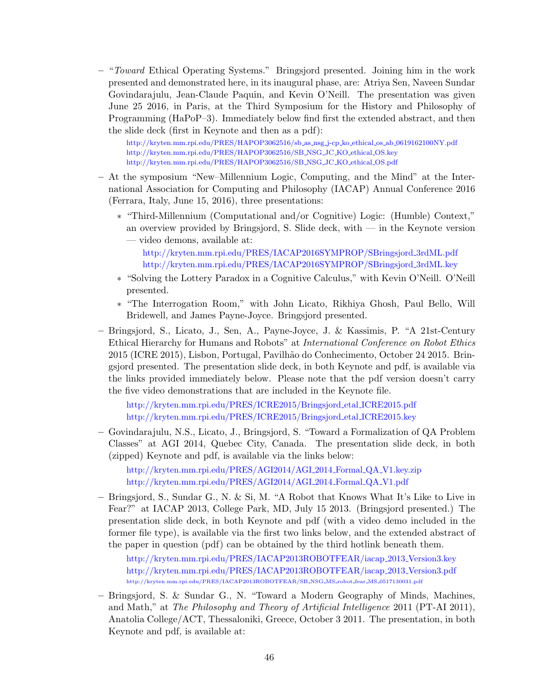– "Toward Ethical Operating Systems." Bringsjord presented. Joining him in the work presented and demonstrated here, in its inaugural phase, are: Atriya Sen, Naveen Sundar Govindarajulu, Jean-Claude Paquin, and Kevin O'Neill. The presentation was given June 25 2016, in Paris, at the Third Symposium for the History and Philosophy of Programming (HaPoP–3). Immediately below find first the extended abstract, and then the slide deck (first in Keynote and then as a pdf):

[http://kryten.mm.rpi.edu/PRES/HAPOP3062516/sb](http://kryten.mm.rpi.edu/PRES/HAPOP3062516/sb_as_nsg_j-cp_ko_ethical_os_ab_0619162100NY.pdf) as nsg j-cp ko ethical os ab 0619162100NY.pdf [http://kryten.mm.rpi.edu/PRES/HAPOP3062516/SB](http://kryten.mm.rpi.edu/PRES/HAPOP3062516/SB_NSG_JC_KO_ethical_OS.key) NSG JC KO ethical OS.key [http://kryten.mm.rpi.edu/PRES/HAPOP3062516/SB](http://kryten.mm.rpi.edu/PRES/HAPOP3062516/SB_NSG_JC_KO_ethical_OS.pdf) NSG JC KO ethical OS.pdf

- At the symposium "New–Millennium Logic, Computing, and the Mind" at the International Association for Computing and Philosophy (IACAP) Annual Conference 2016 (Ferrara, Italy, June 15, 2016), three presentations:
	- ∗ "Third-Millennium (Computational and/or Cognitive) Logic: (Humble) Context," an overview provided by Bringsjord, S. Slide deck, with — in the Keynote version — video demons, available at:
		- [http://kryten.mm.rpi.edu/PRES/IACAP2016SYMPROP/SBringsjord](http://kryten.mm.rpi.edu/PRES/IACAP2016SYMPROP/SBringsjord_3rdML.pdf) 3rdML.pdf [http://kryten.mm.rpi.edu/PRES/IACAP2016SYMPROP/SBringsjord](http://kryten.mm.rpi.edu/PRES/IACAP2016SYMPROP/SBringsjord_3rdML.key) 3rdML.key
	- ∗ "Solving the Lottery Paradox in a Cognitive Calculus," with Kevin O'Neill. O'Neill presented.
	- ∗ "The Interrogation Room," with John Licato, Rikhiya Ghosh, Paul Bello, Will Bridewell, and James Payne-Joyce. Bringsjord presented.
- Bringsjord, S., Licato, J., Sen, A., Payne-Joyce, J. & Kassimis, P. "A 21st-Century Ethical Hierarchy for Humans and Robots" at International Conference on Robot Ethics 2015 (ICRE 2015), Lisbon, Portugal, Pavilh˜ao do Conhecimento, October 24 2015. Bringsjord presented. The presentation slide deck, in both Keynote and pdf, is available via the links provided immediately below. Please note that the pdf version doesn't carry the five video demonstrations that are included in the Keynote file.

[http://kryten.mm.rpi.edu/PRES/ICRE2015/Bringsjord](http://kryten.mm.rpi.edu/PRES/ICRE2015/Bringsjord_etal_ICRE2015.pdf) etal ICRE2015.pdf [http://kryten.mm.rpi.edu/PRES/ICRE2015/Bringsjord](http://kryten.mm.rpi.edu/PRES/ICRE2015/Bringsjord_etal_ICRE2015.key) etal ICRE2015.key

– Govindarajulu, N.S., Licato, J., Bringsjord, S. "Toward a Formalization of QA Problem Classes" at AGI 2014, Quebec City, Canada. The presentation slide deck, in both (zipped) Keynote and pdf, is available via the links below:

[http://kryten.mm.rpi.edu/PRES/AGI2014/AGI](http://kryten.mm.rpi.edu/PRES/AGI2014/AGI_2014_Formal_QA_V1.key.zip) 2014 Formal QA V1.key.zip [http://kryten.mm.rpi.edu/PRES/AGI2014/AGI](http://kryten.mm.rpi.edu/PRES/AGI2014/AGI_2014_Formal_QA_V1.pdf) 2014 Formal QA V1.pdf

– Bringsjord, S., Sundar G., N. & Si, M. "A Robot that Knows What It's Like to Live in Fear?" at IACAP 2013, College Park, MD, July 15 2013. (Bringsjord presented.) The presentation slide deck, in both Keynote and pdf (with a video demo included in the former file type), is available via the first two links below, and the extended abstract of the paper in question (pdf) can be obtained by the third hotlink beneath them.

[http://kryten.mm.rpi.edu/PRES/IACAP2013ROBOTFEAR/iacap](http://kryten.mm.rpi.edu/PRES/IACAP2013ROBOTFEAR/iacap_2013_Version3.key) 2013 Version3.key [http://kryten.mm.rpi.edu/PRES/IACAP2013ROBOTFEAR/iacap](http://kryten.mm.rpi.edu/PRES/IACAP2013ROBOTFEAR/iacap_2013_Version3.pdf) 2013 Version3.pdf  $\rm http://kryten.mm.rpi.edu/PRES/IACAP2013ROBOTFEAR/SB\_NSG\_MS\_robot\_feas\_MS\_0517130031.pdf$  $\rm http://kryten.mm.rpi.edu/PRES/IACAP2013ROBOTFEAR/SB\_NSG\_MS\_robot\_feas\_MS\_0517130031.pdf$  $\rm http://kryten.mm.rpi.edu/PRES/IACAP2013ROBOTFEAR/SB\_NSG\_MS\_robot\_feas\_MS\_0517130031.pdf$ 

– Bringsjord, S. & Sundar G., N. "Toward a Modern Geography of Minds, Machines, and Math," at The Philosophy and Theory of Artificial Intelligence 2011 (PT-AI 2011), Anatolia College/ACT, Thessaloniki, Greece, October 3 2011. The presentation, in both Keynote and pdf, is available at: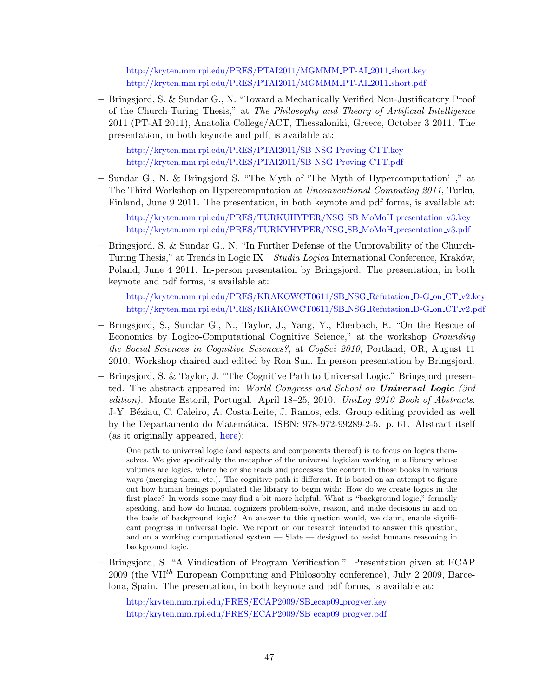[http://kryten.mm.rpi.edu/PRES/PTAI2011/MGMMM](http://kryten.mm.rpi.edu/PRES/PTAI2011/MGMMM_PT-AI_2011_short.key) PT-AI 2011 short.key [http://kryten.mm.rpi.edu/PRES/PTAI2011/MGMMM](http://kryten.mm.rpi.edu/PRES/PTAI2011/MGMMM_PT-AI_2011_short.pdf) PT-AI 2011 short.pdf

– Bringsjord, S. & Sundar G., N. "Toward a Mechanically Verified Non-Justificatory Proof of the Church-Turing Thesis," at The Philosophy and Theory of Artificial Intelligence 2011 (PT-AI 2011), Anatolia College/ACT, Thessaloniki, Greece, October 3 2011. The presentation, in both keynote and pdf, is available at:

[http://kryten.mm.rpi.edu/PRES/PTAI2011/SB](http://kryten.mm.rpi.edu/PTAI2011/SB_NSG_Proving_CTT.key) NSG Proving CTT.key [http://kryten.mm.rpi.edu/PRES/PTAI2011/SB](http://kryten.mm.rpi.edu/PRES/PTAI2011/SB_NSG_Proving_CTT.pdf) NSG Proving CTT.pdf

– Sundar G., N. & Bringsjord S. "The Myth of 'The Myth of Hypercomputation' ," at The Third Workshop on Hypercomputation at Unconventional Computing 2011, Turku, Finland, June 9 2011. The presentation, in both keynote and pdf forms, is available at:

[http://kryten.mm.rpi.edu/PRES/TURKUHYPER/NSG](http://kryten.mm.rpi.edu/TURKUHYPER/NSG_SB_MoMoH_presentation_v3.pdf) SB MoMoH presentation v3.key [http://kryten.mm.rpi.edu/PRES/TURKYHYPER/NSG](http://kryten.mm.rpi.edu/PRES/TURKUHYPER/NSG_SB_MoMoH_presentation_v3.pdf) SB MoMoH presentation v3.pdf

– Bringsjord, S. & Sundar G., N. "In Further Defense of the Unprovability of the Church-Turing Thesis," at Trends in Logic IX – Studia Logica International Conference, Kraków, Poland, June 4 2011. In-person presentation by Bringsjord. The presentation, in both keynote and pdf forms, is available at:

[http://kryten.mm.rpi.edu/PRES/KRAKOWCT0611/SB](http://kryten.mm.rpi.edu/PRES/KRAKOWCT0611/SB_NSG_Refutation_D-G_on_CT_v2.key) NSG Refutation D-G on CT v2.key [http://kryten.mm.rpi.edu/PRES/KRAKOWCT0611/SB](http://kryten.mm.rpi.edu/PRES/KRAKOWCT0611/SB_NSG_Refutation_D-G_on_CT_v2.pdf) NSG Refutation D-G on CT v2.pdf

- Bringsjord, S., Sundar G., N., Taylor, J., Yang, Y., Eberbach, E. "On the Rescue of Economics by Logico-Computational Cognitive Science," at the workshop Grounding the Social Sciences in Cognitive Sciences?, at CogSci 2010, Portland, OR, August 11 2010. Workshop chaired and edited by Ron Sun. In-person presentation by Bringsjord.
- Bringsjord, S. & Taylor, J. "The Cognitive Path to Universal Logic." Bringsjord presented. The abstract appeared in: World Congress and School on Universal Logic (3rd edition). Monte Estoril, Portugal. April 18–25, 2010. UniLog 2010 Book of Abstracts. J-Y. Béziau, C. Caleiro, A. Costa-Leite, J. Ramos, eds. Group editing provided as well by the Departamento do Matemática. ISBN: 978-972-99289-2-5. p. 61. Abstract itself (as it originally appeared, [here\)](http://kryten.mm.rpi.edu/UniLog2010SBandJT.pdf):

One path to universal logic (and aspects and components thereof) is to focus on logics themselves. We give specifically the metaphor of the universal logician working in a library whose volumes are logics, where he or she reads and processes the content in those books in various ways (merging them, etc.). The cognitive path is different. It is based on an attempt to figure out how human beings populated the library to begin with: How do we create logics in the first place? In words some may find a bit more helpful: What is "background logic," formally speaking, and how do human cognizers problem-solve, reason, and make decisions in and on the basis of background logic? An answer to this question would, we claim, enable significant progress in universal logic. We report on our research intended to answer this question, and on a working computational system — Slate — designed to assist humans reasoning in background logic.

– Bringsjord, S. "A Vindication of Program Verification." Presentation given at ECAP 2009 (the VII<sup>th</sup> European Computing and Philosophy conference), July 2 2009, Barcelona, Spain. The presentation, in both keynote and pdf forms, is available at:

[http:/kryten.mm.rpi.edu/PRES/ECAP2009/SB](http://kryten.mm.rpi.edu/PRES/ECAP2009/SB_ecap09_progver.key)\_ecap09\_progver.key [http:/kryten.mm.rpi.edu/PRES/ECAP2009/SB](http://kryten.mm.rpi.edu/PRES/ECAP2009/SB_ecap09_progver.pdf) ecap09 progver.pdf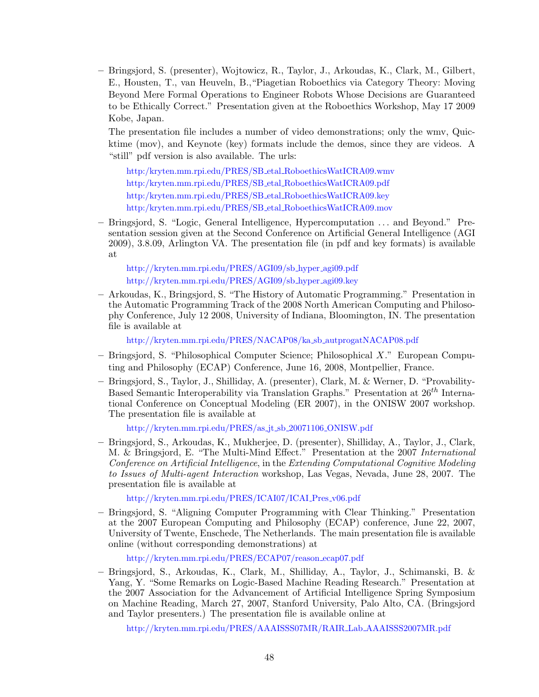– Bringsjord, S. (presenter), Wojtowicz, R., Taylor, J., Arkoudas, K., Clark, M., Gilbert, E., Housten, T., van Heuveln, B.,"Piagetian Roboethics via Category Theory: Moving Beyond Mere Formal Operations to Engineer Robots Whose Decisions are Guaranteed to be Ethically Correct." Presentation given at the Roboethics Workshop, May 17 2009 Kobe, Japan.

The presentation file includes a number of video demonstrations; only the wmv, Quicktime (mov), and Keynote (key) formats include the demos, since they are videos. A "still" pdf version is also available. The urls:

[http:/kryten.mm.rpi.edu/PRES/SB](http://kryten.mm.rpi.edu/PRES/ROBOETHICSICRA09/SB_etal_RoboethicsWatICRA09.wmv) etal RoboethicsWatICRA09.wmv [http:/kryten.mm.rpi.edu/PRES/SB](http://kryten.mm.rpi.edu/PRES/ROBOETHICSICRA09/SB_etal_RoboethicsWatICRA09.pdf) etal RoboethicsWatICRA09.pdf [http:/kryten.mm.rpi.edu/PRES/SB](http://kryten.mm.rpi.edu/PRES/ROBOETHICSICRA09/SB_etal_RoboethicsWatICRA09.key) etal RoboethicsWatICRA09.key [http:/kryten.mm.rpi.edu/PRES/SB](http://kryten.mm.rpi.edu/PRES/ROBOETHICSICRA09/SB_etal_RoboethicsWatICRA09.mov) etal RoboethicsWatICRA09.mov

– Bringsjord, S. "Logic, General Intelligence, Hypercomputation . . . and Beyond." Presentation session given at the Second Conference on Artificial General Intelligence (AGI 2009), 3.8.09, Arlington VA. The presentation file (in pdf and key formats) is available at

[http://kryten.mm.rpi.edu/PRES/AGI09/sb](http://kryten.mm.rpi.edu/PRES/AGI09/sb_hyper_agi09.pdf) hyper agi09.pdf [http://kryten.mm.rpi.edu/PRES/AGI09/sb](http://kryten.mm.rpi.edu/PRES/AGI09/sb_hyper_agi09.key) hyper agi09.key

– Arkoudas, K., Bringsjord, S. "The History of Automatic Programming." Presentation in the Automatic Programming Track of the 2008 North American Computing and Philosophy Conference, July 12 2008, University of Indiana, Bloomington, IN. The presentation file is available at

[http://kryten.mm.rpi.edu/PRES/NACAP08/ka](http://kryten.mm.rpi.edu/PRES/NACAP08/ka_sb_autprogatNACAP08.pdf) sb autprogatNACAP08.pdf

- Bringsjord, S. "Philosophical Computer Science; Philosophical X." European Computing and Philosophy (ECAP) Conference, June 16, 2008, Montpellier, France.
- Bringsjord, S., Taylor, J., Shilliday, A. (presenter), Clark, M. & Werner, D. "Provability-Based Semantic Interoperability via Translation Graphs." Presentation at  $26^{th}$  International Conference on Conceptual Modeling (ER 2007), in the ONISW 2007 workshop. The presentation file is available at

[http://kryten.mm.rpi.edu/PRES/as](http://kryten.mm.rpi.edu/PRES/as_jt_sb_20071106_ONISW.pdf) jt sb 20071106 ONISW.pdf

– Bringsjord, S., Arkoudas, K., Mukherjee, D. (presenter), Shilliday, A., Taylor, J., Clark, M. & Bringsjord, E. "The Multi-Mind Effect." Presentation at the 2007 International Conference on Artificial Intelligence, in the Extending Computational Cognitive Modeling to Issues of Multi-agent Interaction workshop, Las Vegas, Nevada, June 28, 2007. The presentation file is available at

[http://kryten.mm.rpi.edu/PRES/ICAI07/ICAI](http://kryten.mm.rpi.edu/PRES/ICAI07/ICAI_Pres_v06.pdf) Pres v06.pdf

– Bringsjord, S. "Aligning Computer Programming with Clear Thinking." Presentation at the 2007 European Computing and Philosophy (ECAP) conference, June 22, 2007, University of Twente, Enschede, The Netherlands. The main presentation file is available online (without corresponding demonstrations) at

[http://kryten.mm.rpi.edu/PRES/ECAP07/reason](http://kryten.mm.rpi.edu/PRES/ECAP07/reason_ecap07.pdf) ecap07.pdf

– Bringsjord, S., Arkoudas, K., Clark, M., Shilliday, A., Taylor, J., Schimanski, B. & Yang, Y. "Some Remarks on Logic-Based Machine Reading Research." Presentation at the 2007 Association for the Advancement of Artificial Intelligence Spring Symposium on Machine Reading, March 27, 2007, Stanford University, Palo Alto, CA. (Bringsjord and Taylor presenters.) The presentation file is available online at

[http://kryten.mm.rpi.edu/PRES/AAAISSS07MR/RAIR](http://kryten.mm.rpi.edu/PRES/AAAISSS07MR/RAIR_Lab_AAAISSS2007MR.pdf) Lab AAAISSS2007MR.pdf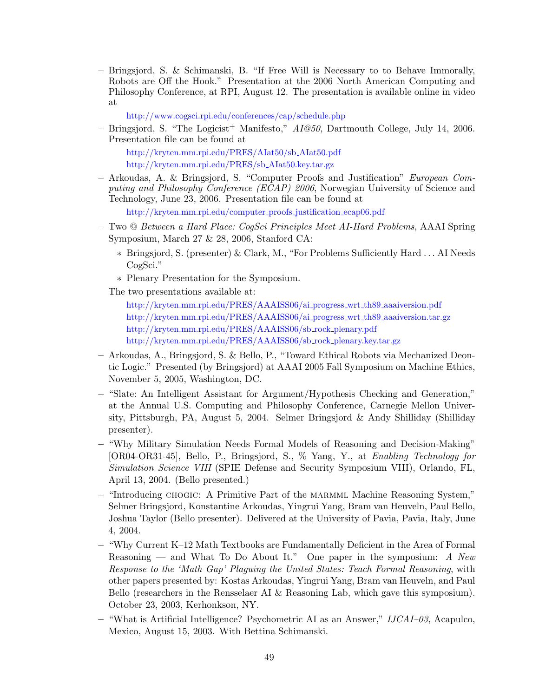– Bringsjord, S. & Schimanski, B. "If Free Will is Necessary to to Behave Immorally, Robots are Off the Hook." Presentation at the 2006 North American Computing and Philosophy Conference, at RPI, August 12. The presentation is available online in video at

<http://www.cogsci.rpi.edu/conferences/cap/schedule.php>

– Bringsjord, S. "The Logicist<sup>+</sup> Manifesto,"  $AI@50$ , Dartmouth College, July 14, 2006. Presentation file can be found at

[http://kryten.mm.rpi.edu/PRES/AIat50/sb](http://kryten.mm.rpi.edu/PRES/AIat50/sb_AIat50.pdf) AIat50.pdf [http://kryten.mm.rpi.edu/PRES/sb](http://kryten.mm.rpi.edu/PRES/sb_AIat50.key.tar.gz) AIat50.key.tar.gz

– Arkoudas, A. & Bringsjord, S. "Computer Proofs and Justification" European Computing and Philosophy Conference (ECAP) 2006, Norwegian University of Science and Technology, June 23, 2006. Presentation file can be found at

[http://kryten.mm.rpi.edu/computer](http://kryten.mm.rpi.edu/computer_proofs_justification_ecap06.pdf) proofs justification ecap06.pdf

- Two @ Between a Hard Place: CogSci Principles Meet AI-Hard Problems, AAAI Spring Symposium, March 27 & 28, 2006, Stanford CA:
	- ∗ Bringsjord, S. (presenter) & Clark, M., "For Problems Sufficiently Hard . . . AI Needs CogSci."
	- ∗ Plenary Presentation for the Symposium.

The two presentations available at:

[http://kryten.mm.rpi.edu/PRES/AAAISS06/ai](http://kryten.mm.rpi.edu/PRES/AAAISS06/ai_progress_wrt_th89_aaaiversion.pdf)\_progress\_wrt\_th89\_aaaiversion.pdf [http://kryten.mm.rpi.edu/PRES/AAAISS06/ai](http://kryten.mm.rpi.edu/PRES/AAAISS06/ai_progress_wrt_th89_aaaiversion.tar.gz) progress wrt th89 aaaiversion.tar.gz [http://kryten.mm.rpi.edu/PRES/AAAISS06/sb](http://kryten.mm.rpi.edu/PRES/AAAISS06/sb_rock_plenary.pdf) rock plenary.pdf [http://kryten.mm.rpi.edu/PRES/AAAISS06/sb](http://kryten.mm.rpi.edu/PRES/AAAISS06/sb_rock_plenary.key.tar.gz) rock plenary.key.tar.gz

- Arkoudas, A., Bringsjord, S. & Bello, P., "Toward Ethical Robots via Mechanized Deontic Logic." Presented (by Bringsjord) at AAAI 2005 Fall Symposium on Machine Ethics, November 5, 2005, Washington, DC.
- "Slate: An Intelligent Assistant for Argument/Hypothesis Checking and Generation," at the Annual U.S. Computing and Philosophy Conference, Carnegie Mellon University, Pittsburgh, PA, August 5, 2004. Selmer Bringsjord & Andy Shilliday (Shilliday presenter).
- "Why Military Simulation Needs Formal Models of Reasoning and Decision-Making" [OR04-OR31-45], Bello, P., Bringsjord, S., % Yang, Y., at Enabling Technology for Simulation Science VIII (SPIE Defense and Security Symposium VIII), Orlando, FL, April 13, 2004. (Bello presented.)
- "Introducing chogic: A Primitive Part of the marmml Machine Reasoning System," Selmer Bringsjord, Konstantine Arkoudas, Yingrui Yang, Bram van Heuveln, Paul Bello, Joshua Taylor (Bello presenter). Delivered at the University of Pavia, Pavia, Italy, June 4, 2004.
- "Why Current K–12 Math Textbooks are Fundamentally Deficient in the Area of Formal Reasoning — and What To Do About It." One paper in the symposium:  $A$  New Response to the 'Math Gap' Plaguing the United States: Teach Formal Reasoning, with other papers presented by: Kostas Arkoudas, Yingrui Yang, Bram van Heuveln, and Paul Bello (researchers in the Rensselaer AI & Reasoning Lab, which gave this symposium). October 23, 2003, Kerhonkson, NY.
- "What is Artificial Intelligence? Psychometric AI as an Answer," IJCAI–03, Acapulco, Mexico, August 15, 2003. With Bettina Schimanski.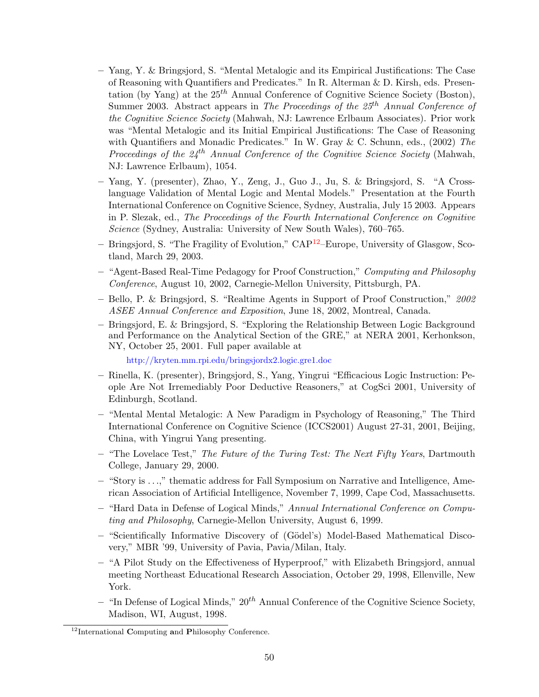- Yang, Y. & Bringsjord, S. "Mental Metalogic and its Empirical Justifications: The Case of Reasoning with Quantifiers and Predicates." In R. Alterman & D. Kirsh, eds. Presentation (by Yang) at the  $25<sup>th</sup>$  Annual Conference of Cognitive Science Society (Boston), Summer 2003. Abstract appears in The Proceedings of the  $25<sup>th</sup>$  Annual Conference of the Cognitive Science Society (Mahwah, NJ: Lawrence Erlbaum Associates). Prior work was "Mental Metalogic and its Initial Empirical Justifications: The Case of Reasoning with Quantifiers and Monadic Predicates." In W. Gray & C. Schunn, eds., (2002) The Proceedings of the  $24<sup>th</sup>$  Annual Conference of the Cognitive Science Society (Mahwah, NJ: Lawrence Erlbaum), 1054.
- Yang, Y. (presenter), Zhao, Y., Zeng, J., Guo J., Ju, S. & Bringsjord, S. "A Crosslanguage Validation of Mental Logic and Mental Models." Presentation at the Fourth International Conference on Cognitive Science, Sydney, Australia, July 15 2003. Appears in P. Slezak, ed., The Proceedings of the Fourth International Conference on Cognitive Science (Sydney, Australia: University of New South Wales), 760–765.
- Bringsjord, S. "The Fragility of Evolution," CAP[12](#page-51-0)–Europe, University of Glasgow, Scotland, March 29, 2003.
- "Agent-Based Real-Time Pedagogy for Proof Construction," Computing and Philosophy Conference, August 10, 2002, Carnegie-Mellon University, Pittsburgh, PA.
- Bello, P. & Bringsjord, S. "Realtime Agents in Support of Proof Construction," 2002 ASEE Annual Conference and Exposition, June 18, 2002, Montreal, Canada.
- Bringsjord, E. & Bringsjord, S. "Exploring the Relationship Between Logic Background and Performance on the Analytical Section of the GRE," at NERA 2001, Kerhonkson, NY, October 25, 2001. Full paper available at

<http://kryten.mm.rpi.edu/bringsjordx2.logic.gre1.doc>

- Rinella, K. (presenter), Bringsjord, S., Yang, Yingrui "Efficacious Logic Instruction: People Are Not Irremediably Poor Deductive Reasoners," at CogSci 2001, University of Edinburgh, Scotland.
- "Mental Mental Metalogic: A New Paradigm in Psychology of Reasoning," The Third International Conference on Cognitive Science (ICCS2001) August 27-31, 2001, Beijing, China, with Yingrui Yang presenting.
- $-$  "The Lovelace Test," The Future of the Turing Test: The Next Fifty Years, Dartmouth College, January 29, 2000.
- "Story is . . .," thematic address for Fall Symposium on Narrative and Intelligence, American Association of Artificial Intelligence, November 7, 1999, Cape Cod, Massachusetts.
- "Hard Data in Defense of Logical Minds," Annual International Conference on Computing and Philosophy, Carnegie-Mellon University, August 6, 1999.
- "Scientifically Informative Discovery of (G¨odel's) Model-Based Mathematical Discovery," MBR '99, University of Pavia, Pavia/Milan, Italy.
- "A Pilot Study on the Effectiveness of Hyperproof," with Elizabeth Bringsjord, annual meeting Northeast Educational Research Association, October 29, 1998, Ellenville, New York.
- "In Defense of Logical Minds,"  $20^{th}$  Annual Conference of the Cognitive Science Society, Madison, WI, August, 1998.

<span id="page-51-0"></span> $12$ International Computing and Philosophy Conference.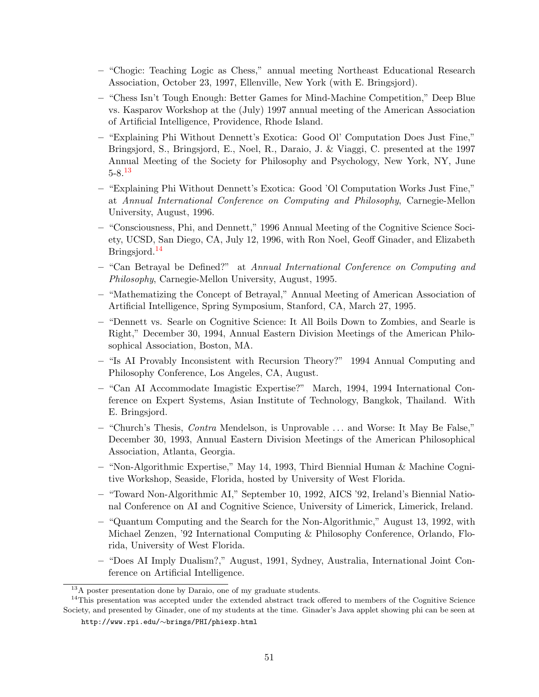- "Chogic: Teaching Logic as Chess," annual meeting Northeast Educational Research Association, October 23, 1997, Ellenville, New York (with E. Bringsjord).
- "Chess Isn't Tough Enough: Better Games for Mind-Machine Competition," Deep Blue vs. Kasparov Workshop at the (July) 1997 annual meeting of the American Association of Artificial Intelligence, Providence, Rhode Island.
- "Explaining Phi Without Dennett's Exotica: Good Ol' Computation Does Just Fine," Bringsjord, S., Bringsjord, E., Noel, R., Daraio, J. & Viaggi, C. presented at the 1997 Annual Meeting of the Society for Philosophy and Psychology, New York, NY, June  $5-8.13$  $5-8.13$
- "Explaining Phi Without Dennett's Exotica: Good 'Ol Computation Works Just Fine," at Annual International Conference on Computing and Philosophy, Carnegie-Mellon University, August, 1996.
- "Consciousness, Phi, and Dennett," 1996 Annual Meeting of the Cognitive Science Society, UCSD, San Diego, CA, July 12, 1996, with Ron Noel, Geoff Ginader, and Elizabeth Bringsjord.<sup>[14](#page-52-1)</sup>
- "Can Betrayal be Defined?" at Annual International Conference on Computing and Philosophy, Carnegie-Mellon University, August, 1995.
- "Mathematizing the Concept of Betrayal," Annual Meeting of American Association of Artificial Intelligence, Spring Symposium, Stanford, CA, March 27, 1995.
- "Dennett vs. Searle on Cognitive Science: It All Boils Down to Zombies, and Searle is Right," December 30, 1994, Annual Eastern Division Meetings of the American Philosophical Association, Boston, MA.
- "Is AI Provably Inconsistent with Recursion Theory?" 1994 Annual Computing and Philosophy Conference, Los Angeles, CA, August.
- "Can AI Accommodate Imagistic Expertise?" March, 1994, 1994 International Conference on Expert Systems, Asian Institute of Technology, Bangkok, Thailand. With E. Bringsjord.
- "Church's Thesis, Contra Mendelson, is Unprovable . . . and Worse: It May Be False," December 30, 1993, Annual Eastern Division Meetings of the American Philosophical Association, Atlanta, Georgia.
- "Non-Algorithmic Expertise," May 14, 1993, Third Biennial Human & Machine Cognitive Workshop, Seaside, Florida, hosted by University of West Florida.
- "Toward Non-Algorithmic AI," September 10, 1992, AICS '92, Ireland's Biennial National Conference on AI and Cognitive Science, University of Limerick, Limerick, Ireland.
- "Quantum Computing and the Search for the Non-Algorithmic," August 13, 1992, with Michael Zenzen, '92 International Computing & Philosophy Conference, Orlando, Florida, University of West Florida.
- "Does AI Imply Dualism?," August, 1991, Sydney, Australia, International Joint Conference on Artificial Intelligence.

<span id="page-52-1"></span><span id="page-52-0"></span> $13A$  poster presentation done by Daraio, one of my graduate students.

<sup>&</sup>lt;sup>14</sup>This presentation was accepted under the extended abstract track offered to members of the Cognitive Science Society, and presented by Ginader, one of my students at the time. Ginader's Java applet showing phi can be seen at

http://www.rpi.edu/∼brings/PHI/phiexp.html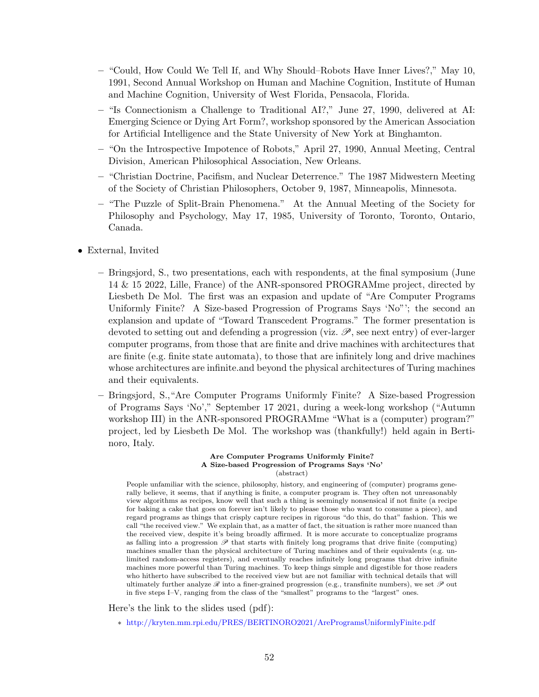- "Could, How Could We Tell If, and Why Should–Robots Have Inner Lives?," May 10, 1991, Second Annual Workshop on Human and Machine Cognition, Institute of Human and Machine Cognition, University of West Florida, Pensacola, Florida.
- "Is Connectionism a Challenge to Traditional AI?," June 27, 1990, delivered at AI: Emerging Science or Dying Art Form?, workshop sponsored by the American Association for Artificial Intelligence and the State University of New York at Binghamton.
- "On the Introspective Impotence of Robots," April 27, 1990, Annual Meeting, Central Division, American Philosophical Association, New Orleans.
- "Christian Doctrine, Pacifism, and Nuclear Deterrence." The 1987 Midwestern Meeting of the Society of Christian Philosophers, October 9, 1987, Minneapolis, Minnesota.
- "The Puzzle of Split-Brain Phenomena." At the Annual Meeting of the Society for Philosophy and Psychology, May 17, 1985, University of Toronto, Toronto, Ontario, Canada.
- External, Invited
	- Bringsjord, S., two presentations, each with respondents, at the final symposium (June 14 & 15 2022, Lille, France) of the ANR-sponsored PROGRAMme project, directed by Liesbeth De Mol. The first was an expasion and update of "Are Computer Programs Uniformly Finite? A Size-based Progression of Programs Says 'No"'; the second an explansion and update of "Toward Transcedent Programs." The former presentation is devoted to setting out and defending a progression (viz.  $\mathscr{P}$ , see next entry) of ever-larger computer programs, from those that are finite and drive machines with architectures that are finite (e.g. finite state automata), to those that are infinitely long and drive machines whose architectures are infinite.and beyond the physical architectures of Turing machines and their equivalents.
	- Bringsjord, S.,"Are Computer Programs Uniformly Finite? A Size-based Progression of Programs Says 'No'," September 17 2021, during a week-long workshop ("Autumn workshop III) in the ANR-sponsored PROGRAMme "What is a (computer) program?" project, led by Liesbeth De Mol. The workshop was (thankfully!) held again in Bertinoro, Italy.

Are Computer Programs Uniformly Finite? A Size-based Progression of Programs Says 'No' (abstract)

People unfamiliar with the science, philosophy, history, and engineering of (computer) programs generally believe, it seems, that if anything is finite, a computer program is. They often not unreasonably view algorithms as recipes, know well that such a thing is seemingly nonsensical if not finite (a recipe for baking a cake that goes on forever isn't likely to please those who want to consume a piece), and regard programs as things that crisply capture recipes in rigorous "do this, do that" fashion. This we call "the received view." We explain that, as a matter of fact, the situation is rather more nuanced than the received view, despite it's being broadly affirmed. It is more accurate to conceptualize programs as falling into a progression  $\mathscr P$  that starts with finitely long programs that drive finite (computing) machines smaller than the physical architecture of Turing machines and of their equivalents (e.g. unlimited random-access registers), and eventually reaches infinitely long programs that drive infinite machines more powerful than Turing machines. To keep things simple and digestible for those readers who hitherto have subscribed to the received view but are not familiar with technical details that will ultimately further analyze  $\mathscr R$  into a finer-grained progression (e.g., transfinite numbers), we set  $\mathscr P$  out in five steps I–V, ranging from the class of the "smallest" programs to the "largest" ones.

Here's the link to the slides used (pdf):

∗ <http://kryten.mm.rpi.edu/PRES/BERTINORO2021/AreProgramsUniformlyFinite.pdf>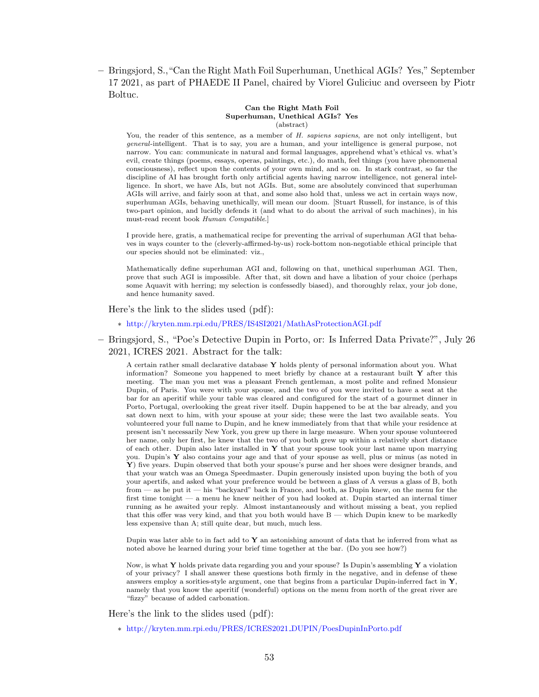– Bringsjord, S.,"Can the Right Math Foil Superhuman, Unethical AGIs? Yes," September 17 2021, as part of PHAEDE II Panel, chaired by Viorel Guliciuc and overseen by Piotr Boltuc.

#### Can the Right Math Foil Superhuman, Unethical AGIs? Yes (abstract)

You, the reader of this sentence, as a member of H. sapiens sapiens, are not only intelligent, but general-intelligent. That is to say, you are a human, and your intelligence is general purpose, not narrow. You can: communicate in natural and formal languages, apprehend what's ethical vs. what's evil, create things (poems, essays, operas, paintings, etc.), do math, feel things (you have phenomenal consciousness), reflect upon the contents of your own mind, and so on. In stark contrast, so far the discipline of AI has brought forth only artificial agents having narrow intelligence, not general intelligence. In short, we have AIs, but not AGIs. But, some are absolutely convinced that superhuman AGIs will arrive, and fairly soon at that, and some also hold that, unless we act in certain ways now, superhuman AGIs, behaving unethically, will mean our doom. [Stuart Russell, for instance, is of this two-part opinion, and lucidly defends it (and what to do about the arrival of such machines), in his must-read recent book Human Compatible.]

I provide here, gratis, a mathematical recipe for preventing the arrival of superhuman AGI that behaves in ways counter to the (cleverly-affirmed-by-us) rock-bottom non-negotiable ethical principle that our species should not be eliminated: viz.,

Mathematically define superhuman AGI and, following on that, unethical superhuman AGI. Then, prove that such AGI is impossible. After that, sit down and have a libation of your choice (perhaps some Aquavit with herring; my selection is confessedly biased), and thoroughly relax, your job done, and hence humanity saved.

Here's the link to the slides used (pdf):

∗ <http://kryten.mm.rpi.edu/PRES/IS4SI2021/MathAsProtectionAGI.pdf>

– Bringsjord, S., "Poe's Detective Dupin in Porto, or: Is Inferred Data Private?", July 26 2021, ICRES 2021. Abstract for the talk:

A certain rather small declarative database Y holds plenty of personal information about you. What information? Someone you happened to meet briefly by chance at a restaurant built  $\mathbf Y$  after this meeting. The man you met was a pleasant French gentleman, a most polite and refined Monsieur Dupin, of Paris. You were with your spouse, and the two of you were invited to have a seat at the bar for an aperitif while your table was cleared and configured for the start of a gourmet dinner in Porto, Portugal, overlooking the great river itself. Dupin happened to be at the bar already, and you sat down next to him, with your spouse at your side; these were the last two available seats. You volunteered your full name to Dupin, and he knew immediately from that that while your residence at present isn't necessarily New York, you grew up there in large measure. When your spouse volunteered her name, only her first, he knew that the two of you both grew up within a relatively short distance of each other. Dupin also later installed in  $Y$  that your spouse took your last name upon marrying you. Dupin's Y also contains your age and that of your spouse as well, plus or minus (as noted in Y) five years. Dupin observed that both your spouse's purse and her shoes were designer brands, and that your watch was an Omega Speedmaster. Dupin generously insisted upon buying the both of you your apertifs, and asked what your preference would be between a glass of A versus a glass of B, both from — as he put it — his "backyard" back in France, and both, as Dupin knew, on the menu for the first time tonight — a menu he knew neither of you had looked at. Dupin started an internal timer running as he awaited your reply. Almost instantaneously and without missing a beat, you replied that this offer was very kind, and that you both would have B — which Dupin knew to be markedly less expensive than A; still quite dear, but much, much less.

Dupin was later able to in fact add to  $\bf{Y}$  an astonishing amount of data that he inferred from what as noted above he learned during your brief time together at the bar. (Do you see how?)

Now, is what Y holds private data regarding you and your spouse? Is Dupin's assembling Y a violation of your privacy? I shall answer these questions both firmly in the negative, and in defense of these answers employ a sorities-style argument, one that begins from a particular Dupin-inferred fact in Y, namely that you know the aperitif (wonderful) options on the menu from north of the great river are "fizzy" because of added carbonation.

Here's the link to the slides used (pdf):

∗ [http://kryten.mm.rpi.edu/PRES/ICRES2021](http://kryten.mm.rpi.edu/PRES/ICRES2021_DUPIN/PoesDupinInPorto.pdf) DUPIN/PoesDupinInPorto.pdf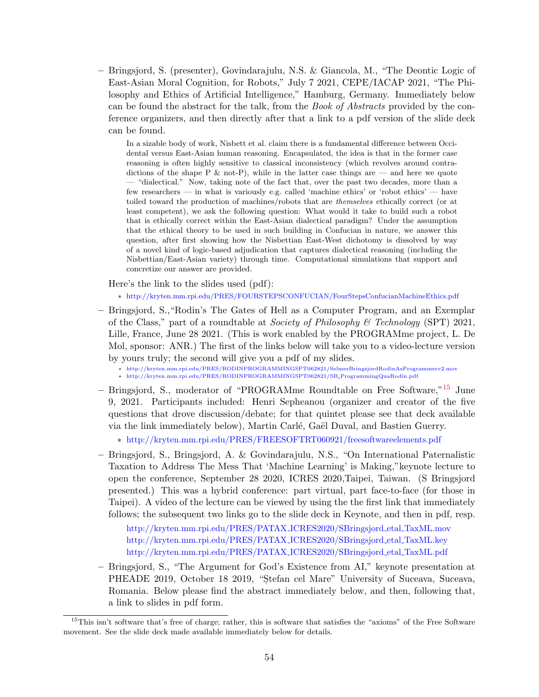– Bringsjord, S. (presenter), Govindarajulu, N.S. & Giancola, M., "The Deontic Logic of East-Asian Moral Cognition, for Robots," July 7 2021, CEPE/IACAP 2021, "The Philosophy and Ethics of Artificial Intelligence," Hamburg, Germany. Immediately below can be found the abstract for the talk, from the Book of Abstracts provided by the conference organizers, and then directly after that a link to a pdf version of the slide deck can be found.

In a sizable body of work, Nisbett et al. claim there is a fundamental difference between Occidental versus East-Asian human reasoning. Encapsulated, the idea is that in the former case reasoning is often highly sensitive to classical inconsistency (which revolves around contradictions of the shape P  $\&$  not-P), while in the latter case things are — and here we quote — "dialectical." Now, taking note of the fact that, over the past two decades, more than a few researchers — in what is variously e.g. called 'machine ethics' or 'robot ethics' — have toiled toward the production of machines/robots that are themselves ethically correct (or at least competent), we ask the following question: What would it take to build such a robot that is ethically correct within the East-Asian dialectical paradigm? Under the assumption that the ethical theory to be used in such building in Confucian in nature, we answer this question, after first showing how the Nisbettian East-West dichotomy is dissolved by way of a novel kind of logic-based adjudication that captures dialectical reasoning (including the Nisbettian/East-Asian variety) through time. Computational simulations that support and concretize our answer are provided.

Here's the link to the slides used (pdf):

∗ <http://kryten.mm.rpi.edu/PRES/FOURSTEPSCONFUCIAN/FourStepsConfucianMachineEthics.pdf>

- Bringsjord, S.,"Rodin's The Gates of Hell as a Computer Program, and an Exemplar of the Class," part of a roundtable at *Society of Philosophy & Technology* (SPT) 2021, Lille, France, June 28 2021. (This is work enabled by the PROGRAMme project, L. De Mol, sponsor: ANR.) The first of the links below will take you to a video-lecture version by yours truly; the second will give you a pdf of my slides.
	- ∗ <http://kryten.mm.rpi.edu/PRES/RODINPROGRAMMINGSPT062821/SelmerBringsjordRodinAsProgrammerv2.mov> ∗ [http://kryten.mm.rpi.edu/PRES/RODINPROGRAMMINGSPT062821/SB](http://kryten.mm.rpi.edu/PRES/RODINPROGRAMMINGSPT062821/SB_ProgrammingQuaRodin.pdf) ProgrammingQuaRodin.pdf
- Bringsjord, S., moderator of "PROGRAMme Roundtable on Free Software,"[15](#page-55-0) June 9, 2021. Participants included: Henri Sepheanou (organizer and creator of the five questions that drove discussion/debate; for that quintet please see that deck available via the link immediately below), Martin Carlé, Gaël Duval, and Bastien Guerry.

∗ <http://kryten.mm.rpi.edu/PRES/FREESOFTRT060921/freesoftwareelements.pdf>

– Bringsjord, S., Bringsjord, A. & Govindarajulu, N.S., "On International Paternalistic Taxation to Address The Mess That 'Machine Learning' is Making,"keynote lecture to open the conference, September 28 2020, ICRES 2020,Taipei, Taiwan. (S Bringsjord presented.) This was a hybrid conference: part virtual, part face-to-face (for those in Taipei). A video of the lecture can be viewed by using the the first link that immediately follows; the subsequent two links go to the slide deck in Keynote, and then in pdf, resp.

[http://kryten.mm.rpi.edu/PRES/PATAX](http://kryten.mm.rpi.edu/PRES/PATAX_ICRES2020/SBringsjord_etal_TaxML.mov) ICRES2020/SBringsjord etal TaxML.mov [http://kryten.mm.rpi.edu/PRES/PATAX](http://kryten.mm.rpi.edu/PRES/PATAX_ICRES2020/SBringsjord_etal_TaxML.key) ICRES2020/SBringsjord etal TaxML.key [http://kryten.mm.rpi.edu/PRES/PATAX](http://kryten.mm.rpi.edu/PRES/PATAX_ICRES2020/SBringsjord_etal_TaxML.pdf) ICRES2020/SBringsjord etal TaxML.pdf

– Bringsjord, S., "The Argument for God's Existence from AI," keynote presentation at PHEADE 2019, October 18 2019, "Stefan cel Mare" University of Suceava, Suceava, Romania. Below please find the abstract immediately below, and then, following that, a link to slides in pdf form.

<span id="page-55-0"></span><sup>&</sup>lt;sup>15</sup>This isn't software that's free of charge; rather, this is software that satisfies the "axioms" of the Free Software movement. See the slide deck made available immediately below for details.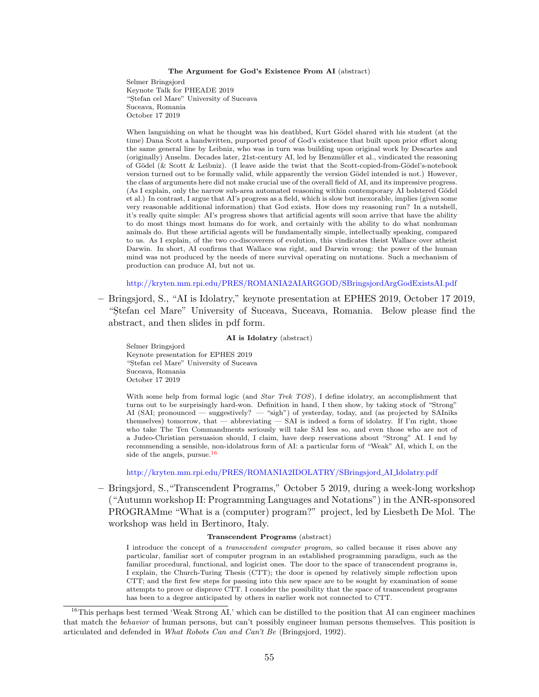#### The Argument for God's Existence From AI (abstract)

Selmer Bringsjord Keynote Talk for PHEADE 2019 "Stefan cel Mare" University of Suceava Suceava, Romania October 17 2019

When languishing on what he thought was his deathbed, Kurt Gödel shared with his student (at the time) Dana Scott a handwritten, purported proof of God's existence that built upon prior effort along the same general line by Leibniz, who was in turn was building upon original work by Descartes and (originally) Anselm. Decades later, 21st-century AI, led by Benzmüller et al., vindicated the reasoning of Gödel (& Scott & Leibniz). (I leave aside the twist that the Scott-copied-from-Gödel's-notebook version turned out to be formally valid, while apparently the version Gödel intended is not.) However, the class of arguments here did not make crucial use of the overall field of AI, and its impressive progress. (As I explain, only the narrow sub-area automated reasoning within contemporary AI bolstered Gödel et al.) In contrast, I argue that AI's progress as a field, which is slow but inexorable, implies (given some very reasonable additional information) that God exists. How does my reasoning run? In a nutshell, it's really quite simple: AI's progress shows that artificial agents will soon arrive that have the ability to do most things most humans do for work, and certainly with the ability to do what nonhuman animals do. But these artificial agents will be fundamentally simple, intellectually speaking, compared to us. As I explain, of the two co-discoverers of evolution, this vindicates theist Wallace over atheist Darwin. In short, AI confirms that Wallace was right, and Darwin wrong: the power of the human mind was not produced by the needs of mere survival operating on mutations. Such a mechanism of production can produce AI, but not us.

<http://kryten.mm.rpi.edu/PRES/ROMANIA2AIARGGOD/SBringsjordArgGodExistsAI.pdf>

– Bringsjord, S., "AI is Idolatry," keynote presentation at EPHES 2019, October 17 2019, "S,tefan cel Mare" University of Suceava, Suceava, Romania. Below please find the abstract, and then slides in pdf form.

### AI is Idolatry (abstract)

Selmer Bringsjord Keynote presentation for EPHES 2019 "Stefan cel Mare" University of Suceava Suceava, Romania October 17 2019

With some help from formal logic (and *Star Trek TOS*), I define idolatry, an accomplishment that turns out to be surprisingly hard-won. Definition in hand, I then show, by taking stock of "Strong" AI (SAI; pronounced — suggestively? — "sigh") of yesterday, today, and (as projected by SAIniks themselves) tomorrow, that — abbreviating — SAI is indeed a form of idolatry. If I'm right, those who take The Ten Commandments seriously will take SAI less so, and even those who are not of a Judeo-Christian persuasion should, I claim, have deep reservations about "Strong" AI. I end by recommending a sensible, non-idolatrous form of AI: a particular form of "Weak" AI, which I, on the side of the angels, pursue.<sup>[16](#page-56-0)</sup>

#### [http://kryten.mm.rpi.edu/PRES/ROMANIA2IDOLATRY/SBringsjord](http://kryten.mm.rpi.edu/PRES/ROMANIA2IDOLATRY/SBringsjord_AI_Idolatry.pdf) AI Idolatry.pdf

– Bringsjord, S.,"Transcendent Programs," October 5 2019, during a week-long workshop ("Autumn workshop II: Programming Languages and Notations") in the ANR-sponsored PROGRAMme "What is a (computer) program?" project, led by Liesbeth De Mol. The workshop was held in Bertinoro, Italy.

#### Transcendent Programs (abstract)

I introduce the concept of a transcendent computer program, so called because it rises above any particular, familiar sort of computer program in an established programming paradigm, such as the familiar procedural, functional, and logicist ones. The door to the space of transcendent programs is, I explain, the Church-Turing Thesis (CTT); the door is opened by relatively simple reflection upon CTT; and the first few steps for passing into this new space are to be sought by examination of some attempts to prove or disprove CTT. I consider the possibility that the space of transcendent programs has been to a degree anticipated by others in earlier work not connected to CTT.

<span id="page-56-0"></span><sup>&</sup>lt;sup>16</sup>This perhaps best termed 'Weak Strong AI,' which can be distilled to the position that AI can engineer machines that match the behavior of human persons, but can't possibly engineer human persons themselves. This position is articulated and defended in What Robots Can and Can't Be (Bringsjord, 1992).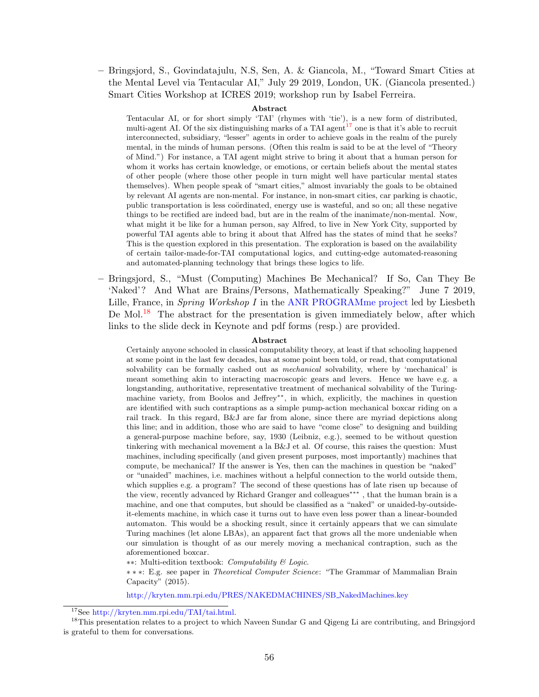– Bringsjord, S., Govindatajulu, N.S, Sen, A. & Giancola, M., "Toward Smart Cities at the Mental Level via Tentacular AI," July 29 2019, London, UK. (Giancola presented.) Smart Cities Workshop at ICRES 2019; workshop run by Isabel Ferreira.

#### Abstract

Tentacular AI, or for short simply 'TAI' (rhymes with 'tie'), is a new form of distributed, multi-agent AI. Of the six distinguishing marks of a TAI agent<sup>[17](#page-57-0)</sup> one is that it's able to recruit interconnected, subsidiary, "lesser" agents in order to achieve goals in the realm of the purely mental, in the minds of human persons. (Often this realm is said to be at the level of "Theory of Mind.") For instance, a TAI agent might strive to bring it about that a human person for whom it works has certain knowledge, or emotions, or certain beliefs about the mental states of other people (where those other people in turn might well have particular mental states themselves). When people speak of "smart cities," almost invariably the goals to be obtained by relevant AI agents are non-mental. For instance, in non-smart cities, car parking is chaotic, public transportation is less coördinated, energy use is wasteful, and so on; all these negative things to be rectified are indeed bad, but are in the realm of the inanimate/non-mental. Now, what might it be like for a human person, say Alfred, to live in New York City, supported by powerful TAI agents able to bring it about that Alfred has the states of mind that he seeks? This is the question explored in this presentation. The exploration is based on the availability of certain tailor-made-for-TAI computational logics, and cutting-edge automated-reasoning and automated-planning technology that brings these logics to life.

– Bringsjord, S., "Must (Computing) Machines Be Mechanical? If So, Can They Be 'Naked'? And What are Brains/Persons, Mathematically Speaking?" June 7 2019, Lille, France, in Spring Workshop I in the [ANR PROGRAMme project](https://programme.hypotheses.org/about) led by Liesbeth De Mol.<sup>[18](#page-57-1)</sup> The abstract for the presentation is given immediately below, after which links to the slide deck in Keynote and pdf forms (resp.) are provided.

#### Abstract

Certainly anyone schooled in classical computability theory, at least if that schooling happened at some point in the last few decades, has at some point been told, or read, that computational solvability can be formally cashed out as *mechanical* solvability, where by 'mechanical' is meant something akin to interacting macroscopic gears and levers. Hence we have e.g. a longstanding, authoritative, representative treatment of mechanical solvability of the Turingmachine variety, from Boolos and Jeffrey∗∗, in which, explicitly, the machines in question are identified with such contraptions as a simple pump-action mechanical boxcar riding on a rail track. In this regard, B&J are far from alone, since there are myriad depictions along this line; and in addition, those who are said to have "come close" to designing and building a general-purpose machine before, say, 1930 (Leibniz, e.g.), seemed to be without question tinkering with mechanical movement a la B&J et al. Of course, this raises the question: Must machines, including specifically (and given present purposes, most importantly) machines that compute, be mechanical? If the answer is Yes, then can the machines in question be "naked" or "unaided" machines, i.e. machines without a helpful connection to the world outside them, which supplies e.g. a program? The second of these questions has of late risen up because of the view, recently advanced by Richard Granger and colleagues∗∗∗ , that the human brain is a machine, and one that computes, but should be classified as a "naked" or unaided-by-outsideit-elements machine, in which case it turns out to have even less power than a linear-bounded automaton. This would be a shocking result, since it certainly appears that we can simulate Turing machines (let alone LBAs), an apparent fact that grows all the more undeniable when our simulation is thought of as our merely moving a mechanical contraption, such as the aforementioned boxcar.

∗∗: Multi-edition textbook: Computability & Logic.

∗ ∗ ∗: E.g. see paper in Theoretical Computer Science: "The Grammar of Mammalian Brain Capacity" (2015).

[http://kryten.mm.rpi.edu/PRES/NAKEDMACHINES/SB](http://kryten.mm.rpi.edu/PRES/NAKEDMACHINES/SB_NakedMachines.key) NakedMachines.key

<span id="page-57-1"></span><span id="page-57-0"></span><sup>17</sup>See [http://kryten.mm.rpi.edu/TAI/tai.html.](http://kryten.mm.rpi.edu/TAI/tai.html)

<sup>&</sup>lt;sup>18</sup>This presentation relates to a project to which Naveen Sundar G and Qigeng Li are contributing, and Bringsjord is grateful to them for conversations.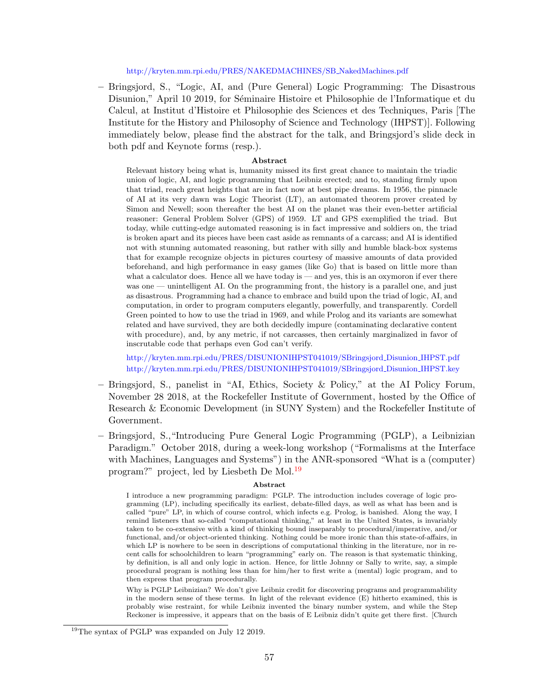[http://kryten.mm.rpi.edu/PRES/NAKEDMACHINES/SB](http://kryten.mm.rpi.edu/PRES//NAKEDMACHINES/SB_NakedMachines.pdf) NakedMachines.pdf

– Bringsjord, S., "Logic, AI, and (Pure General) Logic Programming: The Disastrous Disunion," April 10 2019, for Séminaire Histoire et Philosophie de l'Informatique et du Calcul, at Institut d'Histoire et Philosophie des Sciences et des Techniques, Paris [The Institute for the History and Philosophy of Science and Technology (IHPST)]. Following immediately below, please find the abstract for the talk, and Bringsjord's slide deck in both pdf and Keynote forms (resp.).

#### Abstract

Relevant history being what is, humanity missed its first great chance to maintain the triadic union of logic, AI, and logic programming that Leibniz erected; and to, standing firmly upon that triad, reach great heights that are in fact now at best pipe dreams. In 1956, the pinnacle of AI at its very dawn was Logic Theorist (LT), an automated theorem prover created by Simon and Newell; soon thereafter the best AI on the planet was their even-better artificial reasoner: General Problem Solver (GPS) of 1959. LT and GPS exemplified the triad. But today, while cutting-edge automated reasoning is in fact impressive and soldiers on, the triad is broken apart and its pieces have been cast aside as remnants of a carcass; and AI is identified not with stunning automated reasoning, but rather with silly and humble black-box systems that for example recognize objects in pictures courtesy of massive amounts of data provided beforehand, and high performance in easy games (like Go) that is based on little more than what a calculator does. Hence all we have today is — and yes, this is an oxymoron if ever there was one — unintelligent AI. On the programming front, the history is a parallel one, and just as disastrous. Programming had a chance to embrace and build upon the triad of logic, AI, and computation, in order to program computers elegantly, powerfully, and transparently. Cordell Green pointed to how to use the triad in 1969, and while Prolog and its variants are somewhat related and have survived, they are both decidedly impure (contaminating declarative content with procedure), and, by any metric, if not carcasses, then certainly marginalized in favor of inscrutable code that perhaps even God can't verify.

[http://kryten.mm.rpi.edu/PRES/DISUNIONIHPST041019/SBringsjord](http://kryten.mm.rpi.edu/PRES/DISUNIONIHPST041019/SBringsjord_Disunion_IHPST.pdf) Disunion IHPST.pdf [http://kryten.mm.rpi.edu/PRES/DISUNIONIHPST041019/SBringsjord](http://kryten.mm.rpi.edu/PRES/DISUNIONIHPST041019/SBringsjord_Disunion_IHPST.key) Disunion IHPST.key

- Bringsjord, S., panelist in "AI, Ethics, Society & Policy," at the AI Policy Forum, November 28 2018, at the Rockefeller Institute of Government, hosted by the Office of Research & Economic Development (in SUNY System) and the Rockefeller Institute of Government.
- Bringsjord, S.,"Introducing Pure General Logic Programming (PGLP), a Leibnizian Paradigm." October 2018, during a week-long workshop ("Formalisms at the Interface with Machines, Languages and Systems") in the ANR-sponsored "What is a (computer) program?" project, led by Liesbeth De Mol.<sup>[19](#page-58-0)</sup>

#### Abstract

Why is PGLP Leibnizian? We don't give Leibniz credit for discovering programs and programmability in the modern sense of these terms. In light of the relevant evidence (E) hitherto examined, this is probably wise restraint, for while Leibniz invented the binary number system, and while the Step Reckoner is impressive, it appears that on the basis of E Leibniz didn't quite get there first. [Church

I introduce a new programming paradigm: PGLP. The introduction includes coverage of logic programming (LP), including specifically its earliest, debate-filled days, as well as what has been and is called "pure" LP, in which of course control, which infects e.g. Prolog, is banished. Along the way, I remind listeners that so-called "computational thinking," at least in the United States, is invariably taken to be co-extensive with a kind of thinking bound inseparably to procedural/imperative, and/or functional, and/or object-oriented thinking. Nothing could be more ironic than this state-of-affairs, in which LP is nowhere to be seen in descriptions of computational thinking in the literature, nor in recent calls for schoolchildren to learn "programming" early on. The reason is that systematic thinking, by definition, is all and only logic in action. Hence, for little Johnny or Sally to write, say, a simple procedural program is nothing less than for him/her to first write a (mental) logic program, and to then express that program procedurally.

<span id="page-58-0"></span><sup>&</sup>lt;sup>19</sup>The syntax of PGLP was expanded on July 12 2019.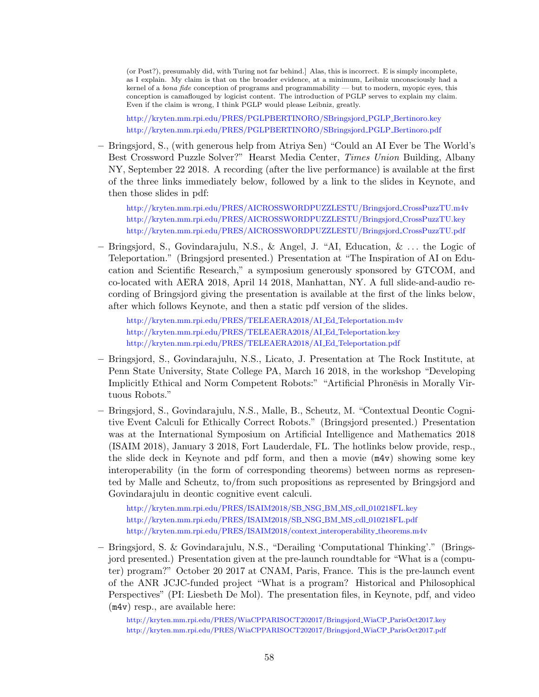(or Post?), presumably did, with Turing not far behind.] Alas, this is incorrect. E is simply incomplete, as I explain. My claim is that on the broader evidence, at a minimum, Leibniz unconsciously had a kernel of a bona fide conception of programs and programmability — but to modern, myopic eyes, this conception is camaflouged by logicist content. The introduction of PGLP serves to explain my claim. Even if the claim is wrong, I think PGLP would please Leibniz, greatly.

[http://kryten.mm.rpi.edu/PRES/PGLPBERTINORO/SBringsjord](http://kryten.mm.rpi.edu/PRES/PGLPBERTINORO/SBringsjord_PGLP_Bertinoro.key) PGLP Bertinoro.key [http://kryten.mm.rpi.edu/PRES/PGLPBERTINORO/SBringsjord](http://kryten.mm.rpi.edu/PRES/SBringsjord_PGLP_Bertinoro.pdf) PGLP Bertinoro.pdf

– Bringsjord, S., (with generous help from Atriya Sen) "Could an AI Ever be The World's Best Crossword Puzzle Solver?" Hearst Media Center, Times Union Building, Albany NY, September 22 2018. A recording (after the live performance) is available at the first of the three links immediately below, followed by a link to the slides in Keynote, and then those slides in pdf:

[http://kryten.mm.rpi.edu/PRES/AICROSSWORDPUZZLESTU/Bringsjord](http://kryten.mm.rpi.edu/PRES/AICROSSWORDPUZZLESTU/Bringsjord_CrossPuzzTU.m4v) CrossPuzzTU.m4v [http://kryten.mm.rpi.edu/PRES/AICROSSWORDPUZZLESTU/Bringsjord](http://kryten.mm.rpi.edu/PRES/AICROSSWORDPUZZLESTU/Bringsjord_CrossPuzzTU.kry) CrossPuzzTU.key [http://kryten.mm.rpi.edu/PRES/AICROSSWORDPUZZLESTU/Bringsjord](http://kryten.mm.rpi.edu/PRES/AICROSSWORDPUZZLESTU/Bringsjord_CrossPuzzTU.pdf) CrossPuzzTU.pdf

– Bringsjord, S., Govindarajulu, N.S., & Angel, J. "AI, Education, & . . . the Logic of Teleportation." (Bringsjord presented.) Presentation at "The Inspiration of AI on Education and Scientific Research," a symposium generously sponsored by GTCOM, and co-located with AERA 2018, April 14 2018, Manhattan, NY. A full slide-and-audio recording of Bringsjord giving the presentation is available at the first of the links below, after which follows Keynote, and then a static pdf version of the slides.

[http://kryten.mm.rpi.edu/PRES/TELEAERA2018/AI](http://kryten.mm.rpi.edu/PRES/TELEAERA2018/AI_Ed_Teleportation.m4v) Ed Teleportation.m4v [http://kryten.mm.rpi.edu/PRES/TELEAERA2018/AI](http://kryten.mm.rpi.edu/PRES/TELEAERA2018/AI_Ed_Teleportation.key) Ed Teleportation.key [http://kryten.mm.rpi.edu/PRES/TELEAERA2018/AI](http://kryten.mm.rpi.edu/PRES/TELEAERA2018/AI_Ed_Teleportation.pdf) Ed Teleportation.pdf

- Bringsjord, S., Govindarajulu, N.S., Licato, J. Presentation at The Rock Institute, at Penn State University, State College PA, March 16 2018, in the workshop "Developing Implicitly Ethical and Norm Competent Robots:" "Artificial Phronesis in Morally Virtuous Robots."
- Bringsjord, S., Govindarajulu, N.S., Malle, B., Scheutz, M. "Contextual Deontic Cognitive Event Calculi for Ethically Correct Robots." (Bringsjord presented.) Presentation was at the International Symposium on Artificial Intelligence and Mathematics 2018 (ISAIM 2018), January 3 2018, Fort Lauderdale, FL. The hotlinks below provide, resp., the slide deck in Keynote and pdf form, and then a movie (m4v) showing some key interoperability (in the form of corresponding theorems) between norms as represented by Malle and Scheutz, to/from such propositions as represented by Bringsjord and Govindarajulu in deontic cognitive event calculi.

[http://kryten.mm.rpi.edu/PRES/ISAIM2018/SB](http://kryten.mm.rpi.edu/PRES/ISAIM2018/SB_NSG_BM_MS_cdl_010218FL.key) NSG BM MS cdl 010218FL.key [http://kryten.mm.rpi.edu/PRES/ISAIM2018/SB](http://kryten.mm.rpi.edu/PRES/ISAIM2018/SB_NSG_BM_MS_cdl_010218FL.pdf) NSG BM MS cdl 010218FL.pdf [http://kryten.mm.rpi.edu/PRES/ISAIM2018/context](http://kryten.mm.rpi.edu/PRES/ISAIM2018/context_interoperability_theorems.m4v) interoperability theorems.m4v

– Bringsjord, S. & Govindarajulu, N.S., "Derailing 'Computational Thinking'." (Bringsjord presented.) Presentation given at the pre-launch roundtable for "What is a (computer) program?" October 20 2017 at CNAM, Paris, France. This is the pre-launch event of the ANR JCJC-funded project "What is a program? Historical and Philosophical Perspectives" (PI: Liesbeth De Mol). The presentation files, in Keynote, pdf, and video (m4v) resp., are available here:

[http://kryten.mm.rpi.edu/PRES/WiaCPPARISOCT202017/Bringsjord](http://kryten.mm.rpi.edu/PRES/WiaCPPARISOCT202017/Bringsjord_WiaCP_ParisOct2017.key) WiaCP ParisOct2017.key [http://kryten.mm.rpi.edu/PRES/WiaCPPARISOCT202017/Bringsjord](http://kryten.mm.rpi.edu/PRES/WiaCPPARISOCT202017/Bringsjord_WiaCP_ParisOct2017.pdf) WiaCP ParisOct2017.pdf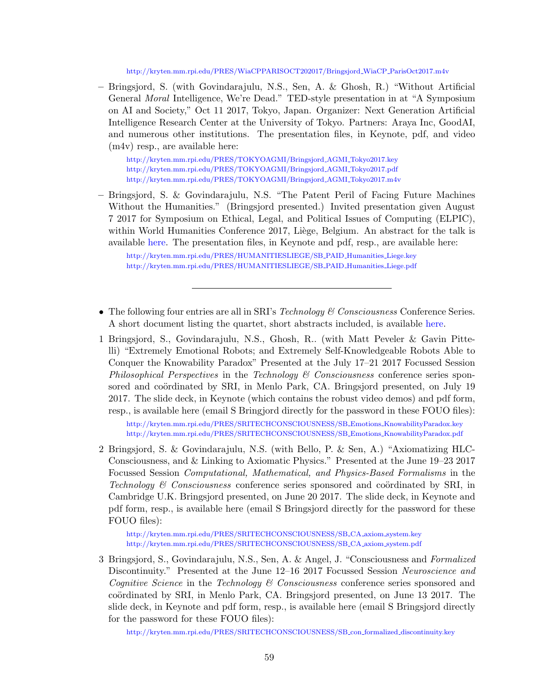[http://kryten.mm.rpi.edu/PRES/WiaCPPARISOCT202017/Bringsjord](http://kryten.mm.rpi.edu/PRES/WiaCPPARISOCT202017/Bringsjord_WiaCP_ParisOct2017.m4v) WiaCP ParisOct2017.m4v

– Bringsjord, S. (with Govindarajulu, N.S., Sen, A. & Ghosh, R.) "Without Artificial General Moral Intelligence, We're Dead." TED-style presentation in at "A Symposium on AI and Society," Oct 11 2017, Tokyo, Japan. Organizer: Next Generation Artificial Intelligence Research Center at the University of Tokyo. Partners: Araya Inc, GoodAI, and numerous other institutions. The presentation files, in Keynote, pdf, and video (m4v) resp., are available here:

[http://kryten.mm.rpi.edu/PRES/TOKYOAGMI/Bringsjord](http://kryten.mm.rpi.edu/PRES/TOKYOAGMI/Bringsjord_AGMI_Tokyo2017.key) AGMI Tokyo2017.key [http://kryten.mm.rpi.edu/PRES/TOKYOAGMI/Bringsjord](http://kryten.mm.rpi.edu/PRES/TOKYOAGMI/Bringsjord_AGMI_Tokyo2017.pdf) AGMI Tokyo2017.pdf [http://kryten.mm.rpi.edu/PRES/TOKYOAGMI/Bringsjord](http://kryten.mm.rpi.edu/PRES/TOKYOAGMI/Bringsjord_AGMI_Tokyo2017.m4v) AGMI Tokyo2017.m4v

– Bringsjord, S. & Govindarajulu, N.S. "The Patent Peril of Facing Future Machines Without the Humanities." (Bringsjord presented.) Invited presentation given August 7 2017 for Symposium on Ethical, Legal, and Political Issues of Computing (ELPIC), within World Humanities Conference 2017, Liège, Belgium. An abstract for the talk is available [here.](http://kryten.mm.rpi.edu/PRES/HUMANITIESLIEGE/SB_PAID_humanities_liege_abstract.txt) The presentation files, in Keynote and pdf, resp., are available here:

[http://kryten.mm.rpi.edu/PRES/HUMANITIESLIEGE/SB](http://kryten.mm.rpi.edu/PRES/HUMANITIESLIEGE/SB_PAID_Humanities_Liege.pdf) PAID Humanities Liege.key [http://kryten.mm.rpi.edu/PRES/HUMANITIESLIEGE/SB](http://kryten.mm.rpi.edu/PRES/HUMANITIESLIEGE/SB_PAID_Humanities_Liege.pdf) PAID Humanities Liege.pdf

- The following four entries are all in SRI's *Technology*  $\mathscr C$  Consciousness Conference Series. A short document listing the quartet, short abstracts included, is available [here.](http://kryten.mm.rpi.edu/PRES/SRITECHCONSCIOUSNESS/SB_talks_titlesplusabstracts.pdf)
- 1 Bringsjord, S., Govindarajulu, N.S., Ghosh, R.. (with Matt Peveler & Gavin Pittelli) "Extremely Emotional Robots; and Extremely Self-Knowledgeable Robots Able to Conquer the Knowability Paradox" Presented at the July 17–21 2017 Focussed Session Philosophical Perspectives in the Technology  $\mathcal B$  Consciousness conference series sponsored and coördinated by SRI, in Menlo Park, CA. Bringsjord presented, on July 19 2017. The slide deck, in Keynote (which contains the robust video demos) and pdf form, resp., is available here (email S Bringjord directly for the password in these FOUO files):

[http://kryten.mm.rpi.edu/PRES/SRITECHCONSCIOUSNESS/SB](http://kryten.mm.rpi.edu/PRES/SRITECHCONSCIOUSNESS/SB_Emotions_KnowabilityParadox.key) Emotions KnowabilityParadox.key [http://kryten.mm.rpi.edu/PRES/SRITECHCONSCIOUSNESS/SB](http://kryten.mm.rpi.edu/PRES/SRITECHCONSCIOUSNESS/SB_Emotions_KnowabilityParadox.pdf) Emotions KnowabilityParadox.pdf

2 Bringsjord, S. & Govindarajulu, N.S. (with Bello, P. & Sen, A.) "Axiomatizing HLC-Consciousness, and & Linking to Axiomatic Physics." Presented at the June 19–23 2017 Focussed Session Computational, Mathematical, and Physics-Based Formalisms in the Technology  $\mathcal C$  Consciousness conference series sponsored and coördinated by SRI, in Cambridge U.K. Bringsjord presented, on June 20 2017. The slide deck, in Keynote and pdf form, resp., is available here (email S Bringsjord directly for the password for these FOUO files):

[http://kryten.mm.rpi.edu/PRES/SRITECHCONSCIOUSNESS/SB](http://kryten.mm.rpi.edu/PRES/SRITECHCONSCIOUSNESS/SB_CA_axiom_system.key) CA axiom system.key [http://kryten.mm.rpi.edu/PRES/SRITECHCONSCIOUSNESS/SB](http://kryten.mm.rpi.edu/PRES/SRITECHCONSCIOUSNESS/SB_CA_axiom_system.pdf) CA axiom system.pdf

3 Bringsjord, S., Govindarajulu, N.S., Sen, A. & Angel, J. "Consciousness and Formalized Discontinuity." Presented at the June 12–16 2017 Focussed Session Neuroscience and *Cognitive Science* in the *Technology*  $\&$  *Consciousness* conference series sponsored and coördinated by SRI, in Menlo Park, CA. Bringsjord presented, on June 13 2017. The slide deck, in Keynote and pdf form, resp., is available here (email S Bringsjord directly for the password for these FOUO files):

[http://kryten.mm.rpi.edu/PRES/SRITECHCONSCIOUSNESS/SB](http://kryten.mm.rpi.edu/PRES/SRITECHCONSCIOUSNESS/SB_con_formalized_discontinuity.key) con formalized discontinuity.key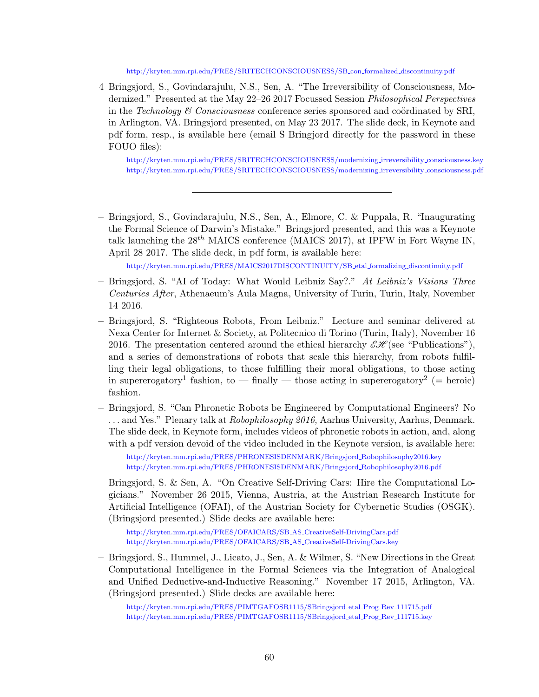### [http://kryten.mm.rpi.edu/PRES/SRITECHCONSCIOUSNESS/SB](http://kryten.mm.rpi.edu/PRES/SRITECHCONSCIOUSNESS/SB_con_formalized_discontinuity.pdf) con formalized discontinuity.pdf

4 Bringsjord, S., Govindarajulu, N.S., Sen, A. "The Irreversibility of Consciousness, Modernized." Presented at the May 22–26 2017 Focussed Session Philosophical Perspectives in the Technology  $\mathcal C$  Consciousness conference series sponsored and coördinated by SRI, in Arlington, VA. Bringsjord presented, on May 23 2017. The slide deck, in Keynote and pdf form, resp., is available here (email S Bringjord directly for the password in these FOUO files):

[http://kryten.mm.rpi.edu/PRES/SRITECHCONSCIOUSNESS/modernizing](http://kryten.mm.rpi.edu/PRES/SRITECHCONSCIOUSNESS/modernizing_irreversibility_consciousness.key) irreversibility consciousness.key [http://kryten.mm.rpi.edu/PRES/SRITECHCONSCIOUSNESS/modernizing](http://kryten.mm.rpi.edu/PRES/SRITECHCONSCIOUSNESS/modernizing_irreversibility_consciousness.pdf) irreversibility consciousness.pdf

– Bringsjord, S., Govindarajulu, N.S., Sen, A., Elmore, C. & Puppala, R. "Inaugurating the Formal Science of Darwin's Mistake." Bringsjord presented, and this was a Keynote talk launching the  $28^{th}$  MAICS conference (MAICS 2017), at IPFW in Fort Wayne IN, April 28 2017. The slide deck, in pdf form, is available here:

[http://kryten.mm.rpi.edu/PRES/MAICS2017DISCONTINUITY/SB](http://kryten.mm.rpi.edu/PRES/MAICS2017DISCONTINUITY/SB_etal_formalizing_discontinuity.pdf) etal formalizing discontinuity.pdf

- Bringsjord, S. "AI of Today: What Would Leibniz Say?." At Leibniz's Visions Three Centuries After, Athenaeum's Aula Magna, University of Turin, Turin, Italy, November 14 2016.
- Bringsjord, S. "Righteous Robots, From Leibniz." Lecture and seminar delivered at Nexa Center for Internet & Society, at Politecnico di Torino (Turin, Italy), November 16 2016. The presentation centered around the ethical hierarchy  $\mathscr{E}\mathscr{H}(\mathsf{see}$  "Publications"), and a series of demonstrations of robots that scale this hierarchy, from robots fulfilling their legal obligations, to those fulfilling their moral obligations, to those acting in supererogatory<sup>1</sup> fashion, to  $-$  finally  $-$  those acting in supererogatory<sup>2</sup> (= heroic) fashion.
- Bringsjord, S. "Can Phronetic Robots be Engineered by Computational Engineers? No ... and Yes." Plenary talk at Robophilosophy 2016, Aarhus University, Aarhus, Denmark. The slide deck, in Keynote form, includes videos of phronetic robots in action, and, along with a pdf version devoid of the video included in the Keynote version, is available here:

[http://kryten.mm.rpi.edu/PRES/PHRONESISDENMARK/Bringsjord](http://kryten.mm.rpi.edu/PRES/PHRONESISDENMARK/Bringsjord_Robophilosophy2016.key) Robophilosophy2016.key [http://kryten.mm.rpi.edu/PRES/PHRONESISDENMARK/Bringsjord](http://kryten.mm.rpi.edu/PRES/PHRONESISDENMARK/Bringsjord_Robophilosophy2016.pdf) Robophilosophy2016.pdf

– Bringsjord, S. & Sen, A. "On Creative Self-Driving Cars: Hire the Computational Logicians." November 26 2015, Vienna, Austria, at the Austrian Research Institute for Artificial Intelligence (OFAI), of the Austrian Society for Cybernetic Studies (OSGK). (Bringsjord presented.) Slide decks are available here:

[http://kryten.mm.rpi.edu/PRES/OFAICARS/SB](http://kryten.mm.rpi.edu/PRES/OFAICARS/SB_AS_CreativeSelf-DrivingCars.key) AS CreativeSelf-DrivingCars.pdf [http://kryten.mm.rpi.edu/PRES/OFAICARS/SB](http://kryten.mm.rpi.edu/PRES/OFAICARSSB_AS_CreativeSelf-DrivingCars.key) AS CreativeSelf-DrivingCars.key

– Bringsjord, S., Hummel, J., Licato, J., Sen, A. & Wilmer, S. "New Directions in the Great Computational Intelligence in the Formal Sciences via the Integration of Analogical and Unified Deductive-and-Inductive Reasoning." November 17 2015, Arlington, VA. (Bringsjord presented.) Slide decks are available here:

[http://kryten.mm.rpi.edu/PRES/PIMTGAFOSR1115/SBringsjord](http://kryten.mm.rpi.edu/PRES/PIMTGAFOSR1115/SBringsjord_etal_Prog_Rev_111715.pdf) etal Prog Rev 111715.pdf [http://kryten.mm.rpi.edu/PRES/PIMTGAFOSR1115/SBringsjord](http://kryten.mm.rpi.edu/PRES/PIMTGAFOSR1115/SBringsjord_etal_Prog_Rev_111715.key) etal Prog Rev 111715.key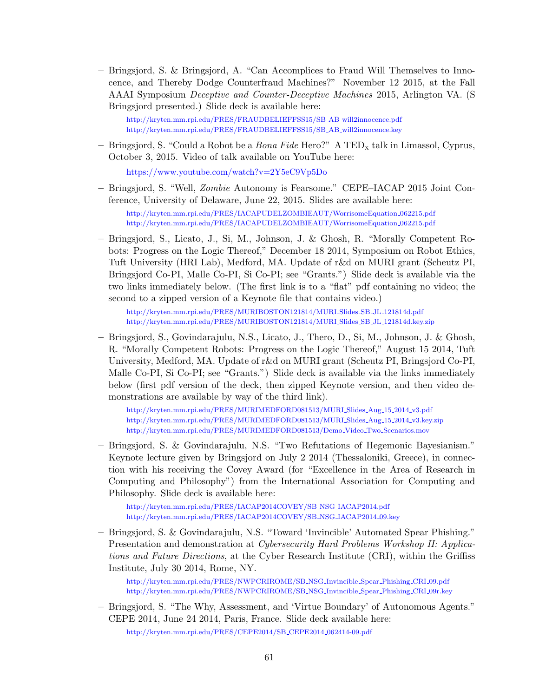– Bringsjord, S. & Bringsjord, A. "Can Accomplices to Fraud Will Themselves to Innocence, and Thereby Dodge Counterfraud Machines?" November 12 2015, at the Fall AAAI Symposium Deceptive and Counter-Deceptive Machines 2015, Arlington VA. (S Bringsjord presented.) Slide deck is available here:

[http://kryten.mm.rpi.edu/PRES/FRAUDBELIEFFSS15/SB](http://kryten.mm.rpi.edu/PRES/FRAUDBELIEFFSS15/SB_AB_will2innocence.pdf) AB will2innocence.pdf [http://kryten.mm.rpi.edu/PRES/FRAUDBELIEFFSS15/SB](http://kryten.mm.rpi.edu/PRES/FRAUDBELIEFFSS15/SB_AB_will2innocence.key) AB will2innocence.key

– Bringsjord, S. "Could a Robot be a *Bona Fide* Hero?" A TED<sub>x</sub> talk in Limassol, Cyprus, October 3, 2015. Video of talk available on YouTube here:

<https://www.youtube.com/watch?v=2Y5eC9Vp5Do>

– Bringsjord, S. "Well, Zombie Autonomy is Fearsome." CEPE–IACAP 2015 Joint Conference, University of Delaware, June 22, 2015. Slides are available here: [http://kryten.mm.rpi.edu/PRES/IACAPUDELZOMBIEAUT/WorrisomeEquation](http://kryten.mm.rpi.edu/PRES/IACAPUDELZOMBIEAUT/WorrisomeEquation_062215.pdf) 062215.pdf

[http://kryten.mm.rpi.edu/PRES/IACAPUDELZOMBIEAUT/WorrisomeEquation](http://kryten.mm.rpi.edu/PRES/IACAPUDELZOMBIEAUT/WorrisomeEquation_062215.pdf) 062215.pdf

– Bringsjord, S., Licato, J., Si, M., Johnson, J. & Ghosh, R. "Morally Competent Robots: Progress on the Logic Thereof," December 18 2014, Symposium on Robot Ethics, Tuft University (HRI Lab), Medford, MA. Update of r&d on MURI grant (Scheutz PI, Bringsjord Co-PI, Malle Co-PI, Si Co-PI; see "Grants.") Slide deck is available via the two links immediately below. (The first link is to a "flat" pdf containing no video; the second to a zipped version of a Keynote file that contains video.)

[http://kryten.mm.rpi.edu/PRES/MURIBOSTON121814/MURI](http://kryten.mm.rpi.edu/PRES/MURIBOSTON121814/MURI_Slides_SB_JL_121814d.pdf) Slides SB JL 121814d.pdf [http://kryten.mm.rpi.edu/PRES/MURIBOSTON121814/MURI](http://kryten.mm.rpi.edu/PRES/MURIBOSTON121814MURI_Slides_SB_JL_121814d.key.zip) Slides SB JL 121814d.key.zip

– Bringsjord, S., Govindarajulu, N.S., Licato, J., Thero, D., Si, M., Johnson, J. & Ghosh, R. "Morally Competent Robots: Progress on the Logic Thereof," August 15 2014, Tuft University, Medford, MA. Update of r&d on MURI grant (Scheutz PI, Bringsjord Co-PI, Malle Co-PI, Si Co-PI; see "Grants.") Slide deck is available via the links immediately below (first pdf version of the deck, then zipped Keynote version, and then video demonstrations are available by way of the third link).

[http://kryten.mm.rpi.edu/PRES/MURIMEDFORD081513/MURI](http://kryten.mm.rpi.edu/PRES/MURIMEDFORD081513/MURI_Slides_Aug_15_2014_v3.pdf) Slides Aug 15 2014 v3.pdf [http://kryten.mm.rpi.edu/PRES/MURIMEDFORD081513/MURI](http://kryten.mm.rpi.edu/PRES/MURIMEDFORD081513/MURI_Slides_Aug_15_2014_v3.key.zip) Slides Aug 15 2014 v3.key.zip [http://kryten.mm.rpi.edu/PRES/MURIMEDFORD081513/Demo](http://kryten.mm.rpi.edu/PRES/MURIMEDFORD081513/Demo_Video_Two_Scenarios.mov) Video Two Scenarios.mov

– Bringsjord, S. & Govindarajulu, N.S. "Two Refutations of Hegemonic Bayesianism." Keynote lecture given by Bringsjord on July 2 2014 (Thessaloniki, Greece), in connection with his receiving the Covey Award (for "Excellence in the Area of Research in Computing and Philosophy") from the International Association for Computing and Philosophy. Slide deck is available here:

[http://kryten.mm.rpi.edu/PRES/IACAP2014COVEY/SB](http://kryten.mm.rpi.edu/PRES/IACAP2014COVEY/SB_NSG_IACAP2014.pdf) NSG IACAP2014.pdf [http://kryten.mm.rpi.edu/PRES/IACAP2014COVEY/SB](http://kryten.mm.rpi.edu/PRES/IACAP2014COVEY/SB_NSG_IACAP2014_09.key) NSG IACAP2014 09.key

– Bringsjord, S. & Govindarajulu, N.S. "Toward 'Invincible' Automated Spear Phishing." Presentation and demonstration at Cybersecurity Hard Problems Workshop II: Applications and Future Directions, at the Cyber Research Institute (CRI), within the Griffiss Institute, July 30 2014, Rome, NY.

[http://kryten.mm.rpi.edu/PRES/NWPCRIROME/SB](http://kryten.mm.rpi.edu/PRES/NWPCRIROME/SB_NSG_Invincible_Spear_Phishing_CRI_09.pdf) NSG Invincible Spear Phishing CRI 09.pdf [http://kryten.mm.rpi.edu/PRES/NWPCRIROME/SB](http://kryten.mm.rpi.edu/PRES/NWPCRIROME/SB_NSG_Invincible_Spear_Phishing_CRI_09r.key) NSG Invincible Spear Phishing CRI 09r.key

– Bringsjord, S. "The Why, Assessment, and 'Virtue Boundary' of Autonomous Agents." CEPE 2014, June 24 2014, Paris, France. Slide deck available here:

[http://kryten.mm.rpi.edu/PRES/CEPE2014/SB](http://kryten.mm.rpi.edu/PRES/CEPE2014/SB_CEPE2014_062414-09.pdf)\_CEPE2014\_062414-09.pdf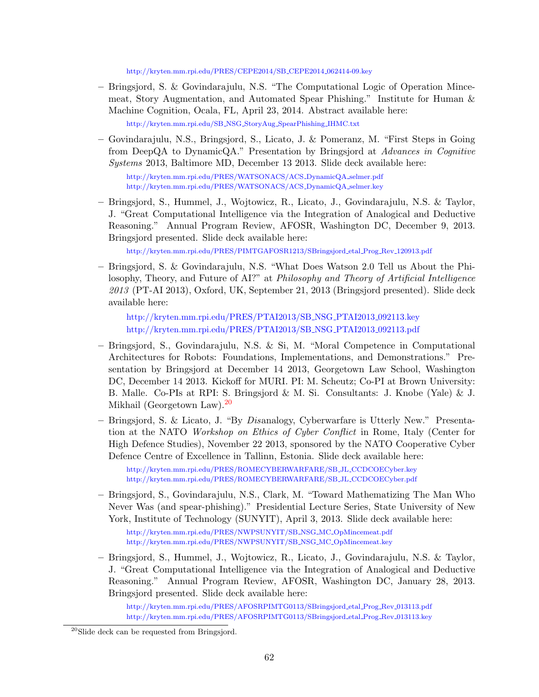[http://kryten.mm.rpi.edu/PRES/CEPE2014/SB](http://kryten.mm.rpi.edu/PRES/CEPE2014/SB_CEPE2014_062414-09.key) CEPE2014 062414-09.key

- Bringsjord, S. & Govindarajulu, N.S. "The Computational Logic of Operation Mincemeat, Story Augmentation, and Automated Spear Phishing." Institute for Human & Machine Cognition, Ocala, FL, April 23, 2014. Abstract available here: [http://kryten.mm.rpi.edu/SB](http://kryten.mm.rpi.edu/SB_NSG_StoryAug_SpearPhishing_IHMC.txt) NSG StoryAug SpearPhishing IHMC.txt
- Govindarajulu, N.S., Bringsjord, S., Licato, J. & Pomeranz, M. "First Steps in Going from DeepQA to DynamicQA." Presentation by Bringsjord at Advances in Cognitive Systems 2013, Baltimore MD, December 13 2013. Slide deck available here:

[http://kryten.mm.rpi.edu/PRES/WATSONACS/ACS](http://kryten.mm.rpi.edu/PRES/WATSONACS/ACS_DynamicQA_selmer.pdf) DynamicQA selmer.pdf [http://kryten.mm.rpi.edu/PRES/WATSONACS/ACS](http://kryten.mm.rpi.edu/PRES/WATSONACS/ACS_DynamicQA_selmer.key) DynamicQA selmer.key

– Bringsjord, S., Hummel, J., Wojtowicz, R., Licato, J., Govindarajulu, N.S. & Taylor, J. "Great Computational Intelligence via the Integration of Analogical and Deductive Reasoning." Annual Program Review, AFOSR, Washington DC, December 9, 2013. Bringsjord presented. Slide deck available here:

[http://kryten.mm.rpi.edu/PRES/PIMTGAFOSR1213/SBringsjord](http://kryten.mm.rpi.edu/PRES/PIMTGAFOSR1213/SBringsjord_etal_Prog_Rev_120913.pdf) etal Prog Rev 120913.pdf

– Bringsjord, S. & Govindarajulu, N.S. "What Does Watson 2.0 Tell us About the Philosophy, Theory, and Future of AI?" at Philosophy and Theory of Artificial Intelligence 2013 (PT-AI 2013), Oxford, UK, September 21, 2013 (Bringsjord presented). Slide deck available here:

[http://kryten.mm.rpi.edu/PRES/PTAI2013/SB](http://kryten.mm.rpi.edu/PRES/PTAI2013/SB_NSG_PTAI2013_092113.key) NSG PTAI2013 092113.key [http://kryten.mm.rpi.edu/PRES/PTAI2013/SB](http://kryten.mm.rpi.edu/PRES/PTAI2013/SB_NSG_PTAI2013_092113.pdf)\_NSG\_PTAI2013\_092113.pdf

- Bringsjord, S., Govindarajulu, N.S. & Si, M. "Moral Competence in Computational Architectures for Robots: Foundations, Implementations, and Demonstrations." Presentation by Bringsjord at December 14 2013, Georgetown Law School, Washington DC, December 14 2013. Kickoff for MURI. PI: M. Scheutz; Co-PI at Brown University: B. Malle. Co-PIs at RPI: S. Bringsjord & M. Si. Consultants: J. Knobe (Yale) & J. Mikhail (Georgetown Law).[20](#page-63-0)
- Bringsjord, S. & Licato, J. "By Disanalogy, Cyberwarfare is Utterly New." Presentation at the NATO Workshop on Ethics of Cyber Conflict in Rome, Italy (Center for High Defence Studies), November 22 2013, sponsored by the NATO Cooperative Cyber Defence Centre of Excellence in Tallinn, Estonia. Slide deck available here:

[http://kryten.mm.rpi.edu/PRES/ROMECYBERWARFARE/SB](http://kryten.mm.rpi.edu/PRES/ROMECYBERWARFARE/SB_JL_CCDCOECyber.key) JL CCDCOECyber.key [http://kryten.mm.rpi.edu/PRES/ROMECYBERWARFARE/SB](http://kryten.mm.rpi.edu/PRES/ROMECYBERWARFARE/SB_JL_CCDCOECyber.pdf) JL CCDCOECyber.pdf

– Bringsjord, S., Govindarajulu, N.S., Clark, M. "Toward Mathematizing The Man Who Never Was (and spear-phishing)." Presidential Lecture Series, State University of New York, Institute of Technology (SUNYIT), April 3, 2013. Slide deck available here:

[http://kryten.mm.rpi.edu/PRES/NWPSUNYIT/SB](http://kryten.mm.rpi.edu/PRES/NWPSUNYIT/SB_NSG_MC_OpMincemeat.pdf) NSG MC OpMincemeat.pdf [http://kryten.mm.rpi.edu/PRES/NWPSUNYIT/SB](http://kryten.mm.rpi.edu/PRES/NWPSUNYIT/SB_NSG_MC_OpMincemeat.pdf) NSG MC OpMincemeat.key

– Bringsjord, S., Hummel, J., Wojtowicz, R., Licato, J., Govindarajulu, N.S. & Taylor, J. "Great Computational Intelligence via the Integration of Analogical and Deductive Reasoning." Annual Program Review, AFOSR, Washington DC, January 28, 2013. Bringsjord presented. Slide deck available here:

[http://kryten.mm.rpi.edu/PRES/AFOSRPIMTG0113/SBringsjord](http://kryten.mm.rpi.edu/PRES/AFOSRPIMTG0113/SBringsjord_etal_Prog_Rev_013113.pdf) etal Prog Rev 013113.pdf [http://kryten.mm.rpi.edu/PRES/AFOSRPIMTG0113/SBringsjord](http://kryten.mm.rpi.edu/PRES/AFOSRPIMTG0113/SBringsjord_etal_Prog_Rev_013113.key) etal Prog Rev 013113.key

<span id="page-63-0"></span><sup>20</sup>Slide deck can be requested from Bringsjord.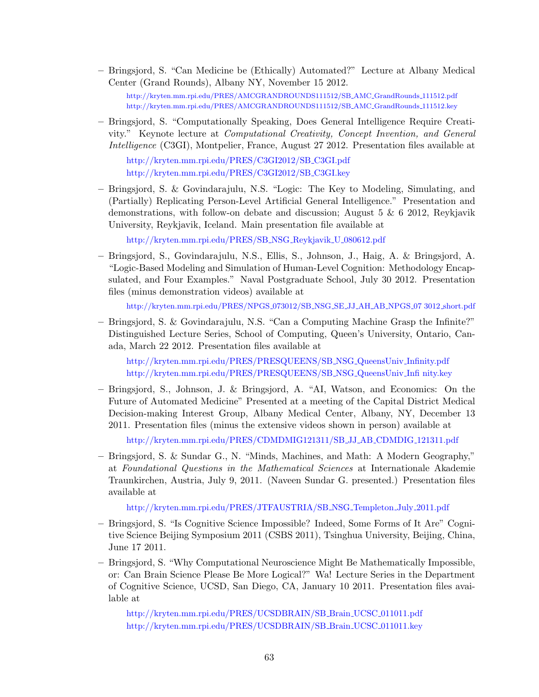– Bringsjord, S. "Can Medicine be (Ethically) Automated?" Lecture at Albany Medical Center (Grand Rounds), Albany NY, November 15 2012.

[http://kryten.mm.rpi.edu/PRES/AMCGRANDROUNDS111512/SB](http://kryten.mm.rpi.edu/PRES/AMCGRANDROUNDS111512/SB_AMC_GrandRounds_111512.pdf) AMC GrandRounds 111512.pdf [http://kryten.mm.rpi.edu/PRES/AMCGRANDROUNDS111512/SB](http://kryten.mm.rpi.edu/PRES/AMCGRANDROUNDS111512/SB_AMC_GrandRounds_111512.key) AMC GrandRounds 111512.key

– Bringsjord, S. "Computationally Speaking, Does General Intelligence Require Creativity." Keynote lecture at Computational Creativity, Concept Invention, and General Intelligence (C3GI), Montpelier, France, August 27 2012. Presentation files available at

[http://kryten.mm.rpi.edu/PRES/C3GI2012/SB](http://kryten.mm.rpi.edu/PRES/C3GI2012/SB_C3GI.pdf) C3GI.pdf [http://kryten.mm.rpi.edu/PRES/C3GI2012/SB](http://kryten.mm.rpi.edu/PRES/C3GI2012/SB_C3GI.key) C3GI.key

– Bringsjord, S. & Govindarajulu, N.S. "Logic: The Key to Modeling, Simulating, and (Partially) Replicating Person-Level Artificial General Intelligence." Presentation and demonstrations, with follow-on debate and discussion; August 5 & 6 2012, Reykjavik University, Reykjavik, Iceland. Main presentation file available at

[http://kryten.mm.rpi.edu/PRES/SB](http://kryten.mm.rpi.edu/PRES/SB_NSG_Reykjavik_U_080612.pdf) NSG Reykjavik U 080612.pdf

– Bringsjord, S., Govindarajulu, N.S., Ellis, S., Johnson, J., Haig, A. & Bringsjord, A. "Logic-Based Modeling and Simulation of Human-Level Cognition: Methodology Encapsulated, and Four Examples." Naval Postgraduate School, July 30 2012. Presentation files (minus demonstration videos) available at

[http://kryten.mm.rpi.edu/PRES/NPGS](http://kryten.mm.rpi.edu/PRES/NPGS_073012/SB_NSG_SE_JJ_AH_AB_NPGS_073012_short.pdf) 073012/SB NSG SE JJ AH AB NPGS 07 3012 short.pdf

– Bringsjord, S. & Govindarajulu, N.S. "Can a Computing Machine Grasp the Infinite?" Distinguished Lecture Series, School of Computing, Queen's University, Ontario, Canada, March 22 2012. Presentation files available at

[http://kryten.mm.rpi.edu/PRES/PRESQUEENS/SB](http://kryten.mm.rpi.edu/PRES/PRESQUEENS/SB_NSG_QueensUniv_Infinity.\ pdf) NSG QueensUniv Infinity.pdf [http://kryten.mm.rpi.edu/PRES/PRESQUEENS/SB](http://kryten.mm.rpi.edu/PRES/PRESQUEENS/SB_NSG_QueensUniv_I\ nfinity.key) NSG QueensUniv Infi nity.key

– Bringsjord, S., Johnson, J. & Bringsjord, A. "AI, Watson, and Economics: On the Future of Automated Medicine" Presented at a meeting of the Capital District Medical Decision-making Interest Group, Albany Medical Center, Albany, NY, December 13 2011. Presentation files (minus the extensive videos shown in person) available at

[http://kryten.mm.rpi.edu/PRES/CDMDMIG121311/SB](http://kryten.mm.rpi.edu/PRES/CDMDMIG121311/SB_JJ_AB_CDMDIG_121311.pdf) JJ AB CDMDIG 121311.pdf

– Bringsjord, S. & Sundar G., N. "Minds, Machines, and Math: A Modern Geography," at Foundational Questions in the Mathematical Sciences at Internationale Akademie Traunkirchen, Austria, July 9, 2011. (Naveen Sundar G. presented.) Presentation files available at

[http://kryten.mm.rpi.edu/PRES/JTFAUSTRIA/SB](http://kryten.mm.rpi.edu/PRES/JTFAUSTRIA/SB_NSG_Templeton_July_2011.pdf) NSG Templeton July 2011.pdf

- Bringsjord, S. "Is Cognitive Science Impossible? Indeed, Some Forms of It Are" Cognitive Science Beijing Symposium 2011 (CSBS 2011), Tsinghua University, Beijing, China, June 17 2011.
- Bringsjord, S. "Why Computational Neuroscience Might Be Mathematically Impossible, or: Can Brain Science Please Be More Logical?" Wa! Lecture Series in the Department of Cognitive Science, UCSD, San Diego, CA, January 10 2011. Presentation files available at

[http://kryten.mm.rpi.edu/PRES/UCSDBRAIN/SB](http://kryten.mm.rpi.edu/PRES/UCSDBRAIN/SB_Brain_UCSC_011011.pdf) Brain UCSC 011011.pdf [http://kryten.mm.rpi.edu/PRES/UCSDBRAIN/SB](http://kryten.mm.rpi.edu/PRES/UCSCBRAIN/SB_Brain_UCSC_011011.key) Brain UCSC 011011.key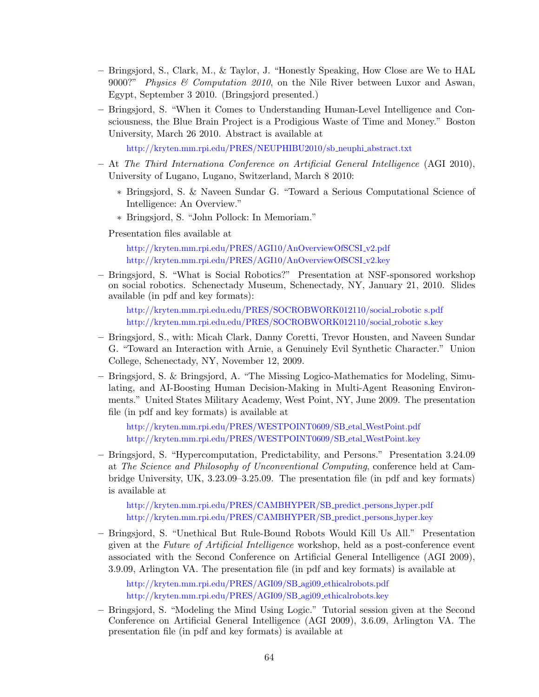- Bringsjord, S., Clark, M., & Taylor, J. "Honestly Speaking, How Close are We to HAL 9000?" Physics & Computation 2010, on the Nile River between Luxor and Aswan, Egypt, September 3 2010. (Bringsjord presented.)
- Bringsjord, S. "When it Comes to Understanding Human-Level Intelligence and Consciousness, the Blue Brain Project is a Prodigious Waste of Time and Money." Boston University, March 26 2010. Abstract is available at

[http://kryten.mm.rpi.edu/PRES/NEUPHIBU2010/sb](http://kryten.mm.rpi.edu/PRES/NEUPHIBU2010/sb_neuphi_abstract.txt)\_neuphi\_abstract.txt

- At The Third Internationa Conference on Artificial General Intelligence (AGI 2010), University of Lugano, Lugano, Switzerland, March 8 2010:
	- ∗ Bringsjord, S. & Naveen Sundar G. "Toward a Serious Computational Science of Intelligence: An Overview."
	- ∗ Bringsjord, S. "John Pollock: In Memoriam."

Presentation files available at

[http://kryten.mm.rpi.edu/PRES/AGI10/AnOverviewOfSCSI](http://kryten.mm.rpi.edu/PRES/AGI10/AnOverviewOfSCSI_v2.pdf) v2.pdf [http://kryten.mm.rpi.edu/PRES/AGI10/AnOverviewOfSCSI](http://kryten.mm.rpi.edu/PRES/AGI10/AnOverviewOfSCSI_v2.key) v2.key

– Bringsjord, S. "What is Social Robotics?" Presentation at NSF-sponsored workshop on social robotics. Schenectady Museum, Schenectady, NY, January 21, 2010. Slides available (in pdf and key formats):

[http://kryten.mm.rpi.edu.edu/PRES/SOCROBWORK012110/social](http://kryten.mm.rpi.edu.edu/PRES/SOCROBWORK012110/social_robotics.pdf) robotic s.pdf [http://kryten.mm.rpi.edu.edu/PRES/SOCROBWORK012110/social](http://kryten.mm.rpi.edu.edu/PRES/SOCROBWORK012110/social_robotics.key) robotic s.key

- Bringsjord, S., with: Micah Clark, Danny Coretti, Trevor Housten, and Naveen Sundar G. "Toward an Interaction with Arnie, a Genuinely Evil Synthetic Character." Union College, Schenectady, NY, November 12, 2009.
- Bringsjord, S. & Bringsjord, A. "The Missing Logico-Mathematics for Modeling, Simulating, and AI-Boosting Human Decision-Making in Multi-Agent Reasoning Environments." United States Military Academy, West Point, NY, June 2009. The presentation file (in pdf and key formats) is available at

[http://kryten.mm.rpi.edu/PRES/WESTPOINT0609/SB](http://kryten.mm.rpi.edu/PRES/WESTPOINT0609/SB_etal_WestPoint.pdf) etal WestPoint.pdf [http://kryten.mm.rpi.edu/PRES/WESTPOINT0609/SB](http://kryten.mm.rpi.edu/PRES/WESTPOINT0609/SB_etal_WestPoint.key) etal WestPoint.key

– Bringsjord, S. "Hypercomputation, Predictability, and Persons." Presentation 3.24.09 at The Science and Philosophy of Unconventional Computing, conference held at Cambridge University, UK, 3.23.09–3.25.09. The presentation file (in pdf and key formats) is available at

[http://kryten.mm.rpi.edu/PRES/CAMBHYPER/SB](http://kryten.mm.rpi.edu/PRES/CAMBHYPER/SB_predict_persons_hyper.pdf) predict persons hyper.pdf [http://kryten.mm.rpi.edu/PRES/CAMBHYPER/SB](http://kryten.mm.rpi.edu/PRES/CAMBHYPER/SB_predict_persons_hyper.key) predict persons hyper.key

– Bringsjord, S. "Unethical But Rule-Bound Robots Would Kill Us All." Presentation given at the Future of Artificial Intelligence workshop, held as a post-conference event associated with the Second Conference on Artificial General Intelligence (AGI 2009), 3.9.09, Arlington VA. The presentation file (in pdf and key formats) is available at

[http://kryten.mm.rpi.edu/PRES/AGI09/SB](http://kryten.mm.rpi.edu/PRES/AGI09/SB_agi09_ethicalrobots.pdf)\_agi09\_ethicalrobots.pdf [http://kryten.mm.rpi.edu/PRES/AGI09/SB](http://kryten.mm.rpi.edu/PRES/AGI09/SB_agi09_ethicalrobots.key) agi09 ethicalrobots.key

– Bringsjord, S. "Modeling the Mind Using Logic." Tutorial session given at the Second Conference on Artificial General Intelligence (AGI 2009), 3.6.09, Arlington VA. The presentation file (in pdf and key formats) is available at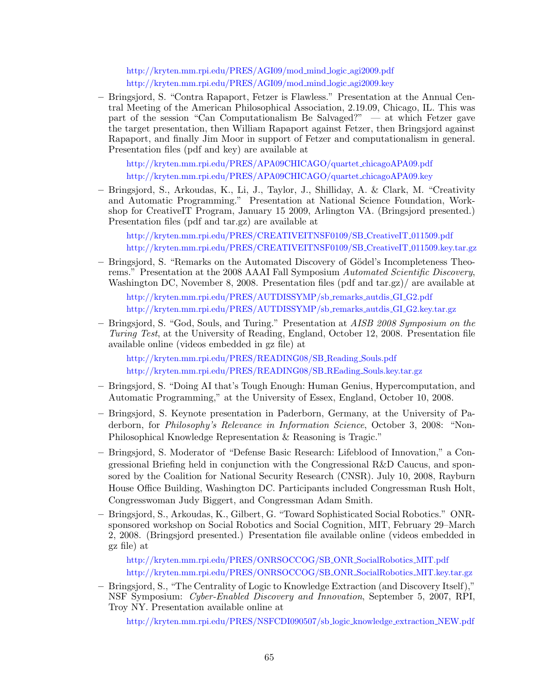[http://kryten.mm.rpi.edu/PRES/AGI09/mod](http://kryten.mm.rpi.edu/PRES/AGI09/mod_mind_logic_agi2009.pdf) mind logic agi2009.pdf [http://kryten.mm.rpi.edu/PRES/AGI09/mod](http://kryten.mm.rpi.edu/PRES/AGI09/mod_mind_logic_agi2009.key) mind logic agi2009.key

– Bringsjord, S. "Contra Rapaport, Fetzer is Flawless." Presentation at the Annual Central Meeting of the American Philosophical Association, 2.19.09, Chicago, IL. This was part of the session "Can Computationalism Be Salvaged?" — at which Fetzer gave the target presentation, then William Rapaport against Fetzer, then Bringsjord against Rapaport, and finally Jim Moor in support of Fetzer and computationalism in general. Presentation files (pdf and key) are available at

[http://kryten.mm.rpi.edu/PRES/APA09CHICAGO/quartet](http://kryten.mm.rpi.edu/PRES/APA09CHICAGO/quartet_chicagoAPA09.pdf) chicagoAPA09.pdf [http://kryten.mm.rpi.edu/PRES/APA09CHICAGO/quartet](http://kryten.mm.rpi.edu/PRES/APA09CHICAGO/quartet_chicagoAPA09.key) chicagoAPA09.key

– Bringsjord, S., Arkoudas, K., Li, J., Taylor, J., Shilliday, A. & Clark, M. "Creativity and Automatic Programming." Presentation at National Science Foundation, Workshop for CreativeIT Program, January 15 2009, Arlington VA. (Bringsjord presented.) Presentation files (pdf and tar.gz) are available at

[http://kryten.mm.rpi.edu/PRES/CREATIVEITNSF0109/SB](http://kryten.mm.rpi.edu/PRES/CREATIVEITNSF0109/SB_CreativeIT_011509.pdf)\_CreativeIT\_011509.pdf [http://kryten.mm.rpi.edu/PRES/CREATIVEITNSF0109/SB](http://kryten.mm.rpi.edu/PRES/CREATIVEITNSF0109/SB_CreativeIT_011509.key.tar.gz)\_CreativeIT\_011509.key.tar.gz

– Bringsjord, S. "Remarks on the Automated Discovery of Gödel's Incompleteness Theorems." Presentation at the 2008 AAAI Fall Symposium Automated Scientific Discovery, Washington DC, November 8, 2008. Presentation files (pdf and tar.gz)/ are available at

[http://kryten.mm.rpi.edu/PRES/AUTDISSYMP/sb](http://kryten.mm.rpi.edu/PRES/AUTDISSYMP/sb_remarks_autdis_GI_G2.pdf) remarks autdis GI G2.pdf [http://kryten.mm.rpi.edu/PRES/AUTDISSYMP/sb](http://kryten.mm.rpi.edu/PRES/AUTDISSYMP/sb_remarks_autdis_GI_G2.key.tar.gz) remarks autdis GI G2.key.tar.gz

– Bringsjord, S. "God, Souls, and Turing." Presentation at AISB 2008 Symposium on the Turing Test, at the University of Reading, England, October 12, 2008. Presentation file available online (videos embedded in gz file) at

[http://kryten.mm.rpi.edu/PRES/READING08/SB](http://kryten.mm.rpi.edu/PRES/READING08/SB_Reading_Souls.pdf) Reading Souls.pdf [http://kryten.mm.rpi.edu/PRES/READING08/SB](http://kryten.mm.rpi.edu/PRES/READING08/SB_REading_Souls.key.tar.gz) REading Souls.key.tar.gz

- Bringsjord, S. "Doing AI that's Tough Enough: Human Genius, Hypercomputation, and Automatic Programming," at the University of Essex, England, October 10, 2008.
- Bringsjord, S. Keynote presentation in Paderborn, Germany, at the University of Paderborn, for *Philosophy's Relevance in Information Science*, October 3, 2008: "Non-Philosophical Knowledge Representation & Reasoning is Tragic."
- Bringsjord, S. Moderator of "Defense Basic Research: Lifeblood of Innovation," a Congressional Briefing held in conjunction with the Congressional R&D Caucus, and sponsored by the Coalition for National Security Research (CNSR). July 10, 2008, Rayburn House Office Building, Washington DC. Participants included Congressman Rush Holt, Congresswoman Judy Biggert, and Congressman Adam Smith.
- Bringsjord, S., Arkoudas, K., Gilbert, G. "Toward Sophisticated Social Robotics." ONRsponsored workshop on Social Robotics and Social Cognition, MIT, February 29–March 2, 2008. (Bringsjord presented.) Presentation file available online (videos embedded in gz file) at

[http://kryten.mm.rpi.edu/PRES/ONRSOCCOG/SB](http://kryten.mm.rpi.edu/PRES/ONRSOCCOG/SB_ONR_SocialRobotics_MIT.pdf) ONR SocialRobotics MIT.pdf [http://kryten.mm.rpi.edu/PRES/ONRSOCCOG/SB](http://kryten.mm.rpi.edu/PRES/ONRSOCCOG/SB_ONR_SocialRobotics_MIT.key.tar.gz) ONR SocialRobotics MIT.key.tar.gz

– Bringsjord, S., "The Centrality of Logic to Knowledge Extraction (and Discovery Itself)," NSF Symposium: Cyber-Enabled Discovery and Innovation, September 5, 2007, RPI, Troy NY. Presentation available online at

[http://kryten.mm.rpi.edu/PRES/NSFCDI090507/sb](http://kryten.mm.rpi.edu/PRES/NSFCDI090507/sb_logic_knowledge_extraction_NEW.pdf) logic knowledge extraction NEW.pdf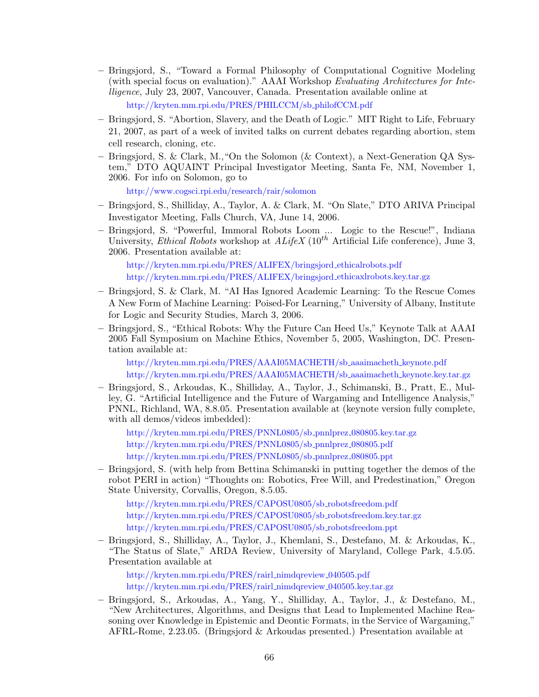- Bringsjord, S., "Toward a Formal Philosophy of Computational Cognitive Modeling (with special focus on evaluation)." AAAI Workshop Evaluating Architectures for Intelligence, July 23, 2007, Vancouver, Canada. Presentation available online at [http://kryten.mm.rpi.edu/PRES/PHILCCM/sb](http://kryten.mm.rpi.edu/PRES/PHILCCM/sb_philofCCM.pdf) philofCCM.pdf
- Bringsjord, S. "Abortion, Slavery, and the Death of Logic." MIT Right to Life, February 21, 2007, as part of a week of invited talks on current debates regarding abortion, stem cell research, cloning, etc.
- Bringsjord, S. & Clark, M.,"On the Solomon (& Context), a Next-Generation QA System," DTO AQUAINT Principal Investigator Meeting, Santa Fe, NM, November 1, 2006. For info on Solomon, go to

<http://www.cogsci.rpi.edu/research/rair/solomon>

- Bringsjord, S., Shilliday, A., Taylor, A. & Clark, M. "On Slate," DTO ARIVA Principal Investigator Meeting, Falls Church, VA, June 14, 2006.
- Bringsjord, S. "Powerful, Immoral Robots Loom ... Logic to the Rescue!", Indiana University, Ethical Robots workshop at  $ALifeX (10<sup>th</sup> Artificial Life conference)$ , June 3, 2006. Presentation available at:

[http://kryten.mm.rpi.edu/PRES/ALIFEX/bringsjord](http://kryten.mm.rpi.edu/PRES/ALIFEX/bringsjord_ethicalrobots.pdf) ethicalrobots.pdf [http://kryten.mm.rpi.edu/PRES/ALIFEX/bringsjord](http://kryten.mm.rpi.edu/PRES/ALIFEX/bringsjord_ethicalrobots.key.tar.gz) ethicaxlrobots.key.tar.gz

- Bringsjord, S. & Clark, M. "AI Has Ignored Academic Learning: To the Rescue Comes A New Form of Machine Learning: Poised-For Learning," University of Albany, Institute for Logic and Security Studies, March 3, 2006.
- Bringsjord, S., "Ethical Robots: Why the Future Can Heed Us," Keynote Talk at AAAI 2005 Fall Symposium on Machine Ethics, November 5, 2005, Washington, DC. Presentation available at:

[http://kryten.mm.rpi.edu/PRES/AAAI05MACHETH/sb](http://kryten.mm.rpi.edu/PRES/AAAI05MACHETH/sb_aaaimacheth_keynote.pdf) aaaimacheth keynote.pdf [http://kryten.mm.rpi.edu/PRES/AAAI05MACHETH/sb](http://kryten.mm.rpi.edu/PRES/AAAI05MACHETH/sb_aaaimacheth_keynote.key.tar.gz) aaaimacheth keynote.key.tar.gz

– Bringsjord, S., Arkoudas, K., Shilliday, A., Taylor, J., Schimanski, B., Pratt, E., Mulley, G. "Artificial Intelligence and the Future of Wargaming and Intelligence Analysis," PNNL, Richland, WA, 8.8.05. Presentation available at (keynote version fully complete, with all demos/videos imbedded):

[http://kryten.mm.rpi.edu/PRES/PNNL0805/sb](http://kryten.mm.rpi.edu/PRES/PNNL0805/sb_pnnlprez_080805.key.tar.gz) pnnlprez 080805.key.tar.gz [http://kryten.mm.rpi.edu/PRES/PNNL0805/sb](http://kryten.mm.rpi.edu/PRES/PNNL0805/sb_pnnlprez_080805.pdf)\_pnnlprez\_080805.pdf [http://kryten.mm.rpi.edu/PRES/PNNL0805/sb](http://kryten.mm.rpi.edu/PRES/PNNL0805/sb_pnnlprez_080805.ppt) pnnlprez 080805.ppt

– Bringsjord, S. (with help from Bettina Schimanski in putting together the demos of the robot PERI in action) "Thoughts on: Robotics, Free Will, and Predestination," Oregon State University, Corvallis, Oregon, 8.5.05.

[http://kryten.mm.rpi.edu/PRES/CAPOSU0805/sb](http://kryten.mm.rpi.edu/PRES/CAPOSU0805/sb_robotsfreedom.pdf) robotsfreedom.pdf [http://kryten.mm.rpi.edu/PRES/CAPOSU0805/sb](http://kryten.mm.rpi.edu/PRES/CAPOSU0805/sb_robotsfreedom.key.tar.gz) robotsfreedom.key.tar.gz [http://kryten.mm.rpi.edu/PRES/CAPOSU0805/sb](http://kryten.mm.rpi.edu/PRES/CAPOSU0805/sb_robotsfreedom.ppt) robotsfreedom.ppt

– Bringsjord, S., Shilliday, A., Taylor, J., Khemlani, S., Destefano, M. & Arkoudas, K., "The Status of Slate," ARDA Review, University of Maryland, College Park, 4.5.05. Presentation available at

[http://kryten.mm.rpi.edu/PRES/rairl](http://kryten.mm.rpi.edu/PRES/rairl_nimdqreview_040505.pdf)\_nimdqreview\_040505.pdf [http://kryten.mm.rpi.edu/PRES/rairl](http://kryten.mm.rpi.edu/PRES/rairl_nimdqreview_040505.key.tar.gz) nimdqreview 040505.key.tar.gz

– Bringsjord, S., Arkoudas, A., Yang, Y., Shilliday, A., Taylor, J., & Destefano, M., "New Architectures, Algorithms, and Designs that Lead to Implemented Machine Reasoning over Knowledge in Epistemic and Deontic Formats, in the Service of Wargaming," AFRL-Rome, 2.23.05. (Bringsjord & Arkoudas presented.) Presentation available at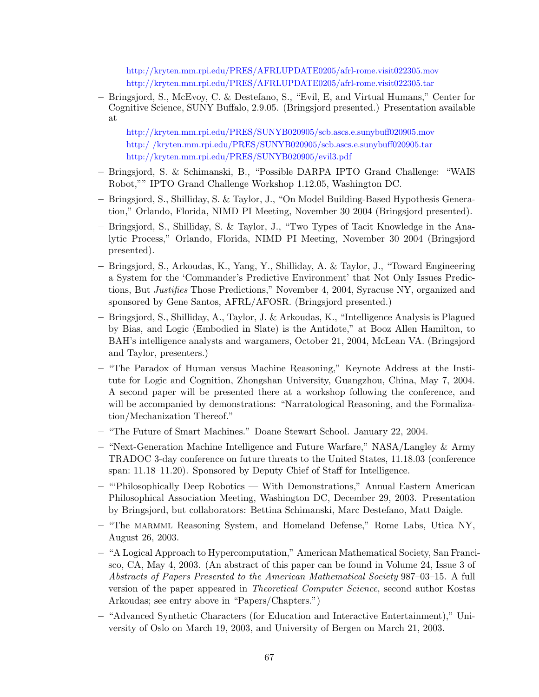<http://kryten.mm.rpi.edu/PRES/AFRLUPDATE0205/afrl-rome.visit022305.mov> <http://kryten.mm.rpi.edu/PRES/AFRLUPDATE0205/afrl-rome.visit022305.tar>

– Bringsjord, S., McEvoy, C. & Destefano, S., "Evil, E, and Virtual Humans," Center for Cognitive Science, SUNY Buffalo, 2.9.05. (Bringsjord presented.) Presentation available at

<http://kryten.mm.rpi.edu/PRES/SUNYB020905/scb.ascs.e.sunybuff020905.mov> [http:/ /kryten.mm.rpi.edu/PRES/SUNYB020905/scb.ascs.e.sunybuff020905.tar](http://kryten.mm.rpi.edu/PRES/SUNYB020905/scb.ascs.e.sunybuff020905.tar) <http://kryten.mm.rpi.edu/PRES/SUNYB020905/evil3.pdf>

- Bringsjord, S. & Schimanski, B., "Possible DARPA IPTO Grand Challenge: "WAIS Robot,"" IPTO Grand Challenge Workshop 1.12.05, Washington DC.
- Bringsjord, S., Shilliday, S. & Taylor, J., "On Model Building-Based Hypothesis Generation," Orlando, Florida, NIMD PI Meeting, November 30 2004 (Bringsjord presented).
- Bringsjord, S., Shilliday, S. & Taylor, J., "Two Types of Tacit Knowledge in the Analytic Process," Orlando, Florida, NIMD PI Meeting, November 30 2004 (Bringsjord presented).
- Bringsjord, S., Arkoudas, K., Yang, Y., Shilliday, A. & Taylor, J., "Toward Engineering a System for the 'Commander's Predictive Environment' that Not Only Issues Predictions, But Justifies Those Predictions," November 4, 2004, Syracuse NY, organized and sponsored by Gene Santos, AFRL/AFOSR. (Bringsjord presented.)
- Bringsjord, S., Shilliday, A., Taylor, J. & Arkoudas, K., "Intelligence Analysis is Plagued by Bias, and Logic (Embodied in Slate) is the Antidote," at Booz Allen Hamilton, to BAH's intelligence analysts and wargamers, October 21, 2004, McLean VA. (Bringsjord and Taylor, presenters.)
- "The Paradox of Human versus Machine Reasoning," Keynote Address at the Institute for Logic and Cognition, Zhongshan University, Guangzhou, China, May 7, 2004. A second paper will be presented there at a workshop following the conference, and will be accompanied by demonstrations: "Narratological Reasoning, and the Formalization/Mechanization Thereof."
- "The Future of Smart Machines." Doane Stewart School. January 22, 2004.
- "Next-Generation Machine Intelligence and Future Warfare," NASA/Langley & Army TRADOC 3-day conference on future threats to the United States, 11.18.03 (conference span: 11.18–11.20). Sponsored by Deputy Chief of Staff for Intelligence.
- "'Philosophically Deep Robotics With Demonstrations," Annual Eastern American Philosophical Association Meeting, Washington DC, December 29, 2003. Presentation by Bringsjord, but collaborators: Bettina Schimanski, Marc Destefano, Matt Daigle.
- "The marmml Reasoning System, and Homeland Defense," Rome Labs, Utica NY, August 26, 2003.
- "A Logical Approach to Hypercomputation," American Mathematical Society, San Francisco, CA, May 4, 2003. (An abstract of this paper can be found in Volume 24, Issue 3 of Abstracts of Papers Presented to the American Mathematical Society 987–03–15. A full version of the paper appeared in Theoretical Computer Science, second author Kostas Arkoudas; see entry above in "Papers/Chapters.")
- "Advanced Synthetic Characters (for Education and Interactive Entertainment)," University of Oslo on March 19, 2003, and University of Bergen on March 21, 2003.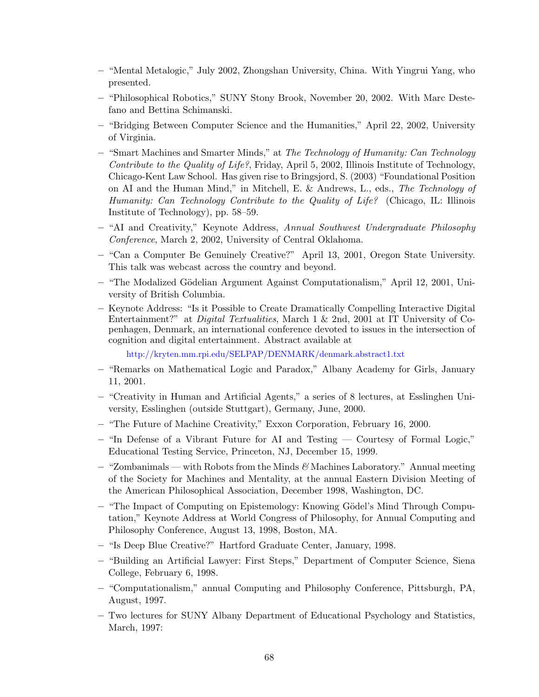- "Mental Metalogic," July 2002, Zhongshan University, China. With Yingrui Yang, who presented.
- "Philosophical Robotics," SUNY Stony Brook, November 20, 2002. With Marc Destefano and Bettina Schimanski.
- "Bridging Between Computer Science and the Humanities," April 22, 2002, University of Virginia.
- "Smart Machines and Smarter Minds," at The Technology of Humanity: Can Technology Contribute to the Quality of Life?, Friday, April 5, 2002, Illinois Institute of Technology, Chicago-Kent Law School. Has given rise to Bringsjord, S. (2003) "Foundational Position on AI and the Human Mind," in Mitchell, E. & Andrews, L., eds., The Technology of Humanity: Can Technology Contribute to the Quality of Life? (Chicago, IL: Illinois Institute of Technology), pp. 58–59.
- "AI and Creativity," Keynote Address, Annual Southwest Undergraduate Philosophy Conference, March 2, 2002, University of Central Oklahoma.
- "Can a Computer Be Genuinely Creative?" April 13, 2001, Oregon State University. This talk was webcast across the country and beyond.
- "The Modalized G¨odelian Argument Against Computationalism," April 12, 2001, University of British Columbia.
- Keynote Address: "Is it Possible to Create Dramatically Compelling Interactive Digital Entertainment?" at Digital Textualities, March 1 & 2nd, 2001 at IT University of Copenhagen, Denmark, an international conference devoted to issues in the intersection of cognition and digital entertainment. Abstract available at

<http://kryten.mm.rpi.edu/SELPAP/DENMARK/denmark.abstract1.txt>

- "Remarks on Mathematical Logic and Paradox," Albany Academy for Girls, January 11, 2001.
- "Creativity in Human and Artificial Agents," a series of 8 lectures, at Esslinghen University, Esslinghen (outside Stuttgart), Germany, June, 2000.
- "The Future of Machine Creativity," Exxon Corporation, February 16, 2000.
- "In Defense of a Vibrant Future for AI and Testing Courtesy of Formal Logic," Educational Testing Service, Princeton, NJ, December 15, 1999.
- $-$  "Zombanimals with Robots from the Minds  $\mathscr{C}$  Machines Laboratory." Annual meeting of the Society for Machines and Mentality, at the annual Eastern Division Meeting of the American Philosophical Association, December 1998, Washington, DC.
- "The Impact of Computing on Epistemology: Knowing G¨odel's Mind Through Computation," Keynote Address at World Congress of Philosophy, for Annual Computing and Philosophy Conference, August 13, 1998, Boston, MA.
- "Is Deep Blue Creative?" Hartford Graduate Center, January, 1998.
- "Building an Artificial Lawyer: First Steps," Department of Computer Science, Siena College, February 6, 1998.
- "Computationalism," annual Computing and Philosophy Conference, Pittsburgh, PA, August, 1997.
- Two lectures for SUNY Albany Department of Educational Psychology and Statistics, March, 1997: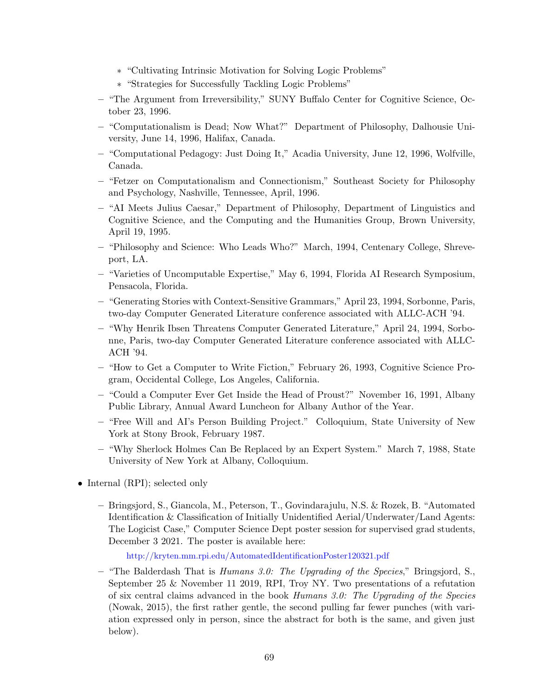- ∗ "Cultivating Intrinsic Motivation for Solving Logic Problems"
- ∗ "Strategies for Successfully Tackling Logic Problems"
- "The Argument from Irreversibility," SUNY Buffalo Center for Cognitive Science, October 23, 1996.
- "Computationalism is Dead; Now What?" Department of Philosophy, Dalhousie University, June 14, 1996, Halifax, Canada.
- "Computational Pedagogy: Just Doing It," Acadia University, June 12, 1996, Wolfville, Canada.
- "Fetzer on Computationalism and Connectionism," Southeast Society for Philosophy and Psychology, Nashville, Tennessee, April, 1996.
- "AI Meets Julius Caesar," Department of Philosophy, Department of Linguistics and Cognitive Science, and the Computing and the Humanities Group, Brown University, April 19, 1995.
- "Philosophy and Science: Who Leads Who?" March, 1994, Centenary College, Shreveport, LA.
- "Varieties of Uncomputable Expertise," May 6, 1994, Florida AI Research Symposium, Pensacola, Florida.
- "Generating Stories with Context-Sensitive Grammars," April 23, 1994, Sorbonne, Paris, two-day Computer Generated Literature conference associated with ALLC-ACH '94.
- "Why Henrik Ibsen Threatens Computer Generated Literature," April 24, 1994, Sorbonne, Paris, two-day Computer Generated Literature conference associated with ALLC-ACH '94.
- "How to Get a Computer to Write Fiction," February 26, 1993, Cognitive Science Program, Occidental College, Los Angeles, California.
- "Could a Computer Ever Get Inside the Head of Proust?" November 16, 1991, Albany Public Library, Annual Award Luncheon for Albany Author of the Year.
- "Free Will and AI's Person Building Project." Colloquium, State University of New York at Stony Brook, February 1987.
- "Why Sherlock Holmes Can Be Replaced by an Expert System." March 7, 1988, State University of New York at Albany, Colloquium.
- Internal (RPI); selected only
	- Bringsjord, S., Giancola, M., Peterson, T., Govindarajulu, N.S. & Rozek, B. "Automated Identification & Classification of Initially Unidentified Aerial/Underwater/Land Agents: The Logicist Case," Computer Science Dept poster session for supervised grad students, December 3 2021. The poster is available here:

<http://kryten.mm.rpi.edu/AutomatedIdentificationPoster120321.pdf>

– "The Balderdash That is *Humans 3.0: The Upgrading of the Species*," Bringsjord, S., September 25 & November 11 2019, RPI, Troy NY. Two presentations of a refutation of six central claims advanced in the book Humans 3.0: The Upgrading of the Species (Nowak, 2015), the first rather gentle, the second pulling far fewer punches (with variation expressed only in person, since the abstract for both is the same, and given just below).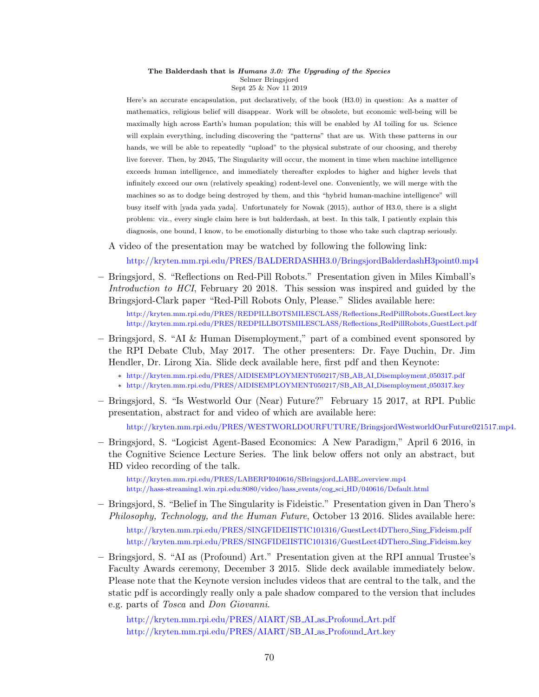#### The Balderdash that is Humans 3.0: The Upgrading of the Species Selmer Bringsjord Sept 25 & Nov 11 2019

Here's an accurate encapsulation, put declaratively, of the book (H3.0) in question: As a matter of mathematics, religious belief will disappear. Work will be obsolete, but economic well-being will be maximally high across Earth's human population; this will be enabled by AI toiling for us. Science will explain everything, including discovering the "patterns" that are us. With these patterns in our hands, we will be able to repeatedly "upload" to the physical substrate of our choosing, and thereby live forever. Then, by 2045, The Singularity will occur, the moment in time when machine intelligence exceeds human intelligence, and immediately thereafter explodes to higher and higher levels that infinitely exceed our own (relatively speaking) rodent-level one. Conveniently, we will merge with the machines so as to dodge being destroyed by them, and this "hybrid human-machine intelligence" will busy itself with [yada yada yada]. Unfortunately for Nowak (2015), author of H3.0, there is a slight problem: viz., every single claim here is but balderdash, at best. In this talk, I patiently explain this diagnosis, one bound, I know, to be emotionally disturbing to those who take such claptrap seriously.

A video of the presentation may be watched by following the following link:

<http://kryten.mm.rpi.edu/PRES/BALDERDASHH3.0/BringsjordBalderdashH3point0.mp4>

– Bringsjord, S. "Reflections on Red-Pill Robots." Presentation given in Miles Kimball's Introduction to HCI, February 20 2018. This session was inspired and guided by the Bringsjord-Clark paper "Red-Pill Robots Only, Please." Slides available here:

[http://kryten.mm.rpi.edu/PRES/REDPILLBOTSMILESCLASS/Reflections](http://kryten.mm.rpi.edu/PRES/REDPILLBOTSMILESCLASS/Reflections_RedPillRobots_GuestLect.key) RedPillRobots GuestLect.key [http://kryten.mm.rpi.edu/PRES/REDPILLBOTSMILESCLASS/Reflections](http://kryten.mm.rpi.edu/PRES/REDPILLBOTSMILESCLASS/Reflections_RedPillRobots_GuestLect.pdf) RedPillRobots GuestLect.pdf

- Bringsjord, S. "AI & Human Disemployment," part of a combined event sponsored by the RPI Debate Club, May 2017. The other presenters: Dr. Faye Duchin, Dr. Jim Hendler, Dr. Lirong Xia. Slide deck available here, first pdf and then Keynote:
	- ∗ [http://kryten.mm.rpi.edu/PRES/AIDISEMPLOYMENT050217/SB](http://kryten.mm.rpi.edu/PRES/AIDISEMPLOYMENT050217/SB_AB_AI_Disemployment_050317.pdf) AB AI Disemployment 050317.pdf
	- ∗ [http://kryten.mm.rpi.edu/PRES/AIDISEMPLOYMENT050217/SB](http://kryten.mm.rpi.edu/PRES/AIDISEMPLOYMENT050217/SB_AB_AI_Disemployment_050317.key) AB AI Disemployment 050317.key
- Bringsjord, S. "Is Westworld Our (Near) Future?" February 15 2017, at RPI. Public presentation, abstract for and video of which are available here:

[http://kryten.mm.rpi.edu/PRES/WESTWORLDOURFUTURE/BringsjordWestworldOurFuture021517.mp4.](http://kryten.mm.rpi.edu/PRES/WESTWORLDOURFUTURE/BringsjordWestworldOurFuture021517.mp4)

– Bringsjord, S. "Logicist Agent-Based Economics: A New Paradigm," April 6 2016, in the Cognitive Science Lecture Series. The link below offers not only an abstract, but HD video recording of the talk.

[http://kryten.mm.rpi.edu/PRES/LABERPI040616/SBringsjord](http://kryten.mm.rpi.edu/PRES/LABERPI040616/SBringsjord_LABE_overview.mp4)\_LABE\_overview.mp4 [http://hass-streaming1.win.rpi.edu:8080/video/hass](http://hass-streaming1.win.rpi.edu:8080/video/hass_events/cog_sci_HD/040616/Default.html) events/cog sci HD/040616/Default.html

- Bringsjord, S. "Belief in The Singularity is Fideistic." Presentation given in Dan Thero's Philosophy, Technology, and the Human Future, October 13 2016. Slides available here: [http://kryten.mm.rpi.edu/PRES/SINGFIDEIISTIC101316/GuestLect4DThero](http://kryten.mm.rpi.edu/PRES/SINGFIDEIISTIC101316/GuestLect4DThero_Sing_Fideism.pdf) Sing Fideism.pdf [http://kryten.mm.rpi.edu/PRES/SINGFIDEIISTIC101316/GuestLect4DThero](http://kryten.mm.rpi.edu/PRES/SINGFIDEIISTIC101316/GuestLect4DThero_Sing_Fideism.key) Sing Fideism.key
- Bringsjord, S. "AI as (Profound) Art." Presentation given at the RPI annual Trustee's Faculty Awards ceremony, December 3 2015. Slide deck available immediately below. Please note that the Keynote version includes videos that are central to the talk, and the static pdf is accordingly really only a pale shadow compared to the version that includes e.g. parts of Tosca and Don Giovanni.

[http://kryten.mm.rpi.edu/PRES/AIART/SB](http://kryten.mm.rpi.edu/PRES/AIART/SB_AI_as_Profound_Art.pdf) AI as Profound Art.pdf [http://kryten.mm.rpi.edu/PRES/AIART/SB](http://kryten.mm.rpi.edu/PRES/AIART/SB_AI_as_Profound_Art.key) AI as Profound Art.key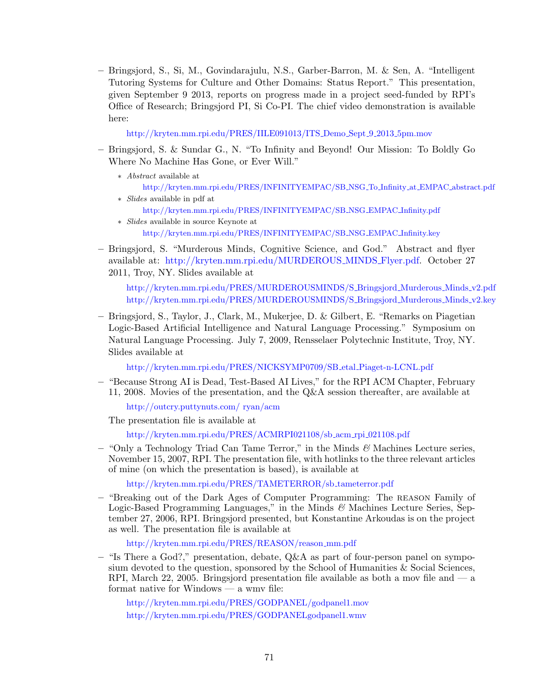– Bringsjord, S., Si, M., Govindarajulu, N.S., Garber-Barron, M. & Sen, A. "Intelligent Tutoring Systems for Culture and Other Domains: Status Report." This presentation, given September 9 2013, reports on progress made in a project seed-funded by RPI's Office of Research; Bringsjord PI, Si Co-PI. The chief video demonstration is available here:

[http://kryten.mm.rpi.edu/PRES/IILE091013/ITS](http://kryten.mm.rpi.edu/PRES/IILE091013/ITS_Demo_Sept_9_2013_5pm.mov) Demo Sept 9 2013 5pm.mov

- Bringsjord, S. & Sundar G., N. "To Infinity and Beyond! Our Mission: To Boldly Go Where No Machine Has Gone, or Ever Will."
	- ∗ Abstract available at [http://kryten.mm.rpi.edu/PRES/INFINITYEMPAC/SB](http://kryten.mm.rpi.edu/PRES/INFINITYEMPAC/SB_NSG_To_Infinity_at_EMPAC_abstract.pdf) NSG To Infinity at EMPAC abstract.pdf ∗ Slides available in pdf at
		- [http://kryten.mm.rpi.edu/PRES/INFINITYEMPAC/SB](http://kryten.mm.rpi.edu/PRES/INFINITYEMPAC/SB_NSG_EMPAC_Infinity.pdf) NSG EMPAC Infinity.pdf
	- ∗ Slides available in source Keynote at [http://kryten.mm.rpi.edu/PRES/INFINITYEMPAC/SB](http://kryten.mm.rpi.edu/PRES/INFINITYEMPAC/SB_NSG_EMPAC_Infinity.key) NSG EMPAC Infinity.key
- Bringsjord, S. "Murderous Minds, Cognitive Science, and God." Abstract and flyer available at: [http://kryten.mm.rpi.edu/MURDEROUS](http://kryten.mm.rpi.edu/MURDEROUS_MINDS_Flyer.pdf) MINDS Flyer.pdf. October 27 2011, Troy, NY. Slides available at

[http://kryten.mm.rpi.edu/PRES/MURDEROUSMINDS/S](http://kryten.mm.rpi.edu/PRES/MURDEROUSMINDS/S_Bringsjord_Murderous_Minds_v2.pdf) Bringsjord Murderous Minds v2.pdf [http://kryten.mm.rpi.edu/PRES/MURDEROUSMINDS/S](http://kryten.mm.rpi.edu/PRES/MURDEROUSMINDS/S_Bringsjord_Murderous_Minds_v2.key) Bringsjord Murderous Minds v2.key

– Bringsjord, S., Taylor, J., Clark, M., Mukerjee, D. & Gilbert, E. "Remarks on Piagetian Logic-Based Artificial Intelligence and Natural Language Processing." Symposium on Natural Language Processing. July 7, 2009, Rensselaer Polytechnic Institute, Troy, NY. Slides available at

[http://kryten.mm.rpi.edu/PRES/NICKSYMP0709/SB](http://kryten.mm.rpi.edu/PRES/NICKSYMP0709/SB_etal_Piaget-n-LCNL.pdf) etal Piaget-n-LCNL.pdf

– "Because Strong AI is Dead, Test-Based AI Lives," for the RPI ACM Chapter, February 11, 2008. Movies of the presentation, and the Q&A session thereafter, are available at

[http://outcry.puttynuts.com/ ryan/acm](http://outcry.puttynuts.com/~ryan/acm)

The presentation file is available at

[http://kryten.mm.rpi.edu/PRES/ACMRPI021108/sb](http://kryten.mm.rpi.edu/PRES/ACMRPI021108/sb_acm_rpi_021108.pdf) acm rpi 021108.pdf

– "Only a Technology Triad Can Tame Terror," in the Minds  $\mathcal{B}$  Machines Lecture series, November 15, 2007, RPI. The presentation file, with hotlinks to the three relevant articles of mine (on which the presentation is based), is available at

[http://kryten.mm.rpi.edu/PRES/TAMETERROR/sb](http://kryten.mm.rpi.edu/PRES/TAMETERROR/sb_tameterror.pdf) tameterror.pdf

– "Breaking out of the Dark Ages of Computer Programming: The reason Family of Logic-Based Programming Languages," in the Minds  $\mathscr{C}$  Machines Lecture Series, September 27, 2006, RPI. Bringsjord presented, but Konstantine Arkoudas is on the project as well. The presentation file is available at

[http://kryten.mm.rpi.edu/PRES/REASON/reason](http://kryten.mm.rpi.edu/PRES/REASON/reason_mm.pdf) mm.pdf

– "Is There a God?," presentation, debate, Q&A as part of four-person panel on symposium devoted to the question, sponsored by the School of Humanities  $\&$  Social Sciences, RPI, March 22, 2005. Bringsjord presentation file available as both a mov file and  $\sim$  a format native for Windows — a wmv file:

<http://kryten.mm.rpi.edu/PRES/GODPANEL/godpanel1.mov> [http://kryten.mm.rpi.edu/PRES/GODPANELgodpanel1.wmv](http://kryten.mm.rpi.edu/PRES/GODPANEL/godpanel1.wmv)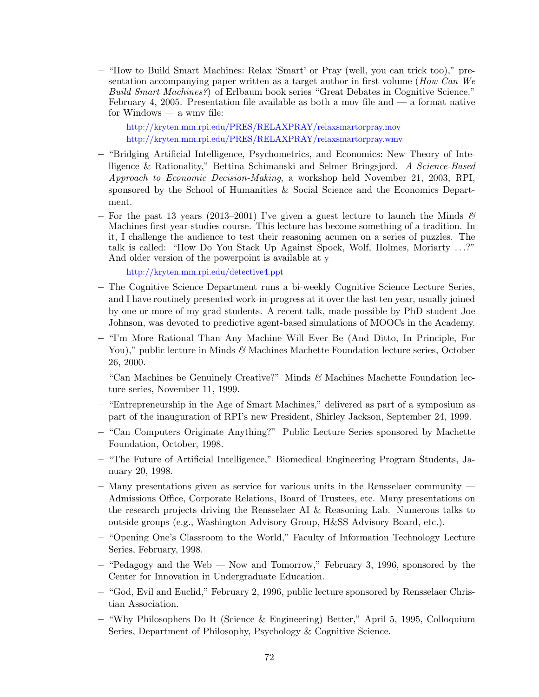– "How to Build Smart Machines: Relax 'Smart' or Pray (well, you can trick too)," presentation accompanying paper written as a target author in first volume (How Can We Build Smart Machines?) of Erlbaum book series "Great Debates in Cognitive Science." February 4, 2005. Presentation file available as both a mov file and  $\overline{a}$  a format native for Windows — a wmv file:

<http://kryten.mm.rpi.edu/PRES/RELAXPRAY/relaxsmartorpray.mov> <http://kryten.mm.rpi.edu/PRES/RELAXPRAY/relaxsmartorpray.wmv>

- "Bridging Artificial Intelligence, Psychometrics, and Economics: New Theory of Intelligence & Rationality," Bettina Schimanski and Selmer Bringsjord. A Science-Based Approach to Economic Decision-Making, a workshop held November 21, 2003, RPI, sponsored by the School of Humanities & Social Science and the Economics Department.
- For the past 13 years (2013–2001) I've given a guest lecture to launch the Minds  $\mathscr B$ Machines first-year-studies course. This lecture has become something of a tradition. In it, I challenge the audience to test their reasoning acumen on a series of puzzles. The talk is called: "How Do You Stack Up Against Spock, Wolf, Holmes, Moriarty . . .?" And older version of the powerpoint is available at y

<http://kryten.mm.rpi.edu/detective4.ppt>

- The Cognitive Science Department runs a bi-weekly Cognitive Science Lecture Series, and I have routinely presented work-in-progress at it over the last ten year, usually joined by one or more of my grad students. A recent talk, made possible by PhD student Joe Johnson, was devoted to predictive agent-based simulations of MOOCs in the Academy.
- "I'm More Rational Than Any Machine Will Ever Be (And Ditto, In Principle, For You)," public lecture in Minds  $\mathcal{B}$  Machines Machette Foundation lecture series, October 26, 2000.
- $-$  "Can Machines be Genuinely Creative?" Minds & Machines Machette Foundation lecture series, November 11, 1999.
- "Entrepreneurship in the Age of Smart Machines," delivered as part of a symposium as part of the inauguration of RPI's new President, Shirley Jackson, September 24, 1999.
- "Can Computers Originate Anything?" Public Lecture Series sponsored by Machette Foundation, October, 1998.
- "The Future of Artificial Intelligence," Biomedical Engineering Program Students, January 20, 1998.
- Many presentations given as service for various units in the Rensselaer community Admissions Office, Corporate Relations, Board of Trustees, etc. Many presentations on the research projects driving the Rensselaer AI & Reasoning Lab. Numerous talks to outside groups (e.g., Washington Advisory Group, H&SS Advisory Board, etc.).
- "Opening One's Classroom to the World," Faculty of Information Technology Lecture Series, February, 1998.
- "Pedagogy and the Web Now and Tomorrow," February 3, 1996, sponsored by the Center for Innovation in Undergraduate Education.
- "God, Evil and Euclid," February 2, 1996, public lecture sponsored by Rensselaer Christian Association.
- "Why Philosophers Do It (Science & Engineering) Better," April 5, 1995, Colloquium Series, Department of Philosophy, Psychology & Cognitive Science.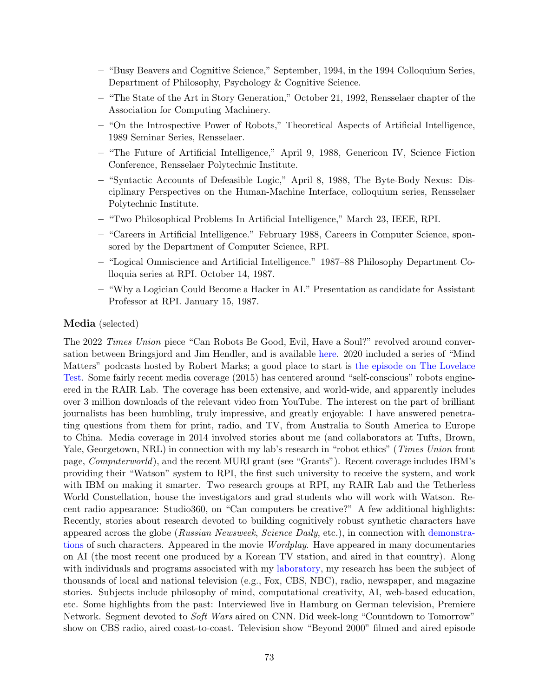- "Busy Beavers and Cognitive Science," September, 1994, in the 1994 Colloquium Series, Department of Philosophy, Psychology & Cognitive Science.
- "The State of the Art in Story Generation," October 21, 1992, Rensselaer chapter of the Association for Computing Machinery.
- "On the Introspective Power of Robots," Theoretical Aspects of Artificial Intelligence, 1989 Seminar Series, Rensselaer.
- "The Future of Artificial Intelligence," April 9, 1988, Genericon IV, Science Fiction Conference, Rensselaer Polytechnic Institute.
- "Syntactic Accounts of Defeasible Logic," April 8, 1988, The Byte-Body Nexus: Disciplinary Perspectives on the Human-Machine Interface, colloquium series, Rensselaer Polytechnic Institute.
- "Two Philosophical Problems In Artificial Intelligence," March 23, IEEE, RPI.
- "Careers in Artificial Intelligence." February 1988, Careers in Computer Science, sponsored by the Department of Computer Science, RPI.
- "Logical Omniscience and Artificial Intelligence." 1987–88 Philosophy Department Colloquia series at RPI. October 14, 1987.
- "Why a Logician Could Become a Hacker in AI." Presentation as candidate for Assistant Professor at RPI. January 15, 1987.

#### Media (selected)

The 2022 *Times Union* piece "Can Robots Be Good, Evil, Have a Soul?" revolved around conversation between Bringsjord and Jim Hendler, and is available [here.](http://kryten.mm.rpi.edu/Bringsjord_Hendler_TU_Robots.pdf) 2020 included a series of "Mind Matters" podcasts hosted by Robert Marks; a good place to start is [the episode on The Lovelace](https://mindmatters.ai/podcast/ep101) [Test.](https://mindmatters.ai/podcast/ep101) Some fairly recent media coverage (2015) has centered around "self-conscious" robots engineered in the RAIR Lab. The coverage has been extensive, and world-wide, and apparently includes over 3 million downloads of the relevant video from YouTube. The interest on the part of brilliant journalists has been humbling, truly impressive, and greatly enjoyable: I have answered penetrating questions from them for print, radio, and TV, from Australia to South America to Europe to China. Media coverage in 2014 involved stories about me (and collaborators at Tufts, Brown, Yale, Georgetown, NRL) in connection with my lab's research in "robot ethics" (Times Union front page, Computerworld), and the recent MURI grant (see "Grants"). Recent coverage includes IBM's providing their "Watson" system to RPI, the first such university to receive the system, and work with IBM on making it smarter. Two research groups at RPI, my RAIR Lab and the Tetherless World Constellation, house the investigators and grad students who will work with Watson. Recent radio appearance: Studio360, on "Can computers be creative?" A few additional highlights: Recently, stories about research devoted to building cognitively robust synthetic characters have appeared across the globe (Russian Newsweek, Science Daily, etc.), in connection with [demonstra](http://www.cogsci.rpi.edu/research/rair/asc_rca)[tions](http://www.cogsci.rpi.edu/research/rair/asc_rca) of such characters. Appeared in the movie Wordplay. Have appeared in many documentaries on AI (the most recent one produced by a Korean TV station, and aired in that country). Along with individuals and programs associated with my [laboratory,](http://www.cogsci.rpi.edu/research/rair) my research has been the subject of thousands of local and national television (e.g., Fox, CBS, NBC), radio, newspaper, and magazine stories. Subjects include philosophy of mind, computational creativity, AI, web-based education, etc. Some highlights from the past: Interviewed live in Hamburg on German television, Premiere Network. Segment devoted to Soft Wars aired on CNN. Did week-long "Countdown to Tomorrow" show on CBS radio, aired coast-to-coast. Television show "Beyond 2000" filmed and aired episode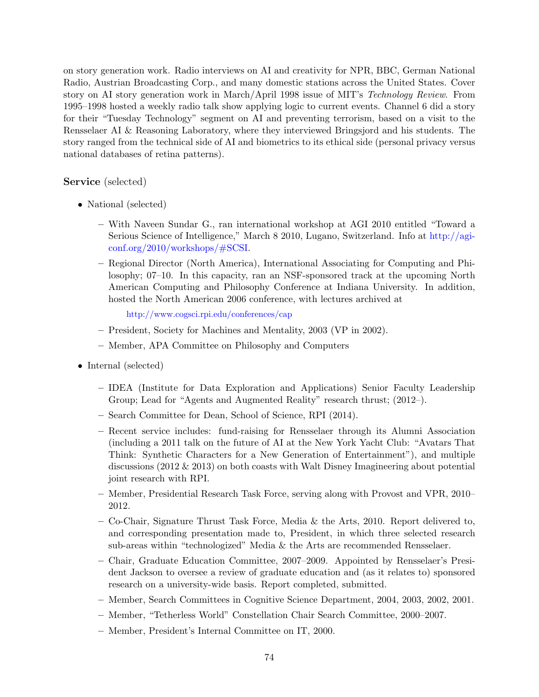on story generation work. Radio interviews on AI and creativity for NPR, BBC, German National Radio, Austrian Broadcasting Corp., and many domestic stations across the United States. Cover story on AI story generation work in March/April 1998 issue of MIT's Technology Review. From 1995–1998 hosted a weekly radio talk show applying logic to current events. Channel 6 did a story for their "Tuesday Technology" segment on AI and preventing terrorism, based on a visit to the Rensselaer AI & Reasoning Laboratory, where they interviewed Bringsjord and his students. The story ranged from the technical side of AI and biometrics to its ethical side (personal privacy versus national databases of retina patterns).

## Service (selected)

- National (selected)
	- With Naveen Sundar G., ran international workshop at AGI 2010 entitled "Toward a Serious Science of Intelligence," March 8 2010, Lugano, Switzerland. Info at [http://agi](http://agi-conf.org/2010/workshops/#SCSI)[conf.org/2010/workshops/#SCSI.](http://agi-conf.org/2010/workshops/#SCSI)
	- Regional Director (North America), International Associating for Computing and Philosophy; 07–10. In this capacity, ran an NSF-sponsored track at the upcoming North American Computing and Philosophy Conference at Indiana University. In addition, hosted the North American 2006 conference, with lectures archived at

<http://www.cogsci.rpi.edu/conferences/cap>

- President, Society for Machines and Mentality, 2003 (VP in 2002).
- Member, APA Committee on Philosophy and Computers
- Internal (selected)
	- IDEA (Institute for Data Exploration and Applications) Senior Faculty Leadership Group; Lead for "Agents and Augmented Reality" research thrust; (2012–).
	- Search Committee for Dean, School of Science, RPI (2014).
	- Recent service includes: fund-raising for Rensselaer through its Alumni Association (including a 2011 talk on the future of AI at the New York Yacht Club: "Avatars That Think: Synthetic Characters for a New Generation of Entertainment"), and multiple discussions (2012 & 2013) on both coasts with Walt Disney Imagineering about potential joint research with RPI.
	- Member, Presidential Research Task Force, serving along with Provost and VPR, 2010– 2012.
	- Co-Chair, Signature Thrust Task Force, Media & the Arts, 2010. Report delivered to, and corresponding presentation made to, President, in which three selected research sub-areas within "technologized" Media & the Arts are recommended Rensselaer.
	- Chair, Graduate Education Committee, 2007–2009. Appointed by Rensselaer's President Jackson to oversee a review of graduate education and (as it relates to) sponsored research on a university-wide basis. Report completed, submitted.
	- Member, Search Committees in Cognitive Science Department, 2004, 2003, 2002, 2001.
	- Member, "Tetherless World" Constellation Chair Search Committee, 2000–2007.
	- Member, President's Internal Committee on IT, 2000.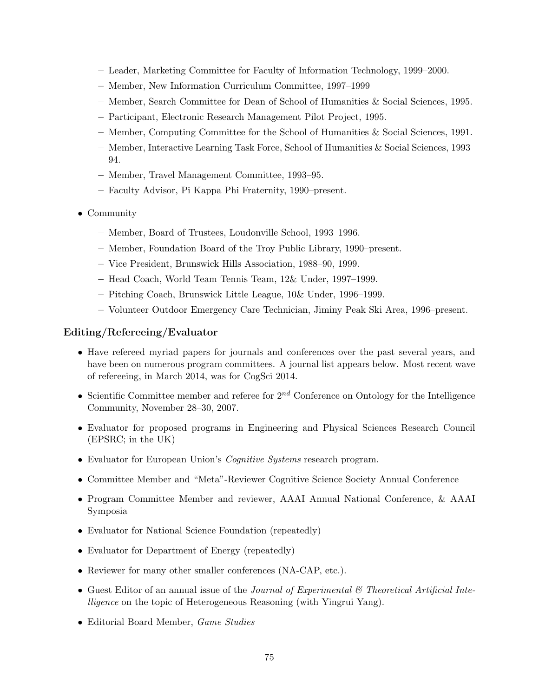- Leader, Marketing Committee for Faculty of Information Technology, 1999–2000.
- Member, New Information Curriculum Committee, 1997–1999
- Member, Search Committee for Dean of School of Humanities & Social Sciences, 1995.
- Participant, Electronic Research Management Pilot Project, 1995.
- Member, Computing Committee for the School of Humanities & Social Sciences, 1991.
- Member, Interactive Learning Task Force, School of Humanities & Social Sciences, 1993– 94.
- Member, Travel Management Committee, 1993–95.
- Faculty Advisor, Pi Kappa Phi Fraternity, 1990–present.
- Community
	- Member, Board of Trustees, Loudonville School, 1993–1996.
	- Member, Foundation Board of the Troy Public Library, 1990–present.
	- Vice President, Brunswick Hills Association, 1988–90, 1999.
	- Head Coach, World Team Tennis Team, 12& Under, 1997–1999.
	- Pitching Coach, Brunswick Little League, 10& Under, 1996–1999.
	- Volunteer Outdoor Emergency Care Technician, Jiminy Peak Ski Area, 1996–present.

## Editing/Refereeing/Evaluator

- Have refereed myriad papers for journals and conferences over the past several years, and have been on numerous program committees. A journal list appears below. Most recent wave of refereeing, in March 2014, was for CogSci 2014.
- Scientific Committee member and referee for  $2^{nd}$  Conference on Ontology for the Intelligence Community, November 28–30, 2007.
- Evaluator for proposed programs in Engineering and Physical Sciences Research Council (EPSRC; in the UK)
- Evaluator for European Union's *Cognitive Systems* research program.
- Committee Member and "Meta"-Reviewer Cognitive Science Society Annual Conference
- Program Committee Member and reviewer, AAAI Annual National Conference, & AAAI Symposia
- Evaluator for National Science Foundation (repeatedly)
- Evaluator for Department of Energy (repeatedly)
- Reviewer for many other smaller conferences (NA-CAP, etc.).
- Guest Editor of an annual issue of the *Journal of Experimental* & Theoretical Artificial Intelligence on the topic of Heterogeneous Reasoning (with Yingrui Yang).
- Editorial Board Member, Game Studies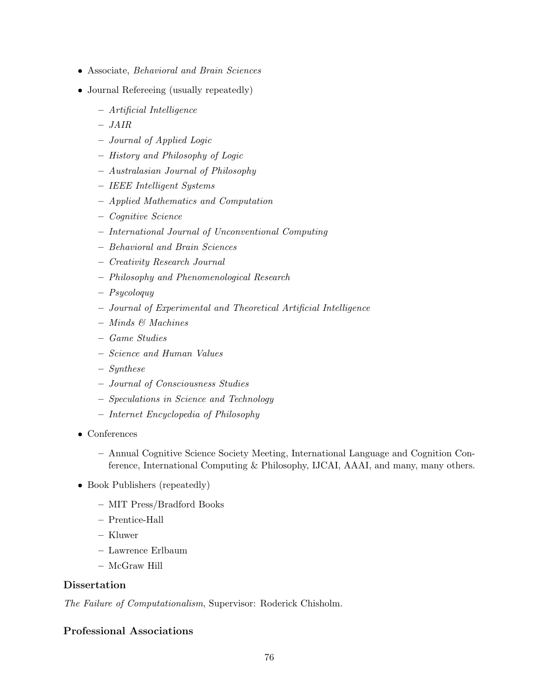- Associate, Behavioral and Brain Sciences
- Journal Refereeing (usually repeatedly)
	- Artificial Intelligence
	- JAIR
	- Journal of Applied Logic
	- History and Philosophy of Logic
	- Australasian Journal of Philosophy
	- IEEE Intelligent Systems
	- Applied Mathematics and Computation
	- Cognitive Science
	- International Journal of Unconventional Computing
	- Behavioral and Brain Sciences
	- Creativity Research Journal
	- Philosophy and Phenomenological Research
	- Psycoloquy
	- Journal of Experimental and Theoretical Artificial Intelligence
	- Minds & Machines
	- Game Studies
	- Science and Human Values
	- Synthese
	- Journal of Consciousness Studies
	- Speculations in Science and Technology
	- Internet Encyclopedia of Philosophy
- Conferences
	- Annual Cognitive Science Society Meeting, International Language and Cognition Conference, International Computing & Philosophy, IJCAI, AAAI, and many, many others.
- Book Publishers (repeatedly)
	- MIT Press/Bradford Books
	- Prentice-Hall
	- Kluwer
	- Lawrence Erlbaum
	- McGraw Hill

#### Dissertation

The Failure of Computationalism, Supervisor: Roderick Chisholm.

# Professional Associations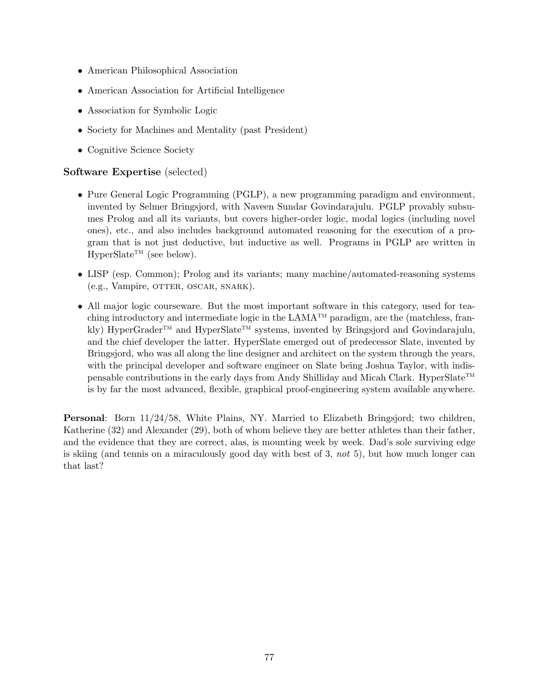- American Philosophical Association
- American Association for Artificial Intelligence
- Association for Symbolic Logic
- Society for Machines and Mentality (past President)
- Cognitive Science Society

## Software Expertise (selected)

- Pure General Logic Programming (PGLP), a new programming paradigm and environment, invented by Selmer Bringsjord, with Naveen Sundar Govindarajulu. PGLP provably subsumes Prolog and all its variants, but covers higher-order logic, modal logics (including novel ones), etc., and also includes background automated reasoning for the execution of a program that is not just deductive, but inductive as well. Programs in PGLP are written in  $HyperState^{TM}$  (see below).
- LISP (esp. Common); Prolog and its variants; many machine/automated-reasoning systems (e.g., Vampire, OTTER, OSCAR, SNARK).
- All major logic courseware. But the most important software in this category, used for teaching introductory and intermediate logic in the  $LAMA^{TM}$  paradigm, are the (matchless, frankly) HyperGrader<sup>TM</sup> and HyperSlate<sup>TM</sup> systems, invented by Bringsjord and Govindarajulu. and the chief developer the latter. HyperSlate emerged out of predecessor Slate, invented by Bringsjord, who was all along the line designer and architect on the system through the years, with the principal developer and software engineer on Slate being Joshua Taylor, with indispensable contributions in the early days from Andy Shilliday and Micah Clark. HyperSlate<sup>TM</sup> is by far the most advanced, flexible, graphical proof-engineering system available anywhere.

Personal: Born 11/24/58, White Plains, NY. Married to Elizabeth Bringsjord; two children, Katherine (32) and Alexander (29), both of whom believe they are better athletes than their father, and the evidence that they are correct, alas, is mounting week by week. Dad's sole surviving edge is skiing (and tennis on a miraculously good day with best of 3, not 5), but how much longer can that last?